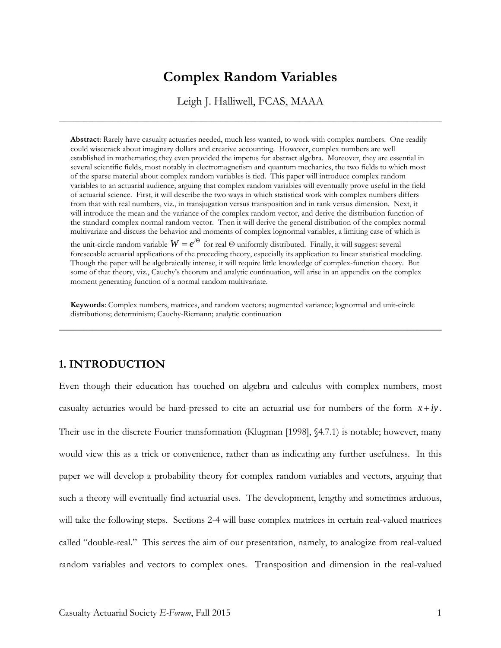# **Complex Random Variables**

Leigh J. Halliwell, FCAS, MAAA

\_\_\_\_\_\_\_\_\_\_\_\_\_\_\_\_\_\_\_\_\_\_\_\_\_\_\_\_\_\_\_\_\_\_\_\_\_\_\_\_\_\_\_\_\_\_\_\_\_\_\_\_\_\_\_\_\_\_\_\_\_\_\_\_\_\_\_\_\_\_\_\_\_\_\_\_\_\_

**Abstract**: Rarely have casualty actuaries needed, much less wanted, to work with complex numbers. One readily could wisecrack about imaginary dollars and creative accounting. However, complex numbers are well established in mathematics; they even provided the impetus for abstract algebra. Moreover, they are essential in several scientific fields, most notably in electromagnetism and quantum mechanics, the two fields to which most of the sparse material about complex random variables is tied. This paper will introduce complex random variables to an actuarial audience, arguing that complex random variables will eventually prove useful in the field of actuarial science. First, it will describe the two ways in which statistical work with complex numbers differs from that with real numbers, viz., in transjugation versus transposition and in rank versus dimension. Next, it will introduce the mean and the variance of the complex random vector, and derive the distribution function of the standard complex normal random vector. Then it will derive the general distribution of the complex normal multivariate and discuss the behavior and moments of complex lognormal variables, a limiting case of which is the unit-circle random variable  $W = e^{i\Theta}$  for real  $\Theta$  uniformly distributed. Finally, it will suggest several foreseeable actuarial applications of the preceding theory, especially its application to linear statistical modeling. Though the paper will be algebraically intense, it will require little knowledge of complex-function theory. But some of that theory, viz., Cauchy's theorem and analytic continuation, will arise in an appendix on the complex moment generating function of a normal random multivariate.

**Keywords**: Complex numbers, matrices, and random vectors; augmented variance; lognormal and unit-circle distributions; determinism; Cauchy-Riemann; analytic continuation

\_\_\_\_\_\_\_\_\_\_\_\_\_\_\_\_\_\_\_\_\_\_\_\_\_\_\_\_\_\_\_\_\_\_\_\_\_\_\_\_\_\_\_\_\_\_\_\_\_\_\_\_\_\_\_\_\_\_\_\_\_\_\_\_\_\_\_\_\_\_\_\_\_\_\_\_\_\_

## **1. INTRODUCTION**

Even though their education has touched on algebra and calculus with complex numbers, most casualty actuaries would be hard-pressed to cite an actuarial use for numbers of the form  $x + iy$ . Their use in the discrete Fourier transformation (Klugman [1998], §4.7.1) is notable; however, many would view this as a trick or convenience, rather than as indicating any further usefulness. In this paper we will develop a probability theory for complex random variables and vectors, arguing that such a theory will eventually find actuarial uses. The development, lengthy and sometimes arduous, will take the following steps. Sections 2-4 will base complex matrices in certain real-valued matrices called "double-real." This serves the aim of our presentation, namely, to analogize from real-valued random variables and vectors to complex ones. Transposition and dimension in the real-valued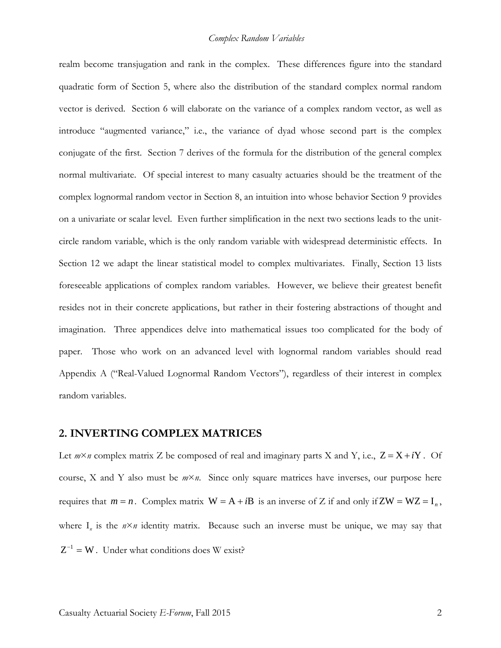realm become transjugation and rank in the complex. These differences figure into the standard quadratic form of Section 5, where also the distribution of the standard complex normal random vector is derived. Section 6 will elaborate on the variance of a complex random vector, as well as introduce "augmented variance," i.e., the variance of dyad whose second part is the complex conjugate of the first. Section 7 derives of the formula for the distribution of the general complex normal multivariate. Of special interest to many casualty actuaries should be the treatment of the complex lognormal random vector in Section 8, an intuition into whose behavior Section 9 provides on a univariate or scalar level. Even further simplification in the next two sections leads to the unitcircle random variable, which is the only random variable with widespread deterministic effects. In Section 12 we adapt the linear statistical model to complex multivariates. Finally, Section 13 lists foreseeable applications of complex random variables. However, we believe their greatest benefit resides not in their concrete applications, but rather in their fostering abstractions of thought and imagination. Three appendices delve into mathematical issues too complicated for the body of paper. Those who work on an advanced level with lognormal random variables should read Appendix A ("Real-Valued Lognormal Random Vectors"), regardless of their interest in complex random variables.

#### **2. INVERTING COMPLEX MATRICES**

Let  $m \times n$  complex matrix Z be composed of real and imaginary parts X and Y, i.e.,  $Z = X + iY$ . Of course, X and Y also must be *m*×*n*. Since only square matrices have inverses, our purpose here requires that  $m = n$ . Complex matrix  $W = A + iB$  is an inverse of Z if and only if  $ZW = WZ = I_n$ , where  $I_n$  is the  $n \times n$  identity matrix. Because such an inverse must be unique, we may say that  $Z^{-1} = W$ . Under what conditions does W exist?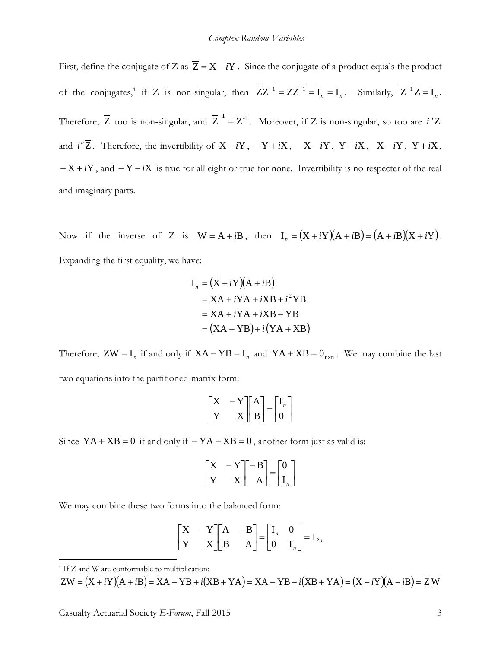First, define the conjugate of Z as  $\overline{Z} = X - iY$ . Since the conjugate of a product equals the product of the conjugates,<sup>[1](#page-2-0)</sup> if Z is non-singular, then  $\overline{ZZ^{-1}} = \overline{ZZ^{-1}} = \overline{I_n} = I_n$ . Similarly,  $\overline{Z^{-1}}\overline{Z} = I_n$ . Therefore,  $\overline{Z}$  too is non-singular, and  $\overline{Z}^{-1} = \overline{Z}^{-1}$ . Moreover, if Z is non-singular, so too are *i*<sup>n</sup>Z and  $i^n\overline{Z}$ . Therefore, the invertibility of  $X + iY$ ,  $-Y + iX$ ,  $-X - iY$ ,  $Y - iX$ ,  $X - iY$ ,  $Y + iX$ , − X + *i*Y , and − Y − *i*X is true for all eight or true for none. Invertibility is no respecter of the real and imaginary parts.

Now if the inverse of Z is  $W = A + iB$ , then  $I_n = (X + iY)(A + iB) = (A + iB)(X + iY)$ . Expanding the first equality, we have:

$$
I_n = (X + iY)(A + iB)
$$
  
= XA + iYA + iXB + i<sup>2</sup>YB  
= XA + iYA + iXB - YB  
= (XA - YB) + i(YA + XB)

Therefore,  $ZW = I_n$  if and only if  $XA - YB = I_n$  and  $YA + XB = 0_{n \times n}$ . We may combine the last two equations into the partitioned-matrix form:

$$
\begin{bmatrix} X & -Y \ Y & X \end{bmatrix} \begin{bmatrix} A \\ B \end{bmatrix} = \begin{bmatrix} I_n \\ 0 \end{bmatrix}
$$

Since  $YA + XB = 0$  if and only if  $-YA - XB = 0$ , another form just as valid is:

$$
\begin{bmatrix} X & -Y \ Y & X \end{bmatrix} \begin{bmatrix} -B \\ A \end{bmatrix} = \begin{bmatrix} 0 \\ I_n \end{bmatrix}
$$

We may combine these two forms into the balanced form:

$$
\begin{bmatrix} X & -Y \ Y & X \end{bmatrix} \begin{bmatrix} A & -B \ B & A \end{bmatrix} = \begin{bmatrix} I_n & 0 \ 0 & I_n \end{bmatrix} = I_{2n}
$$

<span id="page-2-0"></span><sup>1</sup> If Z and W are conformable to multiplication:

 $\overline{a}$ 

 $\overline{ZW} = \overline{(X + iY)(A + iB)} = \overline{XA - YB + i(XB + YA)} = XA - YB - i(XB + YA) = (X - iY)(A - iB) = \overline{Z} \overline{W}$ 

Casualty Actuarial Society *E-Forum*, Fall 2015 3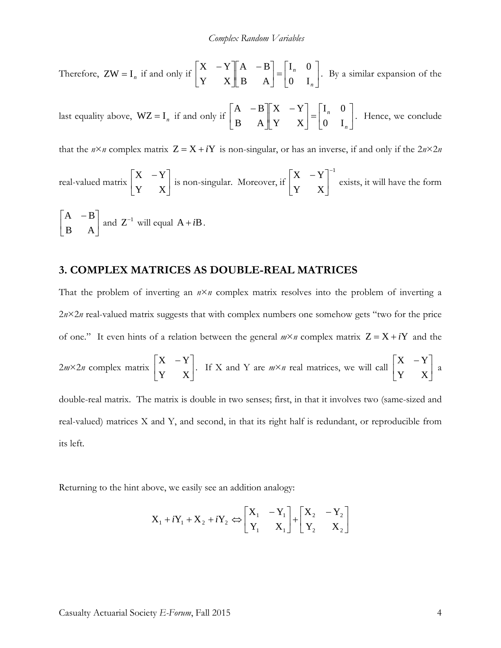Therefore, 
$$
ZW = I_n
$$
 if and only if  $\begin{bmatrix} X & -Y \\ Y & X \end{bmatrix} \begin{bmatrix} A & -B \\ B & A \end{bmatrix} = \begin{bmatrix} I_n & 0 \\ 0 & I_n \end{bmatrix}$ . By a similar expansion of the

last equality above,  $WZ = I_n$  if and only if  $\begin{vmatrix} 1 & 1 \ 0 & 1 \end{vmatrix}$   $\begin{vmatrix} 1 & 1 \ 1 & 1 \end{vmatrix} = \begin{vmatrix} 1 & 1 \ 0 & 1 \end{vmatrix}$ 」  $\begin{bmatrix} I_n & 0 \\ 0 & I \end{bmatrix}$ L  $=$  $\rfloor$  $\begin{vmatrix} X & -Y \\ V & Y \end{vmatrix}$ L −  $\overline{\phantom{a}}$ J  $\begin{vmatrix} A & -B \\ D & A \end{vmatrix}$ L − *n n* 0 I  $I_n \quad 0$ Y X  $X - Y$ B A  $\begin{bmatrix} A & -B & X & -Y \end{bmatrix} = \begin{bmatrix} I_n & 0 \ 0 & I \end{bmatrix}$ . Hence, we conclude

that the  $n \times n$  complex matrix  $Z = X + iY$  is non-singular, or has an inverse, if and only if the  $2n \times 2n$ 

real-valued matrix 
$$
\begin{bmatrix} X & -Y \\ Y & X \end{bmatrix}
$$
 is non-singular. Moreover, if  $\begin{bmatrix} X & -Y \\ Y & X \end{bmatrix}^{-1}$  exists, it will have the form  $\begin{bmatrix} A & -B \\ B & A \end{bmatrix}$  and  $Z^{-1}$  will equal  $A + iB$ .

#### **3. COMPLEX MATRICES AS DOUBLE-REAL MATRICES**

That the problem of inverting an  $n \times n$  complex matrix resolves into the problem of inverting a 2*n*×2*n* real-valued matrix suggests that with complex numbers one somehow gets "two for the price of one." It even hints of a relation between the general  $m \times n$  complex matrix  $Z = X + iY$  and the

$$
2m \times 2n
$$
 complex matrix  $\begin{bmatrix} X & -Y \\ Y & X \end{bmatrix}$ . If X and Y are  $m \times n$  real matrices, we will call  $\begin{bmatrix} X & -Y \\ Y & X \end{bmatrix}$  a

double-real matrix. The matrix is double in two senses; first, in that it involves two (same-sized and real-valued) matrices X and Y, and second, in that its right half is redundant, or reproducible from its left.

Returning to the hint above, we easily see an addition analogy:

$$
X_1 + iY_1 + X_2 + iY_2 \Leftrightarrow \begin{bmatrix} X_1 & -Y_1 \\ Y_1 & X_1 \end{bmatrix} + \begin{bmatrix} X_2 & -Y_2 \\ Y_2 & X_2 \end{bmatrix}
$$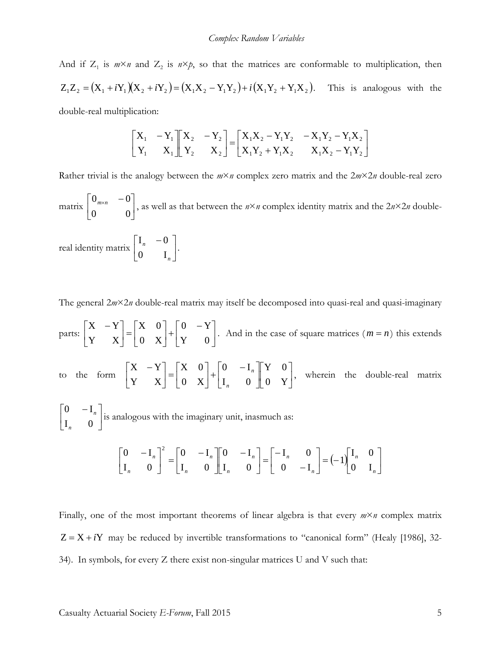#### *Complex Random Variables*

And if  $Z_1$  is  $m \times n$  and  $Z_2$  is  $n \times p$ , so that the matrices are conformable to multiplication, then  $Z_1Z_2 = (X_1 + iY_1)(X_2 + iY_2) = (X_1X_2 - Y_1Y_2) + i(X_1Y_2 + Y_1X_2)$ . This is analogous with the double-real multiplication:

> $\overline{\phantom{a}}$  $\rfloor$  $\begin{bmatrix} X_1X_2 - Y_1Y_2 & -X_1Y_2 - Y_1X_2 \\ X & Y & Y & Y & Y \end{bmatrix}$ L  $= \begin{bmatrix} X_1 X_2 - Y_1 Y_2 & -X_1 Y_2 - \\ X_1 Y_2 + Y_1 X_2 & X_1 X_2 - \end{bmatrix}$ ╛  $\begin{vmatrix} X_2 & -Y_2 \\ Y & Y \end{vmatrix}$ L  $\lceil X_2 \rceil$  –  $\overline{\phantom{a}}$ 」  $\begin{vmatrix} X_1 & -Y_1 \\ Y & Y \end{vmatrix}$ L  $\begin{bmatrix} X_1 & - \end{bmatrix}$  $1 + 2 + 1 + 2$   $2 + 1 + 2$  $1^2$  1  $1^2$   $2^2$   $1^2$   $1^2$   $1^2$ 2  $\mathbf{A}_2$ 2  $\frac{1}{2}$ 1  $\mathbf{A}_1$ 1 1  $X_1 Y_2 + Y_1 X_2$   $X_1 X_2 - Y_1 Y_2$  $X_1 X_2 - Y_1 Y_2 - X_1 Y_2 - Y_1 X$  $Y_2$  X  $X_2 - Y$  $Y_1$  X  $X_1 - Y_2$

Rather trivial is the analogy between the  $m \times n$  complex zero matrix and the  $2m \times 2n$  double-real zero

 $\left| \begin{array}{cc} 0 & m \times n \\ 0 & 0 \end{array} \right|$ J  $\begin{vmatrix} 0_{m \times n} & -0 \\ 0 & 0 \end{vmatrix}$ L  $\begin{bmatrix} 0_{m \times n} & - \end{bmatrix}$ 0 0  $\begin{bmatrix} 0_{m \times n} & -0 \\ 0 & \text{as well as that between the } n \times n \text{ complex identity matrix and the } 2n \times 2n \text{ double-} \end{bmatrix}$ 

real identity matrix  $\begin{bmatrix} -n \\ 0 \end{bmatrix}$  $\rfloor$  $\begin{vmatrix} I_n & -0 \\ 0 & I \end{vmatrix}$ L  $\begin{bmatrix} 1_n & - \end{bmatrix}$ *n n* 0 I  $\begin{bmatrix} I_n & -0 \end{bmatrix}$ .

The general 2*m*×2*n* double-real matrix may itself be decomposed into quasi-real and quasi-imaginary

parts:  $\begin{vmatrix} 1 & 1 \\ 1 & 1 \end{vmatrix} = \begin{vmatrix} 1 & 1 \\ 0 & 1 \end{vmatrix} + \begin{vmatrix} 1 & 1 \\ 1 & 1 \end{vmatrix}$  $\rfloor$  $\begin{vmatrix} 0 & -Y \\ Y & 0 \end{vmatrix}$ L  $-$  +  $\begin{bmatrix} 0 & - \\ 0 & \end{bmatrix}$  $\rfloor$  $\begin{vmatrix} X & 0 \\ 0 & Y \end{vmatrix}$ L  $=$  $\rfloor$  $\begin{vmatrix} X & -Y \\ V & Y \end{vmatrix}$ L − Y 0  $0 - Y$ 0 X  $X \quad 0$ Y X  $X - Y$ . And in the case of square matrices  $(m = n)$  this extends to the form  $\begin{bmatrix} 1 & 1 \ 1 & 1 \end{bmatrix} = \begin{bmatrix} 1 & 1 \ 0 & 1 \end{bmatrix} + \begin{bmatrix} 1 & 1 \ 1 & 0 \end{bmatrix} \begin{bmatrix} 1 & 1 \ 0 & 1 \end{bmatrix}$ J  $\begin{vmatrix} Y & 0 \\ 0 & V \end{vmatrix}$ L  $\mathsf{L}$  $\overline{\phantom{a}}$ ╛  $\begin{vmatrix} 0 & -I_n \\ I & 0 \end{vmatrix}$ L  $-\left[-\begin{matrix} 0 & -1 \\ 0 & -1 \end{matrix}\right]$ J  $\begin{vmatrix} X & 0 \\ 0 & Y \end{vmatrix}$ L  $=$  $\rfloor$  $\begin{vmatrix} X & -Y \\ V & Y \end{vmatrix}$ L − 0 Y Y 0  $I_n$  0  $0 \quad -I$ 0 X  $X \quad 0$ Y X  $X - Y$ *n*  $\begin{bmatrix} n \\ n \end{bmatrix}$ , wherein the double-real matrix  $\overline{\phantom{a}}$  $\rfloor$  $\begin{vmatrix} 0 & -I_n \\ I & 0 \end{vmatrix}$ L −  $I_n$  0  $0 \quad -I$ *n*  $n$  is analogous with the imaginary unit, inasmuch as:

$$
\begin{bmatrix} 0 & -\mathbf{I}_n \\ \mathbf{I}_n & 0 \end{bmatrix}^2 = \begin{bmatrix} 0 & -\mathbf{I}_n \\ \mathbf{I}_n & 0 \end{bmatrix} \begin{bmatrix} 0 & -\mathbf{I}_n \\ \mathbf{I}_n & 0 \end{bmatrix} = \begin{bmatrix} -\mathbf{I}_n & 0 \\ 0 & -\mathbf{I}_n \end{bmatrix} = (-1) \begin{bmatrix} \mathbf{I}_n & 0 \\ 0 & \mathbf{I}_n \end{bmatrix}
$$

Finally, one of the most important theorems of linear algebra is that every *m*×*n* complex matrix  $Z = X + iY$  may be reduced by invertible transformations to "canonical form" (Healy [1986], 32-34). In symbols, for every Z there exist non-singular matrices U and V such that: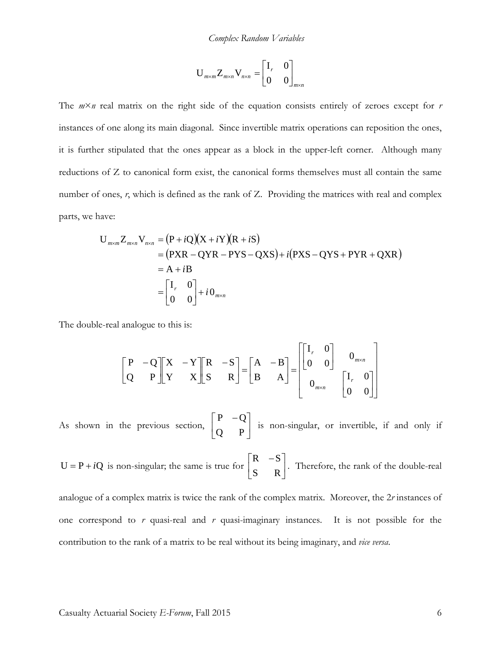$$
\mathbf{U}_{m \times m} \mathbf{Z}_{m \times n} \mathbf{V}_{n \times n} = \begin{bmatrix} \mathbf{I}_r & 0 \\ 0 & 0 \end{bmatrix}_{m \times n}
$$

The  $m \times n$  real matrix on the right side of the equation consists entirely of zeroes except for *r* instances of one along its main diagonal. Since invertible matrix operations can reposition the ones, it is further stipulated that the ones appear as a block in the upper-left corner. Although many reductions of Z to canonical form exist, the canonical forms themselves must all contain the same number of ones, *r*, which is defined as the rank of Z. Providing the matrices with real and complex parts, we have:

$$
U_{m \times m} Z_{m \times n} V_{n \times n} = (P + iQ)(X + iY)(R + iS)
$$
  
= (PXR – QYR – PYS – QXS) + i(PXS – QYS + PYR + QXR)  
= A + iB  
=  $\begin{bmatrix} I_r & 0 \\ 0 & 0 \end{bmatrix} + i0_{m \times n}$ 

The double-real analogue to this is:

$$
\begin{bmatrix} P & -Q \ T & P \end{bmatrix} \begin{bmatrix} X & -Y \ Y & X \end{bmatrix} \begin{bmatrix} R & -S \ S & R \end{bmatrix} = \begin{bmatrix} A & -B \ B & A \end{bmatrix} = \begin{bmatrix} I_r & 0 \ 0 & 0 \end{bmatrix} \begin{bmatrix} 0_{m \times n} \\ 0_{n \times n} \end{bmatrix}
$$

As shown in the previous section,  $\begin{bmatrix} 1 & 1 \\ 0 & B \end{bmatrix}$  $\rfloor$  $\begin{vmatrix} P & -Q \\ Q & D \end{vmatrix}$ L FP – Q P  $\begin{bmatrix} P & -Q \\ \vdots & \vdots \\ Q & Q \end{bmatrix}$  is non-singular, or invertible, if and only if

 $U = P + iQ$  is non-singular; the same is true for  $\begin{bmatrix} 1 & 2 \\ S & R \end{bmatrix}$  $\rfloor$  $\begin{vmatrix} R & -S \\ S & D \end{vmatrix}$ L **FR** – S R  $R - S$ . Therefore, the rank of the double-real

analogue of a complex matrix is twice the rank of the complex matrix. Moreover, the 2*r* instances of one correspond to *r* quasi-real and *r* quasi-imaginary instances. It is not possible for the contribution to the rank of a matrix to be real without its being imaginary, and *vice versa*.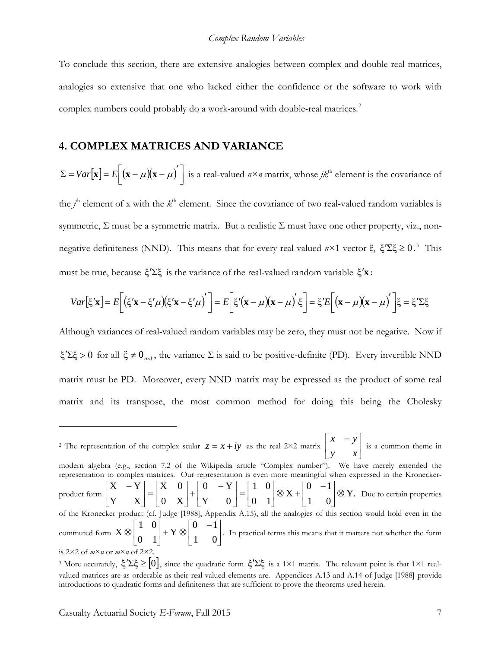To conclude this section, there are extensive analogies between complex and double-real matrices, analogies so extensive that one who lacked either the confidence or the software to work with complex numbers could probably do a work-around with double-real matrices.<sup>[2](#page-6-0)</sup>

#### **4. COMPLEX MATRICES AND VARIANCE**

 $\Sigma = Var[\mathbf{x}] = E[(\mathbf{x} - \mu)(\mathbf{x} - \mu)']$  is a real-valued  $n \times n$  matrix, whose  $jk^{\text{th}}$  element is the covariance of the  $j^{\text{th}}$  element of x with the  $k^{\text{th}}$  element. Since the covariance of two real-valued random variables is symmetric,  $\Sigma$  must be a symmetric matrix. But a realistic  $\Sigma$  must have one other property, viz., nonnegative definiteness (NND). This means that for every real-valued  $n \times 1$  vector ξ,  $\xi' \Sigma \xi \ge 0$ .<sup>[3](#page-6-1)</sup> This must be true, because ξ′Σξ is the variance of the real-valued random variable ξ′**x** :

$$
Var[\xi' \mathbf{x}] = E\bigg[\big(\xi' \mathbf{x} - \xi' \mu\big)\big(\xi' \mathbf{x} - \xi' \mu\big)'\bigg] = E\bigg[\xi' \big(\mathbf{x} - \mu\big)\big(\mathbf{x} - \mu\big)'\xi\bigg] = \xi' E\bigg[\big(\mathbf{x} - \mu\big)\big(\mathbf{x} - \mu\big)'\bigg]\xi = \xi' \Sigma \xi
$$

Although variances of real-valued random variables may be zero, they must not be negative. Now if ξ<sup> $\zeta$ </sup>Σξ > 0 for all  $\xi \neq 0$ <sub>*n*×1</sub>, the variance Σ is said to be positive-definite (PD). Every invertible NND matrix must be PD. Moreover, every NND matrix may be expressed as the product of some real matrix and its transpose, the most common method for doing this being the Cholesky

<span id="page-6-0"></span><sup>&</sup>lt;sup>2</sup> The representation of the complex scalar  $z = x + iy$  as the real 2×2 matrix  $\begin{bmatrix} x & y \\ y & x \end{bmatrix}$  $\rfloor$  $\begin{vmatrix} x & -y \\ y & x \end{vmatrix}$ L  $\lceil x \rceil$ *y x*  $x - y$  is a common theme in modern algebra (e.g., section 7.2 of the Wikipedia article "Complex number"). We have merely extended the representation to complex matrices. Our representation is even more meaningful when expressed in the Kroneckerproduct form  $\begin{bmatrix} 1 & 1 \ 1 & 1 \end{bmatrix} = \begin{bmatrix} 1 & 1 \ 0 & 1 \end{bmatrix} + \begin{bmatrix} 1 & 1 \ 1 & 1 \end{bmatrix} = \begin{bmatrix} 1 & 1 \ 0 & 1 \end{bmatrix} \otimes X + \begin{bmatrix} 1 & 1 \ 1 & 1 \end{bmatrix} \otimes Y.$ 1 0  $0 -1$ X 0 1 1 0 Y 0  $0 - Y$ 0 X  $X \quad 0$ Y X  $X - Y$  ⊗  $\rfloor$  $\begin{vmatrix} 0 & -1 \\ 1 & 0 \end{vmatrix}$ L  $\Big] \otimes X + \Big[ \begin{matrix} 0 & -1 \\ 1 & 0 \end{matrix} \Big]$  $\rfloor$  $\begin{vmatrix} 1 & 0 \\ 0 & 1 \end{vmatrix}$ L  $=$  $\rfloor$  $\begin{vmatrix} 0 & -Y \\ y & 0 \end{vmatrix}$ L  $-$  +  $\begin{bmatrix} 0 & - \\ 0 & - \end{bmatrix}$  $\rfloor$  $\begin{vmatrix} X & 0 \\ 0 & Y \end{vmatrix}$ L  $=$  $\rfloor$  $\begin{vmatrix} X & -Y \\ V & V \end{vmatrix}$ L  $\begin{bmatrix} X & -Y \\ Y & -Y \end{bmatrix} = \begin{bmatrix} X & 0 \\ 0 & -Y \end{bmatrix} + \begin{bmatrix} 0 & -Y \\ Y & -Y \end{bmatrix} = \begin{bmatrix} 1 & 0 \\ 0 & 0 \end{bmatrix} \otimes X + \begin{bmatrix} 0 & -1 \\ 0 & 0 \end{bmatrix} \otimes Y.$  Due to certain properties of the Kronecker product (cf. Judge [1988], Appendix A.15), all the analogies of this section would hold even in the commuted form  $X \otimes \begin{bmatrix} 0 & 1 \end{bmatrix} + Y \otimes \begin{bmatrix} 1 & 0 \end{bmatrix}$ J  $\begin{vmatrix} 0 & -1 \\ 1 & 0 \end{vmatrix}$ L  $\begin{bmatrix} 0 & - \end{bmatrix}$  $+ Y \otimes$  $\rfloor$  $\begin{vmatrix} 1 & 0 \\ 0 & 1 \end{vmatrix}$ L ⊗ 1 0  $0 -1$ Y 0 1 1 0  $X \otimes \begin{bmatrix} 1 \\ 2 \end{bmatrix} + Y \otimes \begin{bmatrix} 1 \\ 1 \end{bmatrix}$ . In practical terms this means that it matters not whether the form is 2×2 of *m*×*n* or *m*×*n* of 2×2.

<span id="page-6-1"></span><sup>&</sup>lt;sup>3</sup> More accurately,  $\xi' \Sigma \xi \geq [0]$ , since the quadratic form  $\xi' \Sigma \xi$  is a 1×1 matrix. The relevant point is that 1×1 realvalued matrices are as orderable as their real-valued elements are. Appendices A.13 and A.14 of Judge [1988] provide introductions to quadratic forms and definiteness that are sufficient to prove the theorems used herein.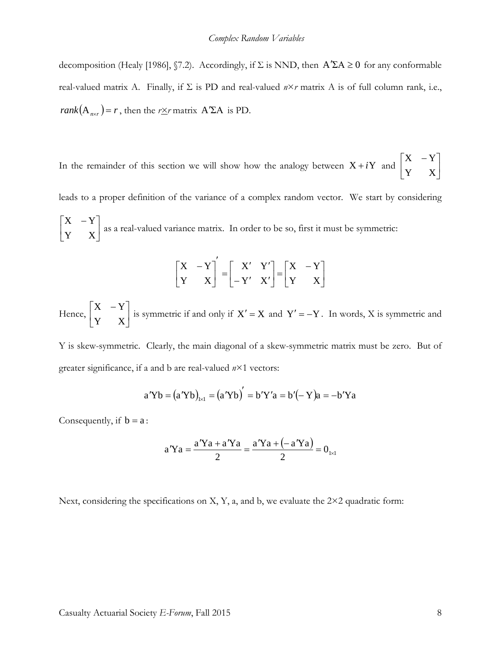decomposition (Healy [1986], §7.2). Accordingly, if  $\Sigma$  is NND, then  $A' \Sigma A \ge 0$  for any conformable real-valued matrix A. Finally, if  $\Sigma$  is PD and real-valued  $n \times r$  matrix A is of full column rank, i.e., *rank* $(A_{n \times r}) = r$ , then the *rxr* matrix A<sup>'</sup>ΣA is PD.

In the remainder of this section we will show how the analogy between  $X + iY$  and  $\begin{bmatrix} 1 & 1 \\ 1 & 1 \end{bmatrix}$  $\rfloor$  $\begin{vmatrix} X & -Y \\ V & V \end{vmatrix}$ L − Y X  $X - Y$ 

leads to a proper definition of the variance of a complex random vector. We start by considering  $\overline{\phantom{a}}$  $\rfloor$  $\begin{vmatrix} X & -Y \\ V & V \end{vmatrix}$ L − Y X  $X - Y$ as a real-valued variance matrix. In order to be so, first it must be symmetric:

$$
\begin{bmatrix} X & -Y \ Y & X \end{bmatrix}' = \begin{bmatrix} X' & Y' \\ -Y' & X' \end{bmatrix} = \begin{bmatrix} X & -Y \\ Y & X \end{bmatrix}
$$

Hence,  $\begin{vmatrix} 1 & 1 \\ V & V \end{vmatrix}$ J  $\begin{vmatrix} X & -Y \\ V & V \end{vmatrix}$ L − Y X  $X - Y$  is symmetric if and only if  $X' = X$  and  $Y' = -Y$ . In words, X is symmetric and

Y is skew-symmetric. Clearly, the main diagonal of a skew-symmetric matrix must be zero. But of greater significance, if a and b are real-valued *n*×1 vectors:

$$
a'Yb = (a'Yb)_{1\times1} = (a'Yb)' = b'Y'a = b'(-Y)a = -b'Ya
$$

Consequently, if  $b = a$ :

$$
a'Ya = \frac{a'Ya + a'Ya}{2} = \frac{a'Ya + (-a'Ya)}{2} = 0_{1 \times 1}
$$

Next, considering the specifications on X, Y, a, and b, we evaluate the  $2\times 2$  quadratic form: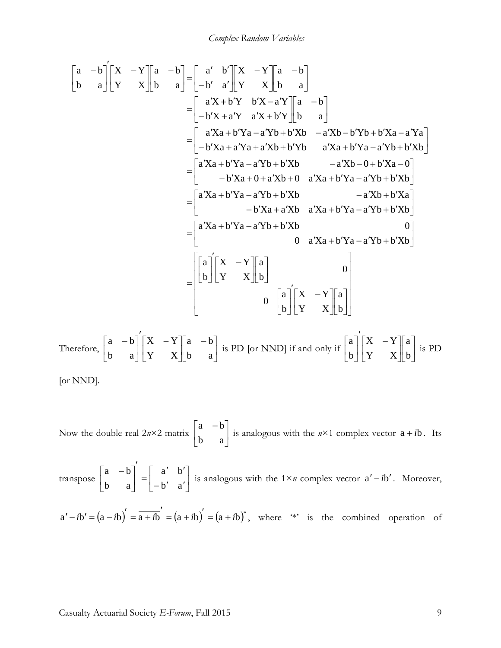$$
\begin{bmatrix}\na & -b \\
b & a\n\end{bmatrix}\n\begin{bmatrix}\nX & -Y \\
Y & X\n\end{bmatrix}\n= \begin{bmatrix}\na' & b \\
-b' & a'\n\end{bmatrix}\n\begin{bmatrix}\nX & -Y \\
Y & X\n\end{bmatrix}\n= \begin{bmatrix}\na'X + b'Y & b'X - a'Y \\
-b'X + a'Y & a'X + b'Y\n\end{bmatrix}\n= \begin{bmatrix}\na'Xa + b'Ya - a'Yb + b'Xb & -a'Xb - b'Yb + b'Xa - a'Ya \\
-b'Xa + a'Ya + a'Xb + b'Yb & a'Xa + b'Ya - a'Yb + b'Xb\n\end{bmatrix}\n= \begin{bmatrix}\na'Xa + b'Ya - a'Yb + b'Xb & -a'Xb - b'Ya + a'Yb \\
-b'Xa + a'Xb + a'Xb + 0 & a'Xa + b'Ya - a'Yb + b'Xb\n\end{bmatrix}\n= \begin{bmatrix}\na'Xa + b'Ya - a'Yb + b'Xb & -a'Xb + b'Xa \\
-b'Xa + a'Xb & a'Xa + b'Ya - a'Yb + b'Xb\n\end{bmatrix}\n= \begin{bmatrix}\na'Xa + b'Ya - a'Yb + b'Xb & 0 \\
b'Xa + a'Xb & a'Xa + b'Ya - a'Yb + b'Xb\n\end{bmatrix}\n= \begin{bmatrix}\na \\
b\n\end{bmatrix}\n\begin{bmatrix}\nX & -Y \\
Y & X\n\end{bmatrix}\n\begin{bmatrix}\na \\
b\n\end{bmatrix}\n\begin{bmatrix}\nX & -Y \\
Y & X\n\end{bmatrix}\n\begin{bmatrix}\na \\
b\n\end{bmatrix}\n\begin{bmatrix}\nX & -Y \\
Y & X\n\end{bmatrix}\n\begin{bmatrix}\na \\
b\n\end{bmatrix}\n\begin{bmatrix}\nX & -Y \\
Y & X\n\end{bmatrix}\n\begin{bmatrix}\na \\
b\n\end{bmatrix}\n\begin{bmatrix}\nX & -Y \\
Y & X\n\end{bmatrix}\n\begin{bmatrix}\na \\
b\n\end{bmatrix}\n\begin{bmatrix}\nX & -Y \\
Y & X\n\end{bmatrix}\n\begin{bmatrix}\na \\
b\n\end{bmatrix}\n\begin{bmatrix}\nX & -Y \\
Y & X\n\end{bmatrix}\n\begin{bmatrix}\na \\
b\n\end{bmatrix
$$

Now the double-real  $2n\times 2$  matrix  $\begin{bmatrix} 2 & 0 \\ 0 & 0 \end{bmatrix}$  $\rfloor$  $\begin{vmatrix} a & -b \\ b & a \end{vmatrix}$ L − b a  $a - b$ is analogous with the  $n \times 1$  complex vector  $a + ib$ . Its

transpose  $\begin{vmatrix} a & b \\ b & c \end{vmatrix} = \begin{vmatrix} a & b \\ b' & c' \end{vmatrix}$ ┙  $\begin{vmatrix} a' & b' \\ b' & c' \end{vmatrix}$ L  $\overline{ }$  $-b'$   $a'$  $\left(\begin{array}{cc} a' & b' \\ \end{array}\right)$  $\overline{\phantom{a}}$ 」  $\begin{vmatrix} a & -b \\ b & a \end{vmatrix}$ L − b' a a' b b a  $\begin{bmatrix} a & -b \end{bmatrix} = \begin{bmatrix} a' & b' \ 1 & b' \end{bmatrix}$  is analogous with the 1×*n* complex vector  $a'-ib'$ . Moreover,  $a' - ib' = (a - ib)' = \overline{a + ib}' = \overline{(a + ib)}' = (a + ib)^*$ , where '\*' is the combined operation of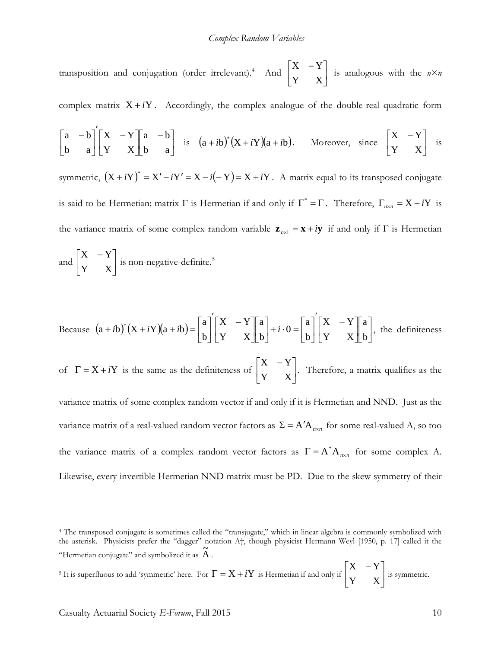transposition and conjugation (order irrelevant).<sup>[4](#page-9-0)</sup> And  $\begin{bmatrix} 1 & 1 \\ 1 & 1 \end{bmatrix}$  $\rfloor$  $\begin{vmatrix} X & -Y \\ V & Y \end{vmatrix}$ L − Y X  $X - Y$ is analogous with the *n*×*n*

complex matrix  $X + iY$ . Accordingly, the complex analogue of the double-real quadratic form

$$
\begin{bmatrix} a & -b \\ b & a \end{bmatrix} \begin{bmatrix} X & -Y \\ Y & X \end{bmatrix} \begin{bmatrix} a & -b \\ b & a \end{bmatrix}
$$
 is  $(a+ib)^*(X+iY)(a+ib)$ . Moreover, since  $\begin{bmatrix} X & -Y \\ Y & X \end{bmatrix}$  is

symmetric,  $(X + iY)^* = X' - iY' = X - i(-Y) = X + iY$ . A matrix equal to its transposed conjugate is said to be Hermetian: matrix  $\Gamma$  is Hermetian if and only if  $\Gamma^* = \Gamma$ . Therefore,  $\Gamma_{n \times n} = X + iY$  is the variance matrix of some complex random variable  $\mathbf{z}_{n\times1} = \mathbf{x} + i\mathbf{y}$  if and only if  $\Gamma$  is Hermetian

and 
$$
\begin{bmatrix} X & -Y \\ Y & X \end{bmatrix}
$$
 is non-negative-definite.<sup>5</sup>

Because 
$$
(a + ib)^*(X + iY)(a + ib) = \begin{bmatrix} a \\ b \end{bmatrix} \begin{bmatrix} X & -Y \\ Y & X \end{bmatrix} \begin{bmatrix} a \\ b \end{bmatrix} + i \cdot 0 = \begin{bmatrix} a \\ b \end{bmatrix} \begin{bmatrix} X & -Y \\ Y & X \end{bmatrix} \begin{bmatrix} a \\ b \end{bmatrix}
$$
, the definiteness

of  $\Gamma = X + iY$  is the same as the definiteness of  $\begin{bmatrix} 1 & 1 \\ 1 & 1 \end{bmatrix}$ J  $\begin{vmatrix} X & -Y \\ V & Y \end{vmatrix}$ L − Y X  $X - Y$ . Therefore, a matrix qualifies as the

variance matrix of some complex random vector if and only if it is Hermetian and NND. Just as the variance matrix of a real-valued random vector factors as  $\Sigma = A'A_{n \times n}$  for some real-valued A, so too the variance matrix of a complex random vector factors as  $\Gamma = A^* A_{n \times n}$  for some complex A. Likewise, every invertible Hermetian NND matrix must be PD. Due to the skew symmetry of their

<span id="page-9-1"></span><sup>5</sup> It is superfluous to add 'symmetric' here. For  $\Gamma = X + iY$  is Hermetian if and only if  $\begin{vmatrix} 1 & 1 \\ 1 & 1 \end{vmatrix}$  $\begin{vmatrix} X & -Y \\ V & V \end{vmatrix}$ L − Y X  $X - Y$ 

 $\overline{a}$ 

 $\rfloor$ 

is symmetric.

<span id="page-9-0"></span><sup>4</sup> The transposed conjugate is sometimes called the "transjugate," which in linear algebra is commonly symbolized with the asterisk. Physicists prefer the "dagger" notation A†, though physicist Hermann Weyl [1950, p. 17] called it the "Hermetian conjugate" and symbolized it as  $\widetilde{A}$ .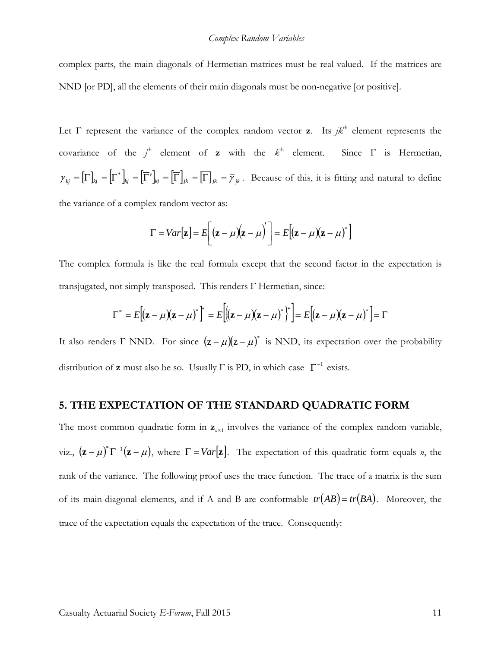complex parts, the main diagonals of Hermetian matrices must be real-valued. If the matrices are NND [or PD], all the elements of their main diagonals must be non-negative [or positive].

Let  $\Gamma$  represent the variance of the complex random vector **z**. Its  $jk<sup>th</sup>$  element represents the covariance of the  $j^{\text{th}}$  element of **z** with the  $k^{\text{th}}$  element. Since  $\Gamma$  is Hermetian,  $\gamma_{kj} = \left[\Gamma \right]_{kj} = \left[\Gamma \right]_{kj} = \left[\overline{\Gamma} \right]_{jk} = \left[\overline{\Gamma} \right]_{jk} = \overline{\gamma}_{jk}$ . Because of this, it is fitting and natural to define the variance of a complex random vector as:

$$
\Gamma = Var[\mathbf{z}] = E\bigg[ (\mathbf{z} - \mu)(\overline{\mathbf{z} - \mu})' \bigg] = E[(\mathbf{z} - \mu)(\mathbf{z} - \mu)^*]
$$

The complex formula is like the real formula except that the second factor in the expectation is transjugated, not simply transposed. This renders Γ Hermetian, since:

$$
\Gamma^* = E[(\mathbf{z} - \mu)(\mathbf{z} - \mu)^*] = E[(\mathbf{z} - \mu)(\mathbf{z} - \mu)^*] = E[(\mathbf{z} - \mu)(\mathbf{z} - \mu)^*] = \Gamma
$$

It also renders  $\Gamma$  NND. For since  $(z - \mu)(z - \mu)^*$  is NND, its expectation over the probability distribution of **z** must also be so. Usually  $\Gamma$  is PD, in which case  $\Gamma^{-1}$  exists.

#### **5. THE EXPECTATION OF THE STANDARD QUADRATIC FORM**

The most common quadratic form in  $z_{n\times1}$  involves the variance of the complex random variable, viz.,  $(\mathbf{z} - \mu)^* \Gamma^{-1}(\mathbf{z} - \mu)$ , where  $\Gamma = Var[\mathbf{z}]$ . The expectation of this quadratic form equals *n*, the rank of the variance. The following proof uses the trace function. The trace of a matrix is the sum of its main-diagonal elements, and if A and B are conformable  $tr(AB) = tr(BA)$ . Moreover, the trace of the expectation equals the expectation of the trace. Consequently: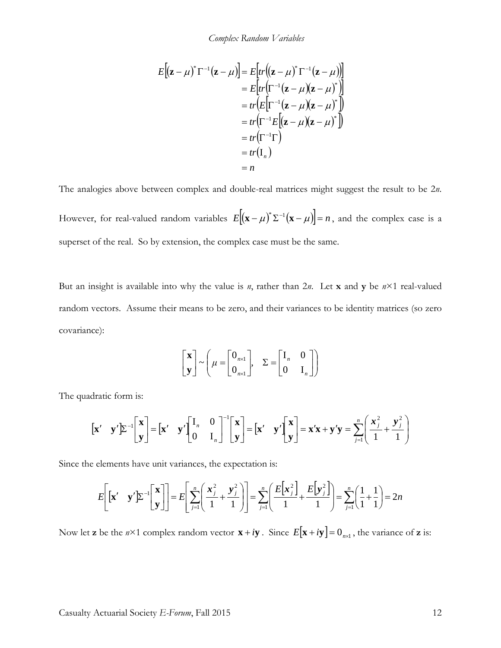*Complex Random Variables*

$$
E[(\mathbf{z} - \mu)^* \Gamma^{-1}(\mathbf{z} - \mu)] = E[rr((\mathbf{z} - \mu)^* \Gamma^{-1}(\mathbf{z} - \mu))]
$$
  
\n
$$
= E[rr(\Gamma^{-1}(\mathbf{z} - \mu)(\mathbf{z} - \mu)^*)]
$$
  
\n
$$
= tr(E[\Gamma^{-1}(\mathbf{z} - \mu)(\mathbf{z} - \mu)^*])
$$
  
\n
$$
= tr(\Gamma^{-1}E[(\mathbf{z} - \mu)(\mathbf{z} - \mu)^*])
$$
  
\n
$$
= tr(\Gamma^{-1} \Gamma)
$$
  
\n
$$
= tr(\Gamma_n)
$$
  
\n
$$
= n
$$

The analogies above between complex and double-real matrices might suggest the result to be 2*n*. However, for real-valued random variables  $E[(\mathbf{x} - \mu)^* \Sigma^{-1} (\mathbf{x} - \mu)] = n$ , and the complex case is a superset of the real. So by extension, the complex case must be the same.

But an insight is available into why the value is *n*, rather than 2*n*. Let **x** and **y** be *n*×1 real-valued random vectors. Assume their means to be zero, and their variances to be identity matrices (so zero covariance):

$$
\begin{bmatrix} \mathbf{x} \\ \mathbf{y} \end{bmatrix} \sim \left( \mu = \begin{bmatrix} 0_{n \times 1} \\ 0_{n \times 1} \end{bmatrix}, \quad \Sigma = \begin{bmatrix} I_n & 0 \\ 0 & I_n \end{bmatrix} \right)
$$

The quadratic form is:

$$
\begin{bmatrix} \mathbf{x}' & \mathbf{y}' \end{bmatrix} \boldsymbol{\Sigma}^{-1} \begin{bmatrix} \mathbf{x} \\ \mathbf{y} \end{bmatrix} = \begin{bmatrix} \mathbf{x}' & \mathbf{y}' \end{bmatrix} \begin{bmatrix} \mathbf{I}_n & \mathbf{0} \\ \mathbf{0} & \mathbf{I}_n \end{bmatrix}^{-1} \begin{bmatrix} \mathbf{x} \\ \mathbf{y} \end{bmatrix} = \begin{bmatrix} \mathbf{x}' & \mathbf{y}' \end{bmatrix} \begin{bmatrix} \mathbf{x} \\ \mathbf{y} \end{bmatrix} = \mathbf{x}'\mathbf{x} + \mathbf{y}'\mathbf{y} = \sum_{j=1}^n \left( \frac{\mathbf{x}_j^2}{1} + \frac{\mathbf{y}_j^2}{1} \right)
$$

Since the elements have unit variances, the expectation is:

$$
E\left[\begin{bmatrix} \mathbf{x}' & \mathbf{y}' \end{bmatrix} \sum_{j=1}^{n} \begin{bmatrix} \mathbf{x} \\ \mathbf{y} \end{bmatrix} \right] = E\left[\sum_{j=1}^{n} \left( \frac{\mathbf{x}^2_j}{1} + \frac{\mathbf{y}^2_j}{1} \right) \right] = \sum_{j=1}^{n} \left( \frac{E\left[\mathbf{x}^2_j\right]}{1} + \frac{E\left[\mathbf{y}^2_j\right]}{1} \right) = \sum_{j=1}^{n} \left( \frac{1}{1} + \frac{1}{1} \right) = 2n
$$

Now let **z** be the  $n \times 1$  complex random vector  $\mathbf{x} + i\mathbf{y}$ . Since  $E[\mathbf{x} + i\mathbf{y}] = 0_{n \times 1}$ , the variance of **z** is: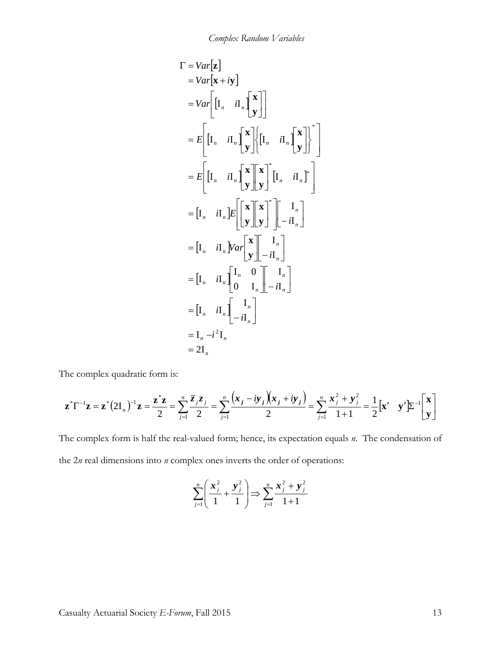$$
\Gamma = Var[\mathbf{z}]
$$
  
\n
$$
= Var[\mathbf{x} + i\mathbf{y}]
$$
  
\n
$$
= Var\left[\begin{bmatrix} \mathbf{I}_n & i\mathbf{I}_n \end{bmatrix} \begin{bmatrix} \mathbf{x} \\ \mathbf{y} \end{bmatrix} \right]
$$
  
\n
$$
= E\left[\begin{bmatrix} \mathbf{I}_n & i\mathbf{I}_n \end{bmatrix} \begin{bmatrix} \mathbf{x} \\ \mathbf{y} \end{bmatrix} \begin{bmatrix} \mathbf{I}_n & i\mathbf{I}_n \end{bmatrix} \begin{bmatrix} \mathbf{x} \\ \mathbf{y} \end{bmatrix} \right]^* \begin{bmatrix} \mathbf{I}_n & i\mathbf{I}_n \end{bmatrix}
$$
  
\n
$$
= E\left[\begin{bmatrix} \mathbf{I}_n & i\mathbf{I}_n \end{bmatrix} \begin{bmatrix} \mathbf{x} \\ \mathbf{y} \end{bmatrix} \begin{bmatrix} \mathbf{x} \\ \mathbf{y} \end{bmatrix} \right] \begin{bmatrix} \mathbf{I}_n & i\mathbf{I}_n \end{bmatrix}
$$
  
\n
$$
= [\mathbf{I}_n & i\mathbf{I}_n] \begin{bmatrix} \mathbf{x} \\ \mathbf{y} \end{bmatrix} \begin{bmatrix} \mathbf{I}_n \\ -i\mathbf{I}_n \end{bmatrix}
$$
  
\n
$$
= [\mathbf{I}_n & i\mathbf{I}_n] \begin{bmatrix} \mathbf{I}_n & 0 \\ 0 & \mathbf{I}_n \end{bmatrix} \begin{bmatrix} \mathbf{I}_n \\ -i\mathbf{I}_n \end{bmatrix}
$$
  
\n
$$
= [\mathbf{I}_n & i\mathbf{I}_n] \begin{bmatrix} \mathbf{I}_n \\ -i\mathbf{I}_n \end{bmatrix}
$$
  
\n
$$
= \mathbf{I}_n - i^2 \mathbf{I}_n
$$
  
\n
$$
= 2\mathbf{I}_n
$$

The complex quadratic form is:

$$
\mathbf{z}^*\Gamma^{-1}\mathbf{z} = \mathbf{z}^*(2\mathbf{I}_n)^{-1}\mathbf{z} = \frac{\mathbf{z}^*\mathbf{z}}{2} = \sum_{j=1}^n \frac{\overline{z}_j z_j}{2} = \sum_{j=1}^n \frac{(x_j - iy_j)(x_j + iy_j)}{2} = \sum_{j=1}^n \frac{x_j^2 + y_j^2}{1 + 1} = \frac{1}{2} [\mathbf{x}' \quad \mathbf{y}' \mathbf{z}^{-1} \begin{bmatrix} \mathbf{x} \\ \mathbf{y} \end{bmatrix}
$$

The complex form is half the real-valued form; hence, its expectation equals *n*. The condensation of the 2*n* real dimensions into *n* complex ones inverts the order of operations:

$$
\sum_{j=1}^{n} \left( \frac{\mathbf{x}_{j}^{2}}{1} + \frac{\mathbf{y}_{j}^{2}}{1} \right) \Longrightarrow \sum_{j=1}^{n} \frac{\mathbf{x}_{j}^{2} + \mathbf{y}_{j}^{2}}{1+1}
$$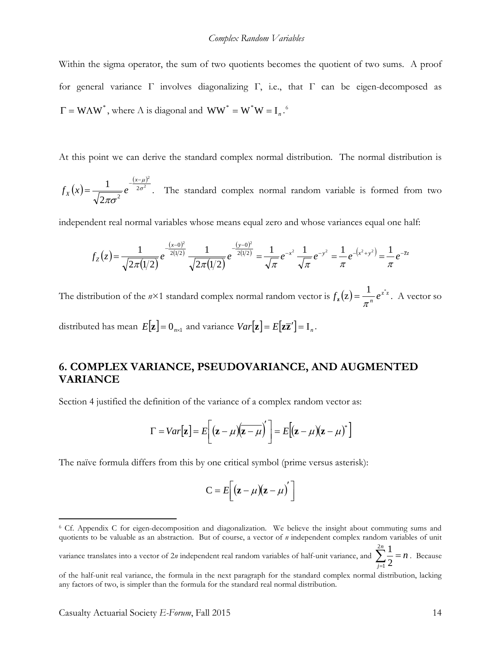Within the sigma operator, the sum of two quotients becomes the quotient of two sums. A proof for general variance Γ involves diagonalizing Γ, i.e., that Γ can be eigen-decomposed as  $\Gamma = W\Lambda W^*$ , where  $\Lambda$  is diagonal and  $WW^* = W^*W = I_n$ .<sup>[6](#page-13-0)</sup>

At this point we can derive the standard complex normal distribution. The normal distribution is

 $(x)$  $\frac{(x-\mu)}{2\sigma^2}$ 2 2  $2\pi\sigma^2$ 1  $-\frac{(x-\mu)}{2\sigma^2}$ πσ  $-\frac{(x-$ = *x*  $f_X(x) = \frac{1}{\sqrt{2\pi} \sqrt{2}} e^{-2\sigma^2}$ . The standard complex normal random variable is formed from two

independent real normal variables whose means equal zero and whose variances equal one half:

$$
f_Z(z) = \frac{1}{\sqrt{2\pi(1/2)}} e^{-\frac{(x-0)^2}{2(1/2)}} \frac{1}{\sqrt{2\pi(1/2)}} e^{-\frac{(y-0)^2}{2(1/2)}} = \frac{1}{\sqrt{\pi}} e^{-x^2} \frac{1}{\sqrt{\pi}} e^{-y^2} = \frac{1}{\pi} e^{-(x^2+y^2)} = \frac{1}{\pi} e^{-\overline{z}z}
$$

The distribution of the  $n \times 1$  standard complex normal random vector is  $f_z(z) = \frac{1}{\pi^n} e^{z^z z}$ . A vector so

distributed has mean  $E[\mathbf{z}] = 0_{n \times 1}$  and variance  $Var[\mathbf{z}] = E[\mathbf{z} \overline{\mathbf{z}}'] = I_n$ .

## **6. COMPLEX VARIANCE, PSEUDOVARIANCE, AND AUGMENTED VARIANCE**

Section 4 justified the definition of the variance of a complex random vector as:

$$
\Gamma = Var[\mathbf{z}] = E\left[ (\mathbf{z} - \mu)(\mathbf{z} - \mu)' \right] = E[(\mathbf{z} - \mu)(\mathbf{z} - \mu)^*]
$$

The naïve formula differs from this by one critical symbol (prime versus asterisk):

$$
C = E\left[ (\mathbf{z} - \mu)(\mathbf{z} - \mu) \right]
$$

<span id="page-13-0"></span><sup>6</sup> Cf. Appendix C for eigen-decomposition and diagonalization. We believe the insight about commuting sums and quotients to be valuable as an abstraction. But of course, a vector of *n* independent complex random variables of unit

variance translates into a vector of 2*n* independent real random variables of half-unit variance, and  $\sum_{n=0}^{1} = n$ *n*  $\sum_{j=1}^{2n}\frac{1}{2}$  =  $\frac{1}{1}$  2  $\frac{1}{2} = n$ . Because

of the half-unit real variance, the formula in the next paragraph for the standard complex normal distribution, lacking any factors of two, is simpler than the formula for the standard real normal distribution.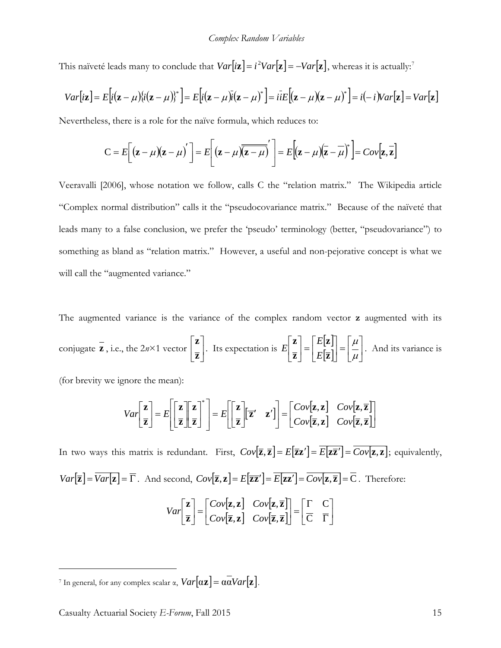This naïveté leads many to conclude that  $Var[i\mathbf{z}] = i^2Var[\mathbf{z}] = -Var[\mathbf{z}]$ , whereas it is actually:<sup>[7](#page-14-0)</sup>

$$
Var[i\mathbf{z}] = E[i(\mathbf{z} - \mu)\{i(\mathbf{z} - \mu)\}^*] = E[i(\mathbf{z} - \mu)\bar{i}(\mathbf{z} - \mu)^*] = i\bar{i}E[(\mathbf{z} - \mu)(\mathbf{z} - \mu)^*] = i(-i)Var[\mathbf{z}] = Var[\mathbf{z}]
$$

Nevertheless, there is a role for the naïve formula, which reduces to:

$$
C = E\left[\left(\mathbf{z} - \mu\right)\left(\mathbf{z} - \mu\right)'\right] = E\left[\left(\mathbf{z} - \mu\right)\overline{\left(\mathbf{z} - \mu\right)}'\right] = E\left[\left(\mathbf{z} - \mu\right)\left(\overline{\mathbf{z} - \mu}\right)^{*}\right] = Cov\left[\mathbf{z}, \overline{\mathbf{z}}\right]
$$

Veeravalli [2006], whose notation we follow, calls C the "relation matrix." The Wikipedia article "Complex normal distribution" calls it the "pseudocovariance matrix." Because of the naïveté that leads many to a false conclusion, we prefer the 'pseudo' terminology (better, "pseudovariance") to something as bland as "relation matrix." However, a useful and non-pejorative concept is what we will call the "augmented variance."

The augmented variance is the variance of the complex random vector **z** augmented with its conjugate **z**, i.e., the  $2n \times 1$  vector  $\Big| \frac{1}{n} \Big|$  $\rfloor$  $\overline{\phantom{a}}$  $\mathsf{L}$ L  $\mathsf{L}$ **z z**  $\begin{bmatrix} \mathbf{z} \end{bmatrix}$ . Its expectation is  $E\begin{bmatrix} \mathbf{z} \end{bmatrix} = \begin{bmatrix} E[\mathbf{z}] \\ -\mathbf{z} \end{bmatrix}$  $\left[\overline{\mathbf{z}}\right]$  =  $\left[\overline{\mu}\right]$  $\left|\frac{\mu}{\mu}\right|$ L  $=$  $\sqcup$  $\left| \frac{E[\mathbf{z}]}{E[\mathbf{z}]} \right|$ L  $=$  $\rfloor$  $\overline{\phantom{a}}$  $\mathsf{L}$ L  $\mathsf{L}$  $\mu$  $\mu$ **z z z z** *E E*  $E\left[\begin{array}{c} 1 \\ -1 \end{array}\right] = \left[\begin{array}{c} 2 \\ -1 \end{array}\right] = \left[\begin{array}{c} 2 \\ -1 \end{array}\right]$ . And its variance is

(for brevity we ignore the mean):

$$
Var\left[\frac{\mathbf{z}}{\mathbf{z}}\right] = E\left[\left[\frac{\mathbf{z}}{\mathbf{z}}\right]\left[\frac{\mathbf{z}}{\mathbf{z}}\right]\right]^* = E\left[\left[\frac{\mathbf{z}}{\mathbf{z}}\right]\left[\mathbf{z}' \mid \mathbf{z}'\right]\right] = \left[\begin{matrix}Cov[\mathbf{z}, \mathbf{z}] & Cov[\mathbf{z}, \overline{\mathbf{z}}] \\ Cov[\mathbf{z}, \mathbf{z}] & Cov[\mathbf{z}, \overline{\mathbf{z}}]\end{matrix}\right]
$$

In two ways this matrix is redundant. First,  $Cov[\overline{z}, \overline{z}] = E[\overline{z}z'] = \overline{E[z\overline{z}']} = \overline{Cov[z, z]}$ ; equivalently,  $Var[\overline{\mathbf{z}}] = \overline{Var[\mathbf{z}]} = \overline{\Gamma}$ . And second,  $Cov[\overline{\mathbf{z}}, \mathbf{z}] = E[\overline{\mathbf{z} \mathbf{z}}'] = \overline{E[\mathbf{z} \mathbf{z}']} = \overline{Cov[\mathbf{z}, \overline{\mathbf{z}}]} = \overline{C}$ . Therefore:  $| \mathbf{z}, \mathbf{z} |$   $Cov | \mathbf{z}, \overline{\mathbf{z}} |$  $\begin{bmatrix} \overline{z}, z \end{bmatrix}$   $Cov[\overline{z}, \overline{z}]$  $\begin{bmatrix} \overline{C} & \overline{\Gamma} \end{bmatrix}$  $\left| \begin{array}{cc} \Gamma & C \\ \overline{C} & \overline{\Gamma} \end{array} \right|$ L  $\overline{ }$  $\begin{bmatrix} \begin{bmatrix} \begin{bmatrix} \Gamma & \mathbf{C} \ \hline \mathbf{C} & \mathbf{\overline{\Gamma}} \end{bmatrix} \end{bmatrix} \end{bmatrix} = \begin{bmatrix} \begin{bmatrix} \begin{bmatrix} \Gamma & \mathbf{C} \ \hline \mathbf{C} & \mathbf{\overline{\Gamma}} \end{bmatrix} \end{bmatrix}$ U  $\begin{bmatrix} Cov[\mathbf{z}, \mathbf{z}] & Cov[\mathbf{z}, \overline{\mathbf{z}}] \\ Cov[\overline{\mathbf{z}}, \mathbf{z}] & Cov[\overline{\mathbf{z}}, \overline{\mathbf{z}}] \end{bmatrix}$ L  $=$  $\rfloor$  $\overline{\phantom{a}}$  $\mathsf{L}$ L  $\overline{ }$  $\mathcal{C}_{0}^{(n)}$  $\mathsf{C}$  $[\mathbf{z}]$   $Cov[\overline{\mathbf{z}},$  $, \mathbf{z}$   $Cov[\mathbf{z},$  $\overline{z}, z$   $Cov[\overline{z}, \overline{z}]$  $z, z \mid Cov|z, \overline{z}$ **z z**  $Cov[\overline{\mathbf{z}}, \mathbf{z}]$  *Cov*  $Cov[\mathbf{z}, \mathbf{z}]$  *Cov Var*

<span id="page-14-0"></span><sup>&</sup>lt;sup>7</sup> In general, for any complex scalar  $\alpha$ ,  $Var[\alpha z] = \alpha \overline{\alpha} Var[\mathbf{z}]$ .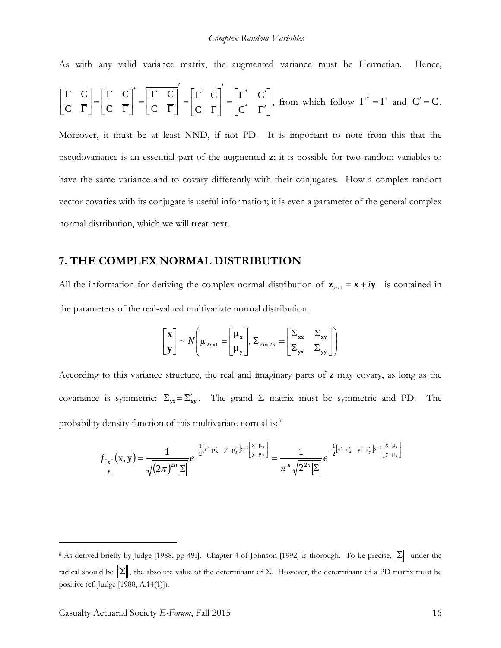As with any valid variance matrix, the augmented variance must be Hermetian. Hence,

$$
\left[\frac{\Gamma}{C} \quad \frac{C}{\Gamma}\right] = \left[\frac{\Gamma}{C} \quad \frac{C}{\Gamma}\right]^* = \left[\frac{\Gamma}{C} \quad \frac{C}{\Gamma}\right]' = \left[\frac{\Gamma}{C} \quad \frac{C}{\Gamma}\right]' = \left[\frac{\Gamma^*}{C^*} \quad \frac{C'}{\Gamma'}\right], \text{ from which follow } \Gamma^* = \Gamma \text{ and } C' = C.
$$

Moreover, it must be at least NND, if not PD. It is important to note from this that the pseudovariance is an essential part of the augmented **z**; it is possible for two random variables to have the same variance and to covary differently with their conjugates. How a complex random vector covaries with its conjugate is useful information; it is even a parameter of the general complex normal distribution, which we will treat next.

#### **7. THE COMPLEX NORMAL DISTRIBUTION**

All the information for deriving the complex normal distribution of  $\mathbf{z}_{n\times1} = \mathbf{x} + i\mathbf{y}$  is contained in the parameters of the real-valued multivariate normal distribution:

$$
\begin{bmatrix} \mathbf{x} \\ \mathbf{y} \end{bmatrix} \sim N \left( \mu_{2n \times 1} = \begin{bmatrix} \mu_{\mathbf{x}} \\ \mu_{\mathbf{y}} \end{bmatrix}, \Sigma_{2n \times 2n} = \begin{bmatrix} \Sigma_{\mathbf{x} \mathbf{x}} & \Sigma_{\mathbf{x} \mathbf{y}} \\ \Sigma_{\mathbf{y} \mathbf{x}} & \Sigma_{\mathbf{y} \mathbf{y}} \end{bmatrix} \right)
$$

According to this variance structure, the real and imaginary parts of **z** may covary, as long as the covariance is symmetric:  $\Sigma_{yx} = \Sigma'_{xy}$ . The grand  $\Sigma$  matrix must be symmetric and PD. The probability density function of this multivariate normal is:<sup>[8](#page-15-0)</sup>

$$
f_{\begin{bmatrix} x \\ y \end{bmatrix}}(x,y) = \frac{1}{\sqrt{(2\pi)^{2n}|\Sigma|}} e^{-\frac{1}{2}[x'-\mu'_x - y'-\mu'_y] \Sigma^{-1} \begin{bmatrix} x-\mu_x \\ y-\mu_y \end{bmatrix}} = \frac{1}{\pi^n \sqrt{2^{2n}|\Sigma|}} e^{-\frac{1}{2}[x'-\mu'_x - y'-\mu'_y] \Sigma^{-1} \begin{bmatrix} x-\mu_x \\ y-\mu_y \end{bmatrix}}
$$

<span id="page-15-0"></span><sup>&</sup>lt;sup>8</sup> As derived briefly by Judge [1988, pp 49f]. Chapter 4 of Johnson [1992] is thorough. To be precise,  $|\Sigma|$  under the radical should be  $\|\Sigma\|$ , the absolute value of the determinant of Σ. However, the determinant of a PD matrix must be positive (cf. Judge [1988, A.14(1)]).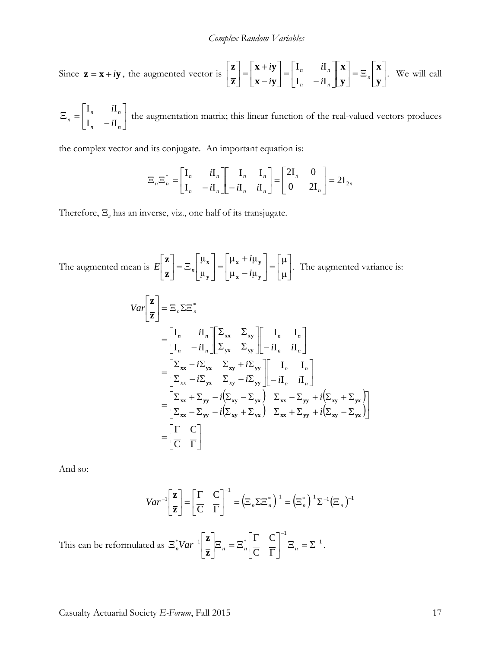Since 
$$
\mathbf{z} = \mathbf{x} + i\mathbf{y}
$$
, the augmented vector is  $\begin{bmatrix} \mathbf{z} \\ \overline{\mathbf{z}} \end{bmatrix} = \begin{bmatrix} \mathbf{x} + i\mathbf{y} \\ \mathbf{x} - i\mathbf{y} \end{bmatrix} = \begin{bmatrix} \mathbf{I}_n & i\mathbf{I}_n \\ \mathbf{I}_n & -i\mathbf{I}_n \end{bmatrix} \begin{bmatrix} \mathbf{x} \\ \mathbf{y} \end{bmatrix} = \mathbf{\Xi}_n \begin{bmatrix} \mathbf{x} \\ \mathbf{y} \end{bmatrix}$ . We will call

$$
\Xi_n = \begin{bmatrix} I_n & iI_n \\ I_n & -iI_n \end{bmatrix}
$$
 the augmentation matrix; this linear function of the real-valued vectors produces

the complex vector and its conjugate. An important equation is:

$$
\Xi_n \Xi_n^* = \begin{bmatrix} I_n & iI_n \\ I_n & -iI_n \end{bmatrix} \begin{bmatrix} I_n & I_n \\ -iI_n & iI_n \end{bmatrix} = \begin{bmatrix} 2I_n & 0 \\ 0 & 2I_n \end{bmatrix} = 2I_{2n}
$$

Therefore, Ξ*<sup>n</sup>* has an inverse, viz., one half of its transjugate.

The augmented mean is  $E\left[\frac{m}{\sigma}\right] = \mathbb{E}_n \left[\begin{array}{c} x \\ y \end{array}\right] = \left[\begin{array}{c} x \\ y \\ z \end{array}\right] = \left[\begin{array}{c} m \\ n \end{array}\right]$  $\rfloor$  $\left| \frac{\mu}{\cdot} \right|$ L  $=$ 」  $\left| \begin{array}{cc} \mu_x + i\mu_y \\ \mu_y - i\mu_z \end{array} \right|$ L L − +  $\vert$  = 」  $\left| \begin{array}{c} \mu_x \\ \mu_y \end{array} \right|$ L L  $\vert = \Xi$ J  $\overline{\phantom{a}}$ L L L μ μ μ<sub>x</sub>  $-i\mu$  $\mu_{\rm x} + i\mu$ μ μ  $\mathbf{x}$   $\mu_{\mathbf{y}}$  $\mathbf{x}$ <sup> $\mathbf{u}$ </sup> $\mathbf{v}$  $\mathbf{v}$ **y x z z** *i i*  $E\left[\frac{1}{\pi}\right] = \Xi_n \left(\frac{1}{n}\right) = \left|\frac{1}{n}\right|$   $\frac{1}{n}$   $\left|\frac{1}{n}\right| = \left|\frac{1}{n}\right|$ . The augmented variance is:

$$
Var\left[\frac{\mathbf{z}}{\mathbf{z}}\right] = \Xi_n \Sigma \Xi_n^*
$$
  
\n=
$$
\begin{bmatrix} I_n & iI_n \\ I_n & -iI_n \end{bmatrix} \begin{bmatrix} \Sigma_{xx} & \Sigma_{xy} \\ \Sigma_{yx} & \Sigma_{yy} \end{bmatrix} \begin{bmatrix} I_n & I_n \\ -iI_n & iI_n \end{bmatrix}
$$
  
\n=
$$
\begin{bmatrix} \Sigma_{xx} + i\Sigma_{yx} & \Sigma_{xy} + i\Sigma_{yy} \\ \Sigma_{xx} - i\Sigma_{yx} & \Sigma_{xy} - i\Sigma_{yy} \end{bmatrix} \begin{bmatrix} I_n & I_n \\ -iI_n & iI_n \end{bmatrix}
$$
  
\n=
$$
\begin{bmatrix} \Sigma_{xx} + \Sigma_{yy} - i(\Sigma_{xy} - \Sigma_{yx}) & \Sigma_{xx} - \Sigma_{yy} + i(\Sigma_{xy} + \Sigma_{yx}) \\ \Sigma_{xx} - \Sigma_{yy} - i(\Sigma_{xy} + \Sigma_{yx}) & \Sigma_{xx} + \Sigma_{yy} + i(\Sigma_{xy} - \Sigma_{yx}) \end{bmatrix}
$$
  
\n=
$$
\begin{bmatrix} \Gamma & C \\ \overline{C} & \overline{\Gamma} \end{bmatrix}
$$

And so:

$$
Var^{-1}\left[\frac{\mathbf{z}}{\mathbf{z}}\right] = \left[\frac{\Gamma}{\mathbf{C}} \quad \frac{\mathbf{C}}{\Gamma}\right]^{-1} = \left(\Xi_n \Sigma \Xi_n^*\right)^{-1} = \left(\Xi_n^*\right)^{-1} \Sigma^{-1} \left(\Xi_n\right)^{-1}
$$

This can be reformulated as  $\sum_{n=1}^{\infty} |X_i - \sum_{n=1}^{\infty}|X_i - \sum_{n=1}^{\infty}|X_i - \sum_{n=1}^{\infty}|X_i - \sum_{n=1}^{\infty}|X_i - \sum_{n=1}^{\infty}|X_i - \sum_{n=1}^{\infty}|X_i - \sum_{n=1}^{\infty}|X_i - \sum_{n=1}^{\infty}|X_i - \sum_{n=1}^{\infty}|X_i - \sum_{n=1}^{\infty}|X_i - \sum_{n=1}^{\infty}|X_i - \sum_{n=1}^{\infty$ 1  $^*$ Var<sup>-1|</sup>  $^*$   $\Box$   $\Box$   $\Box^*$  $\mathcal{C}_{0}^{(n)}$  $C^{-1}$ <sub> $\Xi$ </sub>  $\Xi$   $\Gamma$ <sup>-</sup>  $\left| \frac{z}{\pi} \right| \Xi_n = \Xi_n^* \left| \frac{z}{C} \right| \frac{z}{\Gamma} \left| \frac{z}{z_n} \right| = \Sigma$  $\rfloor$  $\left| \begin{matrix} \Gamma & C \\ \overline{C} & \overline{\Gamma} \end{matrix} \right|$ L L Γ Γ  $\Big| \Xi_n = \Xi$ J  $\overline{\phantom{a}}$  $\mathbf{r}$  $\mathbf{E}_n^*Var^{-1}\left[\mathbf{Z}\right]\mathbf{E}_n = \mathbf{E}_n^*\left[\frac{\Gamma}{\mathbf{C}}\right]\left[\frac{\Gamma}{\Gamma}\right]^{-1}\mathbf{E}_n = \Sigma^{-1}.$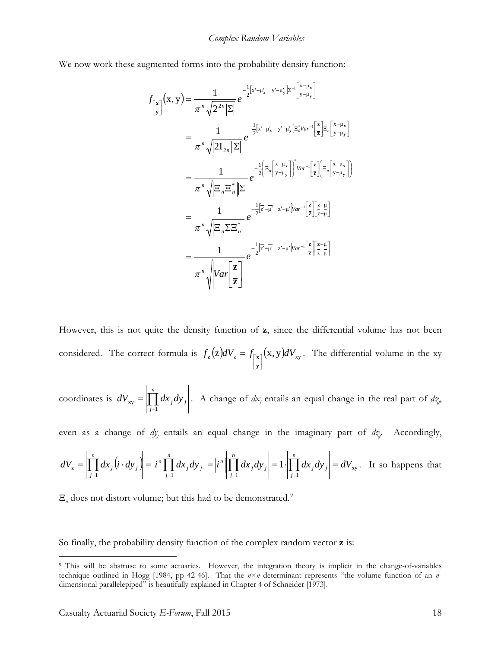We now work these augmented forms into the probability density function:

$$
f_{\begin{bmatrix} \mathbf{x} \\ \mathbf{y} \end{bmatrix}}(\mathbf{x}, \mathbf{y}) = \frac{1}{\pi^n \sqrt{2^{2n} |\Sigma|}} e^{-\frac{1}{2} [\mathbf{x}' - \mu'_\mathbf{x} - \mathbf{y}' - \mu'_\mathbf{y}] \Sigma^{-1} [\mathbf{x} - \mu_\mathbf{x}]} = \frac{1}{\pi^n \sqrt{|2I_{2n}||\Sigma|}} e^{-\frac{1}{2} [\mathbf{x}' - \mu'_\mathbf{x} - \mathbf{y}' - \mu'_\mathbf{y}] \Sigma^*_{n} \text{Var}^{-1} [\mathbf{z}] \Sigma_n [\mathbf{x} - \mu_\mathbf{x}]} = \frac{1}{\pi^n \sqrt{|\Xi_n \Xi_n^*||\Sigma|}} e^{-\frac{1}{2} [\Xi_n [\mathbf{x} - \mu_\mathbf{x}]]^* \text{Var}^{-1} [\mathbf{z}][\Xi_n [\mathbf{x} - \mu_\mathbf{x}]]}
$$
  
\n
$$
= \frac{1}{\pi^n \sqrt{|\Xi_n \Sigma_n^*|}} e^{-\frac{1}{2} [\mathbf{z}' - \mu'_\mathbf{x} - \mathbf{z}' - \mu'_\mathbf{x}] \text{Var}^{-1} [\mathbf{z}][\mathbf{z} - \mu'_\mathbf{x}]}{[\mathbf{z}][\mathbf{z} - \mu]} = \frac{1}{\pi^n \sqrt{|\Xi_n \Sigma_n^*|}} e^{-\frac{1}{2} [\mathbf{z}' - \mu'_\mathbf{x} - \mu'_\mathbf{x}] \text{Var}^{-1} [\mathbf{z}][\mathbf{z} - \mu]} = \frac{1}{\pi^n \sqrt{|\text{Var} [\mathbf{z}]} e^{-\frac{1}{2} [\mathbf{z}' - \mu'_\mathbf{x} - \mu'_\mathbf{x}] \text{Var}^{-1} [\mathbf{z}][\mathbf{z} - \mu]} = \pi^n \sqrt{|\text{Var} [\mathbf{z}]]}
$$

However, this is not quite the density function of **z**, since the differential volume has not been considered. The correct formula is  $f_z(z) dV_z = f_{\begin{bmatrix} x \\ y \end{bmatrix}}(x, y) dV_{xy}$  $=f_{\vert}$ **y**  $\int_{\mathbf{z}} (z) dV_z = f_{\lceil \mathbf{x} \rceil}(\mathbf{x}, \mathbf{y}) dV_{\mathbf{xy}}$ . The differential volume in the xy

coordinates is 
$$
dV_{xy} = \left| \prod_{j=1}^{n} dx_j dy_j \right|
$$
. A change of  $dx_j$  entails an equal change in the real part of  $dz_j$ .

even as a change of  $dy_j$  entails an equal change in the imaginary part of  $dy_j$ . Accordingly,

$$
dV_{z} = \left| \prod_{j=1}^{n} dx_{j} \left( i \cdot dy_{j} \right) \right| = \left| i^{n} \prod_{j=1}^{n} dx_{j} dy_{j} \right| = \left| i^{n} \left| \prod_{j=1}^{n} dx_{j} dy_{j} \right| = 1 \cdot \left| \prod_{j=1}^{n} dx_{j} dy_{j} \right| = dV_{xy}.
$$
 It so happens that

 $\Xi_n$  does not distort volume; but this had to be demonstrated.<sup>[9](#page-17-0)</sup>

So finally, the probability density function of the complex random vector **z** is:

<span id="page-17-0"></span><sup>&</sup>lt;sup>9</sup> This will be abstruse to some actuaries. However, the integration theory is implicit in the change-of-variables technique outlined in Hogg [1984, pp 42-46]. That the *n*×*n* determinant represents "the volume function of an *n*dimensional parallelepiped" is beautifully explained in Chapter 4 of Schneider [1973].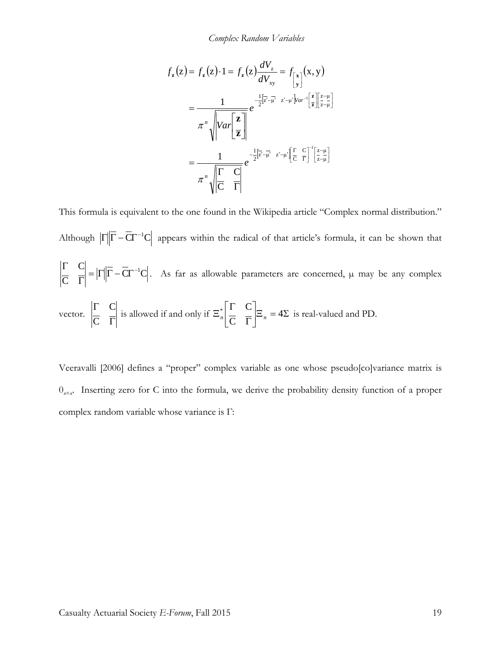*Complex Random Variables*

$$
f_{z}(z) = f_{z}(z) \cdot 1 = f_{z}(z) \frac{dV_{z}}{dV_{xy}} = f_{\begin{bmatrix} x \\ y \end{bmatrix}}(x, y)
$$

$$
= \frac{1}{\pi^{n} \sqrt{Var\left[\frac{z}{z}\right]}} e^{-\frac{1}{2}\left[\overline{z} - \overline{\mu}^{2} - \overline{z}^{2} - \mu^{2}\right]Var^{-1}\left[\frac{z}{z}\right]\left[\frac{z - \mu}{z - \mu}\right]}
$$

$$
= \frac{1}{\pi^{n} \sqrt{\frac{\Gamma}{|C|}} \prod_{i=1}^{n} e^{-\frac{1}{2}\left[\overline{z}^{2} - \overline{\mu}^{2} - \overline{z}^{2} - \mu^{2}\right] \left[\frac{\Gamma}{|C|} \right]^{\Gamma}\left[\frac{z - \mu}{|z - \mu|}\right]}
$$

This formula is equivalent to the one found in the Wikipedia article "Complex normal distribution." Although  $\left|\Gamma\right|\left|\overline{\Gamma}-\overline{\mathrm{C}}\Gamma^{-1}\mathrm{C}\right|$  appears within the radical of that article's formula, it can be shown that  $C\Gamma^{-1}C$  $\mathsf{C}$  $\begin{bmatrix} C \\ = \vert \Gamma \vert \vert \overline{\Gamma} - \overline{\mathbf{C}} \Gamma^{-1} \end{bmatrix}$ Γ  $\frac{\Gamma}{\sigma} = |\Gamma| \overline{\Gamma} - \overline{\text{CT}}^{-1}\text{C}|$ . As far as allowable parameters are concerned,  $\mu$  may be any complex vector. Γ Γ  $\mathsf{C}$  $\mathcal{C}_{0}^{(n)}$ is allowed if and only if  $\Xi_n^*$   $\Big| \frac{1}{C} \Big| \frac{1}{\Gamma} \Big| \Xi_n = 4\Sigma$  $\rfloor$  $\left| \begin{array}{cc} \Gamma & C \\ \overline{C} & \overline{\Gamma} \end{array} \right|$ L  $\overline{ }$ Γ Γ  $\Xi_n^*$   $\Big|\frac{1}{\Xi_n}\Big|$   $\Xi_n=4$  $\mathsf{C}$  $\left| \begin{array}{cc} \Gamma & C \end{array} \right|$  $\frac{1}{n}$   $\frac{1}{n}$   $\frac{1}{n}$   $\frac{1}{n}$   $\frac{1}{n}$  = 4 $\frac{1}{n}$  is real-valued and PD.

Veeravalli [2006] defines a "proper" complex variable as one whose pseudo[co]variance matrix is  $0_{n \times n}$ . Inserting zero for C into the formula, we derive the probability density function of a proper complex random variable whose variance is Γ: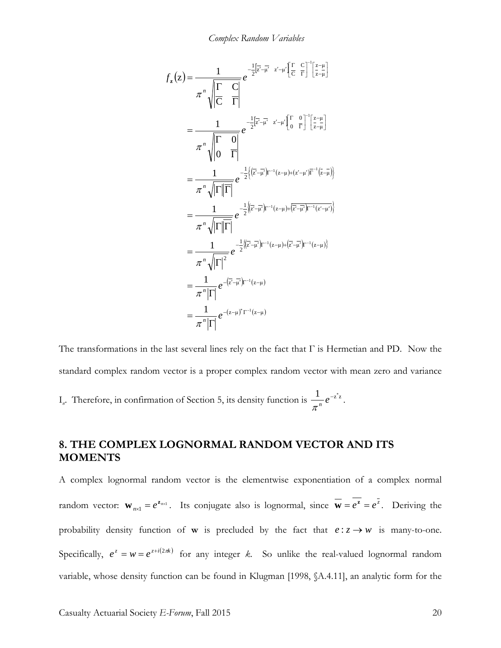*Complex Random Variables*

$$
f_{z}(z) = \frac{1}{\pi^{n} \sqrt{\left|\frac{\Gamma}{\Gamma}\right|}} e^{-\frac{1}{2}\left[\overline{z} - \overline{\mu}\right]z - \mu' \left[\frac{\Gamma}{\Gamma}\right] \left[\frac{z - \mu}{z - \mu}\right]}
$$
  
\n
$$
= \frac{1}{\pi^{n} \sqrt{\left|\frac{\Gamma}{\Gamma}\right|}} e^{-\frac{1}{2}\left[\overline{z} - \overline{\mu}\right]z - \mu' \left[\frac{\Gamma}{\Gamma}\right] \left[\frac{z - \mu}{z - \mu}\right]}
$$
  
\n
$$
= \frac{1}{\pi^{n} \sqrt{\left|\Gamma\right| \overline{\Gamma}}}
$$
  
\n
$$
= \frac{1}{\pi^{n} \sqrt{\left|\Gamma\right| \overline{\Gamma}}}
$$
  
\n
$$
= \frac{1}{\pi^{n} \sqrt{\left|\Gamma\right| \overline{\Gamma}}}
$$
  
\n
$$
= \frac{1}{\pi^{n} \sqrt{\left|\Gamma\right| \overline{\Gamma}}}
$$
  
\n
$$
= \frac{1}{\pi^{n} \sqrt{\left|\Gamma\right| \overline{\Gamma}}}
$$
  
\n
$$
= \frac{1}{\pi^{n} \sqrt{\left|\Gamma\right| \overline{\Gamma}}}
$$
  
\n
$$
= \frac{1}{\pi^{n} \sqrt{\left|\Gamma\right|^2}} e^{-\frac{1}{2}\left(\left[\overline{z} - \overline{\mu}\right)\right)^{-1}(z - \mu) + \left[\overline{z} - \overline{\mu}\right)\right)^{-1}(z - \mu')}
$$
  
\n
$$
= \frac{1}{\pi^{n} \sqrt{\left|\Gamma\right|^2}} e^{-\frac{1}{2}\left(\left[\overline{z} - \overline{\mu}\right)\right)^{-1}(z - \mu) + \left[\overline{z} - \overline{\mu}\right)\right)^{-1}(z - \mu)}}
$$
  
\n
$$
= \frac{1}{\pi^{n} \left|\Gamma\right|} e^{-(z - \mu)^{n} \Gamma^{-1}(z - \mu)}
$$

The transformations in the last several lines rely on the fact that  $\Gamma$  is Hermetian and PD. Now the standard complex random vector is a proper complex random vector with mean zero and variance I<sub>n</sub>. Therefore, in confirmation of Section 5, its density function is  $\frac{1}{\pi^n}e^{-z^2z}$ .

## **8. THE COMPLEX LOGNORMAL RANDOM VECTOR AND ITS MOMENTS**

A complex lognormal random vector is the elementwise exponentiation of a complex normal random vector:  $\mathbf{w}_{n \times 1} = e^{\mathbf{z}_{n \times 1}}$ . Its conjugate also is lognormal, since  $\mathbf{\overline{w}} = e^{\mathbf{z}} = e^{\mathbf{z}}$ . Deriving the probability density function of **w** is precluded by the fact that  $e: z \rightarrow w$  is many-to-one. Specifically,  $e^z = w = e^{z+i(2\pi k)}$  for any integer *k*. So unlike the real-valued lognormal random variable, whose density function can be found in Klugman [1998, §A.4.11], an analytic form for the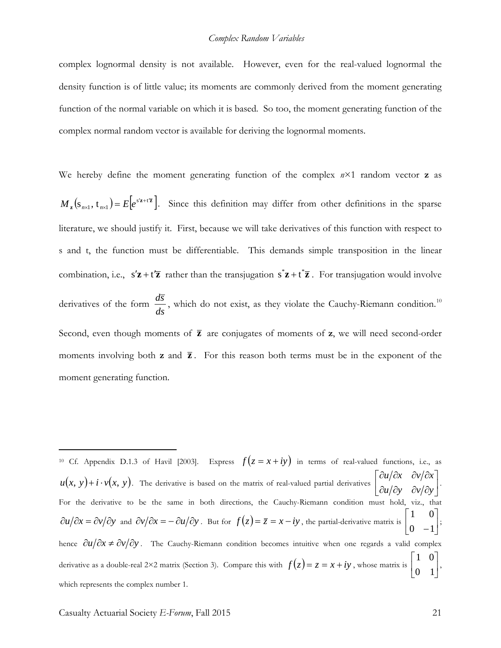complex lognormal density is not available. However, even for the real-valued lognormal the density function is of little value; its moments are commonly derived from the moment generating function of the normal variable on which it is based. So too, the moment generating function of the complex normal random vector is available for deriving the lognormal moments.

We hereby define the moment generating function of the complex  $n \times 1$  random vector **z** as  $\mathbf{z}_{\mathbf{z}}\left(s_{n\times1},\mathbf{t}_{n\times1}\right)=E\left[e^{s'\mathbf{z}+t'\mathbf{\overline{z}}}\right]$  $M_{\mathbf{z}}\left(s_{n\times1},\mathbf{t}_{n\times1}\right)=E\left[e^{s'\mathbf{z}+t'\mathbf{\bar{z}}}\right]$ . Since this definition may differ from other definitions in the sparse literature, we should justify it. First, because we will take derivatives of this function with respect to s and t, the function must be differentiable. This demands simple transposition in the linear combination, i.e.,  $s'z + t'\overline{z}$  rather than the transjugation  $s^*z + t^*\overline{z}$ . For transjugation would involve derivatives of the form *ds*  $\frac{d\bar{s}}{dt}$ , which do not exist, as they violate the Cauchy-Riemann condition.<sup>[10](#page-20-0)</sup> Second, even though moments of **z** are conjugates of moments of **z**, we will need second-order moments involving both  $z$  and  $\overline{z}$ . For this reason both terms must be in the exponent of the moment generating function.

<span id="page-20-0"></span><sup>10</sup> Cf. Appendix D.1.3 of Havil [2003]. Express  $f(z = x + iy)$  in terms of real-valued functions, i.e., as  $u(x, y) + i \cdot v(x, y)$ . The derivative is based on the matrix of real-valued partial derivatives  $\begin{bmatrix} \frac{\partial u}{\partial y} & \frac{\partial v}{\partial x} \\ \frac{\partial u}{\partial y} & \frac{\partial v}{\partial y} \end{bmatrix}$  $\rfloor$  $\begin{vmatrix} \frac{\partial u}{\partial x} & \frac{\partial v}{\partial x} \\ \frac{\partial u}{\partial y} & \frac{\partial v}{\partial y} \end{vmatrix}$ L  $\overline{a}$ ∂u/∂y ∂v/∂  $\partial u/\partial x \quad \partial v/\partial x$ *u /*  $\partial$ *y /*  $\partial$ *v /*  $\partial$ *y*  $u/\partial x \quad \partial v/\partial x$ . For the derivative to be the same in both directions, the Cauchy-Riemann condition must hold, viz., that  $\partial u/\partial x = \partial v/\partial y$  and  $\partial v/\partial x = -\partial u/\partial y$ . But for  $f(z) = \overline{z} = x - iy$ , the partial-derivative matrix is  $\begin{bmatrix} 1 & 0 \\ 0 & 1 \end{bmatrix}$  $\rfloor$  $\begin{vmatrix} 1 & 0 \\ 0 & 1 \end{vmatrix}$ L L  $0 -1$ 1 0 ; hence  $\partial u / \partial x \neq \partial v / \partial y$ . The Cauchy-Riemann condition becomes intuitive when one regards a valid complex derivative as a double-real 2×2 matrix (Section 3). Compare this with  $f(z) = z = x + iy$ , whose matrix is  $\begin{bmatrix} 1 & 0 \\ 0 & 1 \end{bmatrix}$  $\rfloor$ L 0 1  $\begin{bmatrix} 1 & 0 \\ 0 & 0 \end{bmatrix}$ which represents the complex number 1.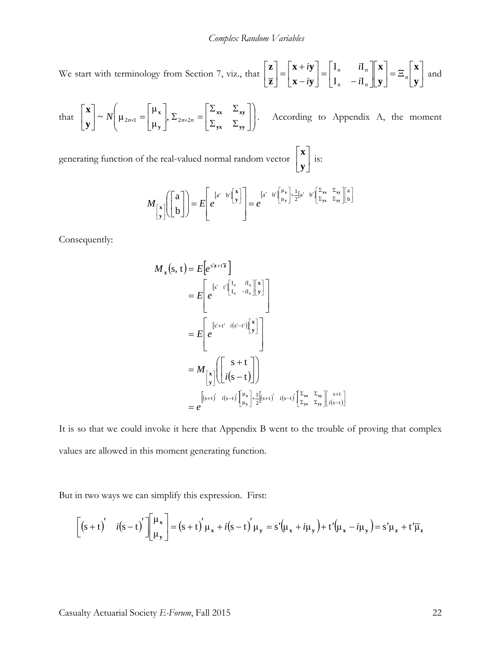We start with terminology from Section 7, viz., that  $\left| \frac{1}{\pi} \right| = \left| \frac{1}{\pi} \right| \cdot \left| \frac{1}{\pi} \right| = \left| \frac{1}{\pi} \right| \cdot \left| \frac{1}{\pi} \right| = \left| \frac{1}{\pi} \right| \cdot \left| \frac{1}{\pi} \right| = \left| \frac{1}{\pi} \right| \cdot \left| \frac{1}{\pi} \right|$ J  $\left| \begin{array}{c} \mathbf{X} \\ \mathbf{V} \end{array} \right|$ L  $=$  $\equiv$ <sub>n</sub> $\mid$ J  $\left| \begin{array}{c} \mathbf{X} \\ \mathbf{V} \end{array} \right|$ L L  $\overline{\phantom{a}}$  $\rfloor$  $\begin{vmatrix} \mathbf{I}_n & i\mathbf{I}_n \end{vmatrix}$ L L  $\begin{bmatrix} = \begin{bmatrix} -n \\ I_n \end{bmatrix}$  $\left| \begin{array}{c} \mathbf{x} + i\mathbf{y} \\ \mathbf{x} - i\mathbf{y} \end{array} \right|$ L L  $\begin{bmatrix} - \\ - \\ - \\ - \end{bmatrix} = \begin{bmatrix} - \\ - \\ - \\ - \end{bmatrix}$ J  $\overline{\phantom{a}}$  $\mathbf{r}$ L L **y x y x**  $\mathbf{x} - i\mathbf{y}$  $\mathbf{x} + i\mathbf{y}$ **z z** *n*  $n$   $\mathbf{u}_n$  $n$   $\mathbf{u}_n$ *i i i i*  $I_n - iI$  $I_n$  iI and

that  $\begin{vmatrix} \mathbf{x} \\ \mathbf{v} \end{vmatrix} \sim N \begin{vmatrix} \mu_{2n\times 1} \\ \mu_{2n\times 2} \end{vmatrix} = \begin{vmatrix} \mu_{\mathbf{x}} \\ \mu_{2n\times 2n} \end{vmatrix} = \begin{vmatrix} \frac{\mu_{\mathbf{x}}}{2} \\ \frac{\mu_{2n\times 2n}}{2} \end{vmatrix}$  $\bigg)$  $\backslash$  $\overline{\phantom{a}}$  $\mathsf{I}$  $\setminus$ ſ  $\overline{\phantom{a}}$ J  $\left| \begin{array}{cc} \Sigma_{xx} & \Sigma_{xy} \\ \Sigma & \Sigma \end{array} \right|$ L  $\overline{ }$  $\Sigma_{\mathbf{v}\mathbf{v}}$   $\Sigma$  $\Sigma_{xx}$  Σ  $\sum_{2n\times 2n}$  =  $\rfloor$  $\begin{vmatrix} \mu_x \\ \mu_y \end{vmatrix}$ L  $\left| \sim N \right| \mu_{2n \times 1} =$ ╛  $\left| \begin{array}{c} \mathbf{X} \\ \mathbf{V} \end{array} \right|$ L L  $\times 1$   $\begin{array}{ccc} \end{array}$   $\begin{array}{ccc} \end{array}$   $\begin{array}{ccc} \end{array}$   $\begin{array}{ccc} \end{array}$   $\begin{array}{ccc} \end{array}$   $\begin{array}{ccc} \end{array}$   $\begin{array}{ccc} \end{array}$   $\begin{array}{ccc} \end{array}$   $\begin{array}{ccc} \end{array}$   $\begin{array}{ccc} \end{array}$   $\begin{array}{ccc} \end{array}$   $\begin{array}{ccc} \end{array}$   $\begin{array}{ccc} \end{array}$   $\begin{array}{ccc} \end{array}$   $\begin{$  $y$ **x**  $\rightarrow$   $y$ **y**  $\mathbf{x} \mathbf{x} \longrightarrow \mathbf{x} \mathbf{y}$ **y x y x**  $N\left(\mu_{2n\times1}=\left|\begin{array}{c}1\atop{1}\atop{1}\atop{1}\end{array}\right|,\Sigma_{2n\times2n}\right)$  $\sim N \left( \mu_{2n \times 1} = \begin{bmatrix} \mu_{\mathbf{x}} \\ \mu_{2n \times 1} \end{bmatrix} \right) \left[ \sum_{x} \sum_{x} \mathbf{x}_y \right]$ . According to Appendix A, the moment

generating function of the real-valued normal random vector  $\begin{bmatrix} 1 \\ 1 \end{bmatrix}$  $\rfloor$  $\left|\frac{\mathbf{x}}{\mathbf{v}}\right|$ L  $\mathbf{r}$ **y x** is:

$$
M_{\begin{bmatrix} x \\ y \end{bmatrix}} \begin{bmatrix} a \\ b \end{bmatrix} = E \begin{bmatrix} e^{[a' - b'] \begin{bmatrix} x \\ y \end{bmatrix}} \\ e^{[a' - b'] \begin{bmatrix} u \\ y \end{bmatrix}} = e^{[a' - b'] \begin{bmatrix} \mu_x \\ \mu_y \end{bmatrix} + \frac{1}{2} [a' - b'] \begin{bmatrix} \Sigma_{xx} & \Sigma_{xy} \\ \Sigma_{yx} & \Sigma_{yy} \end{bmatrix} \begin{bmatrix} a \\ b \end{bmatrix}}
$$

Consequently:

$$
M_{\mathbf{z}}(s, t) = E\left[e^{s'\mathbf{z} + t\overline{\mathbf{z}}}\right]
$$
  
\n
$$
= E\left[e^{\left[s'\cdot t'\right]\begin{bmatrix}I_n & I_n\\I_n & -iI_n\end{bmatrix}\begin{bmatrix}\mathbf{x}\\y\end{bmatrix}}\right]
$$
  
\n
$$
= E\left[e^{\left[s'+t'\cdot i(s'-t')\begin{bmatrix}\mathbf{x}\\y\end{bmatrix}\right]}\right]
$$
  
\n
$$
= M_{\begin{bmatrix}\mathbf{x}\\y\end{bmatrix}}\left(\begin{bmatrix}\mathbf{s} + t\\i(s - t)\end{bmatrix}\right)
$$
  
\n
$$
= e^{\left[(s+t)'-i(s-t')\begin{bmatrix}\mu_{\mathbf{x}}\\ \mu_{\mathbf{y}}\end{bmatrix} + \frac{1}{2}\begin{bmatrix}(s+t)' & i(s-t')\begin{bmatrix}\Sigma_{\mathbf{x}} & \Sigma_{\mathbf{x}\mathbf{y}}\\ \Sigma_{\mathbf{y}\mathbf{x}} & \Sigma_{\mathbf{y}\mathbf{y}}\end{bmatrix}\begin{bmatrix}\mathbf{s} + t\\i(s - t)\end{bmatrix}\right]
$$

It is so that we could invoke it here that Appendix B went to the trouble of proving that complex values are allowed in this moment generating function.

But in two ways we can simplify this expression. First:

$$
\left[\left(s+t\right)' \quad i\left(s-t\right)'\right] \begin{bmatrix} \mu_x \\ \mu_y \end{bmatrix} = \left(s+t\right)' \mu_x + i\left(s-t\right)' \mu_y = s' \left(\mu_x + i\mu_y\right) + t' \left(\mu_x - i\mu_y\right) = s' \mu_z + t' \overline{\mu}_z
$$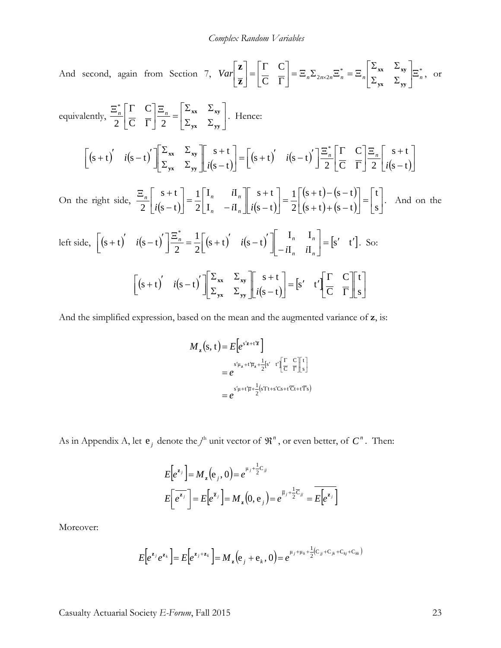And second, again from Section 7,  $Var\left[\frac{Z}{Z}\right] = \frac{1}{Z} \sum_{n=-\infty}^{\infty} \sum_{n=-\infty}^{\infty} \sum_{n=-\infty}^{\infty} \frac{1}{n} \sum_{n=-\infty}^{\infty} \sum_{n=-\infty}^{\infty} \frac{1}{n} \sum_{n=-\infty}^{\infty} \frac{1}{n} \sum_{n=-\infty}^{\infty} \frac{1}{n} \sum_{n=-\infty}^{\infty} \frac{1}{n} \sum_{n=-\infty}^{\infty} \frac{1}{$  $\overline{C}$   $\overline{\Gamma}$   $\overline{\Gamma}$   $\overline{\Gamma}$   $\overline{\Gamma}$   $\overline{\Gamma}$  $\mathcal{C}_{0}^{(n)}$  $Var\left[\frac{\bf{r}}{n}\right]=\left|\frac{\bf{r}}{n}\right|=\frac{\bf{r}}{n}\sum_{n\geq 2}\sum_{n\geq n}a_{n}=\frac{\bf{r}}{n}\left|\frac{\bf{x}}{n}\right|$ J  $\left| \begin{array}{cc} \Sigma_{xx} & \Sigma_{xy} \\ \Gamma & \Gamma \end{array} \right|$ L L  $\Sigma_{\mathbf{v}\mathbf{v}}$   $\Sigma$  $\Sigma_{xx}$  Σ  $\Big| = \Xi_n \Sigma_{2n \times 2n} \Xi_n^* = \Xi$ J  $\left| \begin{matrix} \Gamma & C \\ \overline{C} & \overline{\Gamma} \end{matrix} \right|$ L  $\overline{ }$  $\begin{bmatrix} = \begin{bmatrix} \Gamma & C \\ \overline{C} & \overline{\Gamma} \end{bmatrix} \end{bmatrix}$  $\rfloor$  $\overline{\phantom{a}}$  $\mathsf{L}$ L  $\overline{ }$ ×  $y$ **x**  $\sim$   $y$ **y**  $\mathbf{x} \mathbf{x} \longrightarrow \mathbf{x} \mathbf{y}$ **z z** , or

equivalently,  $\frac{-n}{2} \left| \frac{z}{C} \right| = \frac{z}{2} \left| \frac{z}{2} \right| = \frac{1}{N} \left| \frac{xy}{y} \right|$ 」  $\left| \begin{array}{cc} \Sigma_{xx} & \Sigma_{xy} \\ \Sigma & \Sigma \end{array} \right|$ L  $\mathbf{r}$  $\Sigma_{\mathbf{v}\mathbf{v}}$   $\Sigma$  $\frac{\Xi_n}{2} = \begin{bmatrix} \Sigma_{xx} & \Sigma \\ \Sigma_{xx} & \Sigma \end{bmatrix}$  $\rfloor$  $\left| \begin{matrix} \Gamma & C \\ \overline{C} & \overline{\Gamma} \end{matrix} \right|$ L L Γ Ξ $^{*}_{\textit{n}}\lceil\Gamma\hspace{-.15em}\rceil$  $y$ **x**  $\sim$   $y$ **y**  $\mathbf{x} \mathbf{x} \longrightarrow \mathbf{x} \mathbf{y}$  $C \Gamma$ | 2  $\mathsf{C}$ 2 \*  $\frac{n}{n} \left| \frac{1}{n} \right| = \left| \frac{-n}{n} \right| = \left| \frac{-\mathbf{x} \cdot \mathbf{x}}{\mathbf{x}} \right|$ . Hence:

$$
\begin{bmatrix} (s+t)' & i(s-t)' \end{bmatrix} \begin{bmatrix} \Sigma_{xx} & \Sigma_{xy} \\ \Sigma_{yx} & \Sigma_{yy} \end{bmatrix} \begin{bmatrix} s+t \\ i(s-t) \end{bmatrix} = \begin{bmatrix} (s+t)' & i(s-t)' \end{bmatrix} \begin{bmatrix} \Xi_n \\ \frac{\Sigma_n}{2} \end{bmatrix} \begin{bmatrix} C \\ \overline{C} \end{bmatrix} \begin{bmatrix} \Xi_n \\ \overline{C} \end{bmatrix} \begin{bmatrix} s+t \\ i(s-t) \end{bmatrix}
$$

On the right side,  $\frac{-n}{2} \mid i(s-t) \mid = \frac{1}{2} \mid 1, \quad -i, \quad i(s-t) \mid$  $(s + t) - (s - t)$  $(s + t) + (s - t)$  $=$  $\lfloor s \rfloor$  $\overline{\phantom{a}}$  $\mathbf{r}$ L  $=$ J  $\begin{pmatrix} (s+t)-(s-t) \\ (s+t)+(s-t) \end{pmatrix}$ L  $\overline{ }$  $\sqrt{t} = \frac{1}{2} \begin{bmatrix} (s+t) - (s-t) \\ (s+t) + (s-t) \end{bmatrix}$ J  $\begin{vmatrix} s+t \\ i(s-t) \end{vmatrix}$ L  $\mathbf{r}$ − +  $\overline{\phantom{a}}$ J  $\begin{vmatrix} \mathbf{I}_n & i\mathbf{I}_n \end{vmatrix}$ L  $\mathsf{L}$  $\Big| = \frac{1}{2} \Big|_{\Pi_n}^{\Pi_n}$  $\begin{vmatrix} s+t \\ i(s-t) \end{vmatrix}$ L L −  $\Xi_n \left[ \begin{array}{c} s + \end{array} \right]$ s t  $(s + t) + (s - t)$  $(s + t) - (s - t)$ 2 1  $s - t$  $s + t$  $I_n - iI$  $I_n$  iI 2 1  $s - t$  $s + t$  $2 |i(s-t)|$   $2|I_n -iI_n||i$ *i*  $i(s-t)$   $2[I_n - iI_n]$  $\left|\frac{n}{n}\right|$   $\left|\frac{n+1}{n}\right| = \frac{1}{n} \left|\frac{n}{n} - \frac{n}{n}\right|$   $\left|\frac{n+1}{n}\right| = \frac{1}{n} \left|\frac{n+1}{n}\right| = \frac{1}{n} \left|\frac{n+1}{n}\right| = \frac{1}{n} \left|\frac{n+1}{n}\right| = \frac{1}{n}$ . And on the

left side, 
$$
\left[ (s+t)' \quad i(s-t)' \right] \frac{\Xi_n^*}{2} = \frac{1}{2} \left[ (s+t)' \quad i(s-t)' \right] \left[ \begin{array}{cc} I_n & I_n \\ -iI_n & iI_n \end{array} \right] = [s' \quad t']
$$
. So:  

$$
\left[ (s+t)' \quad i(s-t)' \right] \left[ \begin{array}{cc} \Sigma_{xx} & \Sigma_{xy} \\ \Sigma_{yx} & \Sigma_{yy} \end{array} \right] \left[ \begin{array}{cc} s+t \\ i(s-t) \end{array} \right] = [s' \quad t' \left[ \begin{array}{cc} \Gamma & C \\ \overline{C} & \overline{\Gamma} \end{array} \right] \left[ \begin{array}{cc} t \\ s \end{array} \right]
$$

And the simplified expression, based on the mean and the augmented variance of **z**, is:

$$
M_{\mathbf{z}}(\mathbf{s}, \mathbf{t}) = E\left[e^{s'\mathbf{z} + t'\overline{\mathbf{z}}}\right]
$$
  
\n
$$
= e^{s'\mu_{\mathbf{z}} + t'\overline{\mu}_{\mathbf{z}} + \frac{1}{2}\left[s'\right]} e^{t'\left[\frac{\Gamma}{C}\right]}\left[\frac{\Gamma}{\mathbf{s}}\right]}
$$
  
\n
$$
= e^{s'\mu + t'\overline{\mu} + \frac{1}{2}\left(s'\Gamma t + s'\Gamma s + t'\overline{\Gamma} + t'\overline{\Gamma} s\right)}
$$

As in Appendix A, let  $e_j$  denote the  $j^h$  unit vector of  $\mathfrak{R}^n$ , or even better, of  $C^n$ . Then:

$$
E[e^{z_j}] = M_z(e_j, 0) = e^{\mu_j + \frac{1}{2}C_{jj}}
$$
  

$$
E[e^{z_j}] = E[e^{\bar{z}_j}] = M_z(0, e_j) = e^{\bar{\mu}_j + \frac{1}{2}C_{jj}} = E[e^{z_j}]
$$

Moreover:

$$
E\big[e^{\mathbf{z}_j}e^{\mathbf{z}_k}\big] = E\big[e^{\mathbf{z}_j + \mathbf{z}_k}\big] = M_{\mathbf{z}}\big(e_j + e_k, 0\big) = e^{\mu_j + \mu_k + \frac{1}{2}(C_{ij} + C_{jk} + C_{kj} + C_{kk})}
$$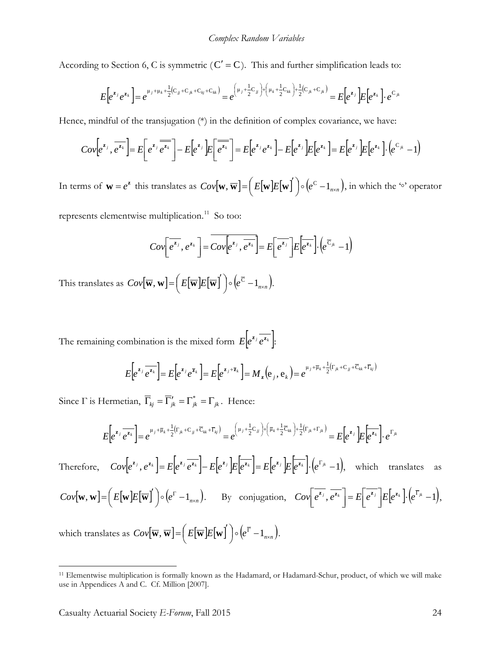According to Section 6, C is symmetric  $(C' = C)$ . This and further simplification leads to:

$$
E\big[e^{\mathbf{z}_{j}}e^{\mathbf{z}_{k}}\big] = e^{\mu_{j} + \mu_{k} + \frac{1}{2}(C_{jj} + C_{jk} + C_{kj} + C_{kk})} = e^{\left(\mu_{j} + \frac{1}{2}C_{jj}\right) + \left(\mu_{k} + \frac{1}{2}C_{kk}\right) + \frac{1}{2}(C_{jk} + C_{jk})} = E\big[e^{\mathbf{z}_{j}}\big]E\big[e^{\mathbf{z}_{k}}\big] \cdot e^{C_{jk}}
$$

Hence, mindful of the transjugation  $(*)$  in the definition of complex covariance, we have:

$$
Cov\left[e^{z_j},\overline{e^{z_k}}\right] = E\left[e^{z_j}\overline{e^{z_k}}\right] - E\left[e^{z_j}\right]E\left[\overline{e^{z_k}}\right] = E\left[e^{z_j}e^{z_k}\right] - E\left[e^{z_j}\right]E\left[e^{z_k}\right] = E\left[e^{z_j}\right]E\left[e^{z_k}\right] \cdot \left(e^{C_{jk}} - 1\right)
$$

In terms of  $\mathbf{w} = e^{\mathbf{z}}$  this translates as  $Cov[\mathbf{w}, \overline{\mathbf{w}}] = (E[\mathbf{w}]E[\mathbf{w}]) \circ (e^{\mathbf{C}} - 1_{n \times n})$ , in which the '∘' operator

represents elementwise multiplication.<sup>11</sup> So too:

$$
Cov\left[e^{\overline{z_j}}, e^{z_k}\right] = \overline{Cov\left[e^{\overline{z_j}}, \overline{e^{z_k}}\right]} = E\left[e^{\overline{z_j}}\right]E\left[e^{\overline{z_k}}\right]\cdot \left(e^{\overline{C}_{jk}} - 1\right)
$$

This translates as  $Cov[\overline{\mathbf{w}}, \mathbf{w}] = \left(E[\overline{\mathbf{w}}]E[\overline{\mathbf{w}}]\right) \circ \left(e^{\overline{C}} - 1_{n \times n}\right)$ .

The remaining combination is the mixed form  $E \Big| e^{z_j} \overline{e^{z_k}} \Big|$ :

$$
E\left[e^{\mathbf{z}_j}\overline{e^{\mathbf{z}_k}}\right] = E\left[e^{\mathbf{z}_j}e^{\overline{\mathbf{z}}_k}\right] = E\left[e^{\mathbf{z}_j + \overline{\mathbf{z}}_k}\right] = M_{\mathbf{z}}\left(e_j, e_k\right) = e^{\mu_j + \overline{\mu}_k + \frac{1}{2}\left(\Gamma_{jk} + \mathbf{C}_{jj} + \overline{\mathbf{C}}_{kk} + \overline{\Gamma}_{kj}\right)}
$$

Since  $\Gamma$  is Hermetian,  $\overline{\Gamma}_{kj} = \overline{\Gamma}'_{jk} = \Gamma^*_{jk} = \Gamma_{jk}$ . Hence:

$$
E\left[e^{\mathbf{z}_j}\overline{e^{\mathbf{z}_k}}\right] = e^{\mu_j + \overline{\mu}_k + \frac{1}{2}\left(\Gamma_{jk} + \mathbf{C}_{jj} + \overline{\mathbf{C}}_{kk} + \overline{\Gamma}_{kj}\right)} = e^{\left(\mu_j + \frac{1}{2}\mathbf{C}_{jj}\right) + \left(\overline{\mu}_k + \frac{1}{2}\overline{\mathbf{C}}_{kk}\right) + \frac{1}{2}\left(\Gamma_{jk} + \Gamma_{jk}\right)} = E\left[e^{\mathbf{z}_j}\right]E\left[e^{\overline{\mathbf{z}_k}}\right] \cdot e^{\Gamma_{jk}}
$$

Therefore,  $Cov[e^{z_j}, e^{z_k}] = E[e^{z_j} \overline{e^{z_k}}] - E[e^{z_j}]E[e^{z_k}] = E[e^{z_j}]E[e^{z_k}].(e^{\Gamma_{jk}}-1)$ , which translates as  $Cov[\mathbf{w}, \mathbf{w}] = \left(E[\mathbf{w}]E[\overline{\mathbf{w}}]\right) \circ \left(e^{\Gamma} - 1_{n \times n}\right)$ . By conjugation,  $Cov\left[e^{\overline{z_j}}, \overline{e^{\overline{z_k}}}\right] = E\left[e^{\overline{z_j}}\right]E\left[e^{\overline{z_k}}\right] \cdot \left(e^{\overline{\Gamma}_{jk}} - 1\right)$ L  $=$   $E$  $\rfloor$  $\overline{\phantom{a}}$  $Cov\left[e^{\overline{z_j}}, \overline{e^{\overline{z_k}}}\right] = E\left[e^{\overline{z_j}}\right]E\left[e^{\overline{z_k}}\right]\cdot \left(e^{\overline{z_{jk}}}-1\right),$ which translates as  $Cov[\overline{\mathbf{w}}, \overline{\mathbf{w}}] = (E[\overline{\mathbf{w}}]E[\mathbf{w}]) \circ (e^{\overline{\Gamma}} - 1_{n \times n}).$ 

<span id="page-23-0"></span><sup>11</sup> Elementwise multiplication is formally known as the Hadamard, or Hadamard-Schur, product, of which we will make use in Appendices A and C. Cf. Million [2007].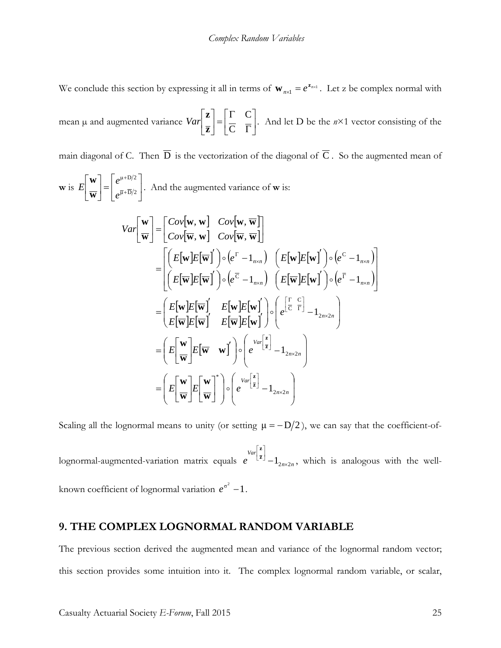We conclude this section by expressing it all in terms of  $\mathbf{w}_{n \times 1} = e^{\mathbf{z}_{n \times 1}}$ . Let z be complex normal with

mean  $\mu$  and augmented variance  $Var\left[\frac{m}{\pi}\right]=\frac{m}{C}\left[\frac{m}{\pi}\right]$ J  $\left| \begin{matrix} \Gamma & C \\ \overline{C} & \overline{\Gamma} \end{matrix} \right|$ L  $\overline{ }$  $\begin{bmatrix} = \begin{bmatrix} \Gamma & C \\ \overline{C} & \overline{\Gamma} \end{bmatrix} \end{bmatrix}$  $\rfloor$  $\overline{\phantom{a}}$  $\mathbf{r}$ L  $\overline{ }$  $\mathsf{C}$  $\mathcal{C}_{0}^{(n)}$ **z z**  $Var\left[-\left|\frac{1}{\sigma}\right|\right]$ . And let D be the  $n\times 1$  vector consisting of the

main diagonal of C. Then  $\overline{D}$  is the vectorization of the diagonal of  $\overline{C}$ . So the augmented mean of

**w** is  $E\left|\frac{W}{\pi}\right| = \left|\frac{W}{\pi + D/2}\right|$ 」  $\left| \begin{array}{c} e^{\mu +\rm{D}/2} \[2mm] \bar{u}_+\bar{\rm{D}}/2 \end{array} \right|$ L  $=$  $\rfloor$  $\left|\frac{\mathbf{w}}{\mathbf{w}}\right|$ L L + +  $\overline{\mu} + D/2$  $\mu$ +D/2 *e e E* **w w** . And the augmented variance of **w** is:

$$
Var\left[\frac{\mathbf{w}}{\mathbf{w}}\right] = \left[\frac{Cov[\mathbf{w}, \mathbf{w}]}{Cov[\mathbf{w}, \mathbf{w}]} \quad Cov[\mathbf{w}, \overline{\mathbf{w}}]\right]
$$
  
\n
$$
= \left[\left(E[\mathbf{w}]E[\overline{\mathbf{w}}]\right) \circ \left(e^{F} - 1_{n \times n}\right) \quad \left(E[\mathbf{w}]E[\mathbf{w}]\right) \circ \left(e^{C} - 1_{n \times n}\right)\right]
$$
  
\n
$$
= \left(E[\mathbf{w}]E[\overline{\mathbf{w}}]\right) \circ \left(e^{F} - 1_{n \times n}\right) \quad \left(E[\overline{\mathbf{w}}]E[\mathbf{w}]\right) \circ \left(e^{F} - 1_{n \times n}\right)\right]
$$
  
\n
$$
= \left(E[\mathbf{w}]E[\overline{\mathbf{w}}]\right) \quad E[\mathbf{w}]E[\mathbf{w}]\right) \circ \left(e^{\left[\frac{\Gamma}{C}\right]} - 1_{2n \times 2n}\right)
$$
  
\n
$$
= \left(E\left[\frac{\mathbf{w}}{\mathbf{w}}\right]E[\overline{\mathbf{w}} \quad \mathbf{w}\right] \right) \circ \left(e^{\left[\frac{Var\left[\frac{\mathbf{z}}{\mathbf{z}}\right]} - 1_{2n \times 2n}\right]}\right)
$$
  
\n
$$
= \left(E\left[\frac{\mathbf{w}}{\mathbf{w}}\right]E[\overline{\mathbf{w}} \quad \mathbf{w}\right] \right) \circ \left(e^{\left[\frac{Var\left[\frac{\mathbf{z}}{\mathbf{z}}\right]} - 1_{2n \times 2n}\right]}\right)
$$

Scaling all the lognormal means to unity (or setting  $\mu = -D/2$ ), we can say that the coefficient-of-

 $\left[\frac{v_{\text{av}}}{z}\right]_{-1}^{x}$   $\left[\frac{z}{z}\right]_{-1}^{x}$   $\left[\frac{z}{z}\right]_{-1}^{x}$ I − **<sup>z</sup> z** , which is analogous with the wellknown coefficient of lognormal variation  $e^{\sigma^2} - 1$ .

### **9. THE COMPLEX LOGNORMAL RANDOM VARIABLE**

The previous section derived the augmented mean and variance of the lognormal random vector; this section provides some intuition into it. The complex lognormal random variable, or scalar,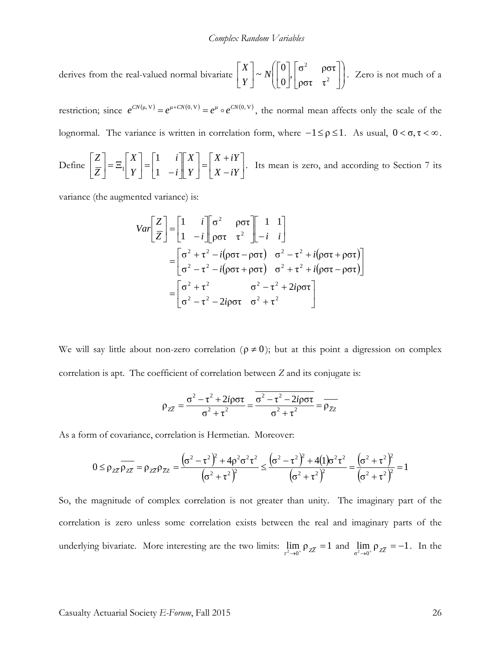derives from the real-valued normal bivariate  $\begin{bmatrix} \Delta \\ Y \end{bmatrix} \sim N \begin{bmatrix} 0 \\ 0 \end{bmatrix}$ ,  $\begin{bmatrix} 0 & \text{pot} \\ \text{0} & \tau^2 \end{bmatrix}$ J  $\setminus$  $\mathsf{I}$  $\mathsf{I}$  $\setminus$ ſ  $\overline{\phantom{a}}$ 」  $\left| \begin{array}{cc} \sigma^2 & \rho \sigma \tau \\ \sigma^2 & \sigma^2 \end{array} \right|$ L  $\overline{ }$  $\overline{\phantom{a}}$ ╛  $\overline{\phantom{a}}$  $\mathbf{r}$ L  $\sim N$ 」  $\left| \begin{array}{c} X \\ V \end{array} \right|$ L  $\overline{ }$ 2 2  $\sim N \left( \begin{bmatrix} 0 \\ 0 \end{bmatrix}, \begin{bmatrix} \sigma^2 & \rho \sigma \tau \\ \rho \sigma \tau & \tau^2 \end{bmatrix} \right)$ *Y X* . Zero is not much of a

restriction; since  $e^{CN(\mu, V)} = e^{\mu + CN(0, V)} = e^{\mu} \circ e^{CN(0, V)}$ , the normal mean affects only the scale of the lognormal. The variance is written in correlation form, where  $-1 \leq \rho \leq 1$ . As usual,  $0 < \sigma, \tau < \infty$ .

Define 
$$
\begin{bmatrix} Z \\ \overline{Z} \end{bmatrix} = \Xi_1 \begin{bmatrix} X \\ Y \end{bmatrix} = \begin{bmatrix} 1 & i \\ 1 & -i \end{bmatrix} \begin{bmatrix} X \\ Y \end{bmatrix} = \begin{bmatrix} X + iY \\ X - iY \end{bmatrix}
$$
. Its mean is zero, and according to Section 7 its

variance (the augmented variance) is:

$$
Var\left[\frac{Z}{Z}\right] = \begin{bmatrix} 1 & i \\ 1 & -i \end{bmatrix} \begin{bmatrix} \sigma^2 & \rho \sigma \tau \\ \rho \sigma \tau & \tau^2 \end{bmatrix} \begin{bmatrix} 1 & 1 \\ -i & i \end{bmatrix}
$$
  
= 
$$
\begin{bmatrix} \sigma^2 + \tau^2 - i(\rho \sigma \tau - \rho \sigma \tau) & \sigma^2 - \tau^2 + i(\rho \sigma \tau + \rho \sigma \tau) \\ \sigma^2 - \tau^2 - i(\rho \sigma \tau + \rho \sigma \tau) & \sigma^2 + \tau^2 + i(\rho \sigma \tau - \rho \sigma \tau) \end{bmatrix}
$$
  
= 
$$
\begin{bmatrix} \sigma^2 + \tau^2 & \sigma^2 - \tau^2 + 2i\rho \sigma \tau \\ \sigma^2 - \tau^2 - 2i\rho \sigma \tau & \sigma^2 + \tau^2 \end{bmatrix}
$$

We will say little about non-zero correlation ( $\rho \neq 0$ ); but at this point a digression on complex correlation is apt. The coefficient of correlation between *Z* and its conjugate is:

$$
\rho_{Z\overline{Z}} = \frac{\sigma^2 - \tau^2 + 2i\rho\sigma\tau}{\sigma^2 + \tau^2} = \frac{\overline{\sigma^2 - \tau^2 - 2i\rho\sigma\tau}}{\sigma^2 + \tau^2} = \overline{\rho_{\overline{Z}Z}}
$$

As a form of covariance, correlation is Hermetian. Moreover:

$$
0 \leq \rho_{z\overline{z}} \overline{\rho_{z\overline{z}}} = \rho_{z\overline{z}} \rho_{\overline{z}z} = \frac{(\sigma^2 - \tau^2)^2 + 4\rho^2 \sigma^2 \tau^2}{(\sigma^2 + \tau^2)^2} \leq \frac{(\sigma^2 - \tau^2)^2 + 4(1)\sigma^2 \tau^2}{(\sigma^2 + \tau^2)^2} = \frac{(\sigma^2 + \tau^2)^2}{(\sigma^2 + \tau^2)^2} = 1
$$

So, the magnitude of complex correlation is not greater than unity. The imaginary part of the correlation is zero unless some correlation exists between the real and imaginary parts of the underlying bivariate. More interesting are the two limits:  $\lim_{\tau^2 \to 0^+} \rho_{Z\overline{Z}} = 1$  and  $\lim_{\sigma^2 \to 0^+} \rho_{Z\overline{Z}} = -1$ . In the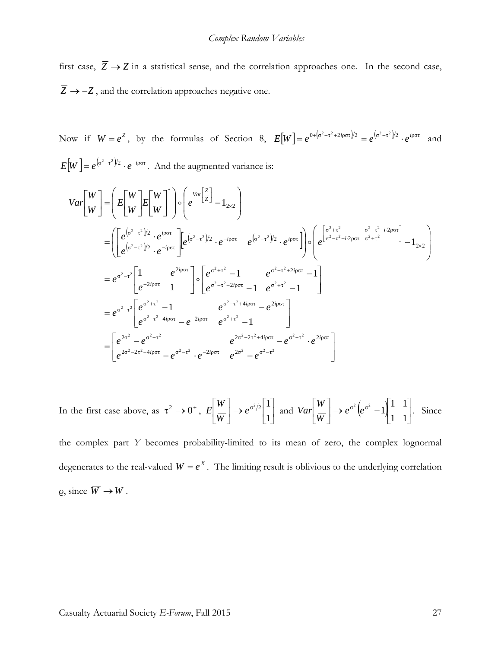first case,  $\overline{Z} \rightarrow Z$  in a statistical sense, and the correlation approaches one. In the second case,  $\overline{Z}$  → −*Z*, and the correlation approaches negative one.

Now if  $W = e^z$ , by the formulas of Section 8,  $E[W] = e^{0+(\sigma^2 - \tau^2 + 2i\rho\sigma\tau)/2} = e^{(\sigma^2 - \tau^2)/2} \cdot e^{i\rho\sigma\tau}$  and  $E[\overline{W}] = e^{(\sigma^2 - \tau^2)/2} \cdot e^{-i\rho \sigma \tau}$ . And the augmented variance is:

$$
Var\left[\frac{W}{W}\right] = \left(E\left[\frac{W}{W}\right]E\left[\frac{W}{W}\right]^*\right) \circ \left(e^{Var\left[\frac{Z}{Z}\right]} - 1_{2\times 2}\right)
$$
\n
$$
= \left(\left[e^{(\sigma^2 - \tau^2)/2} \cdot e^{i\varphi\sigma\tau}\right] \left[e^{(\sigma^2 - \tau^2)/2} \cdot e^{-i\varphi\sigma\tau}\right] e^{(\sigma^2 - \tau^2)/2} \cdot e^{i\varphi\sigma\tau}\right] \circ \left(e^{\left[\frac{\sigma^2 + \tau^2}{\sigma^2 - \tau^2 - i\cdot 2\rho\sigma\tau}\right]} e^{\frac{\sigma^2 - \tau^2 + i\cdot 2\rho\sigma\tau}{\sigma^2 + \tau^2}}\right] - 1_{2\times 2}\right)
$$
\n
$$
= e^{\sigma^2 - \tau^2} \left[\frac{1}{e^{-2i\varphi\sigma\tau}} \frac{e^{2i\varphi\sigma\tau}}{1} \right] \circ \left[e^{\frac{\sigma^2 + \tau^2}{\sigma^2 - \tau^2 - 2i\varphi\sigma\tau} - 1} e^{\frac{\sigma^2 - \tau^2 + 2i\varphi\sigma\tau}{\sigma^2 + \tau^2}} - 1\right]
$$
\n
$$
= e^{\sigma^2 - \tau^2} \left[e^{\frac{\sigma^2 + \tau^2}{\sigma^2 - \tau^2 - 4i\varphi\sigma\tau}} - e^{-2i\varphi\sigma\tau} e^{\frac{\sigma^2 + \tau^2}{\sigma^2 + \tau^2} - 1}\right]
$$
\n
$$
= \left[e^{2\sigma^2} - e^{\sigma^2 - \tau^2} e^{-2\varphi\sigma\tau} - e^{-2i\varphi\sigma\tau} e^{\frac{\sigma^2 + \tau^2}{\sigma^2 - \tau^2 + 4i\varphi\sigma\tau}} - e^{\frac{\sigma^2 - \tau^2}{\sigma^2 + \tau^2} \cdot e^{\frac{2i\varphi\sigma\tau}{\sigma^2}}}\right]
$$

In the first case above, as  $\tau^2 \to 0^+$ ,  $E\left[\frac{W}{W}\right] \to e^{\sigma^2/2} \begin{bmatrix} 1 \\ 1 \end{bmatrix}$  $\rfloor$  $\overline{\phantom{a}}$  $\mathbf{r}$ L  $\left| \rightarrow e^{\sigma^2/2} \right|$  $\rfloor$  $\left|\frac{W}{W}\right|$ L L 1  $e^{\sigma^2/2}\left| \frac{1}{4}\right|$ *W W*  $E\left|\frac{v}{W}\right| \to e^{\sigma^2/2}\left|\frac{v}{1}\right|$  and  $Var\left|\frac{v}{W}\right| \to e^{\sigma^2}\left(e^{\sigma^2}-1\right)\left|\frac{v}{1}\right|$  $\rfloor$  $\begin{vmatrix} 1 & 1 \\ 1 & 1 \end{vmatrix}$ L  $\rightarrow e^{\sigma^2}(e^{\sigma^2}-1)$  $\rfloor$  $\left|\frac{W}{W}\right|$ L L 1 1  $e^{\sigma^2} (e^{\sigma^2} - 1) \frac{1}{1} \frac{1}{1}$ *W W*  $Var\left[\frac{1}{\pi r}\right] \rightarrow e^{\sigma^2}\left[e^{\sigma^2} - 1\right]$ , Since

the complex part *Y* becomes probability-limited to its mean of zero, the complex lognormal degenerates to the real-valued  $W = e^X$ . The limiting result is oblivious to the underlying correlation  $\rho$ , since  $\overline{W} \to W$ .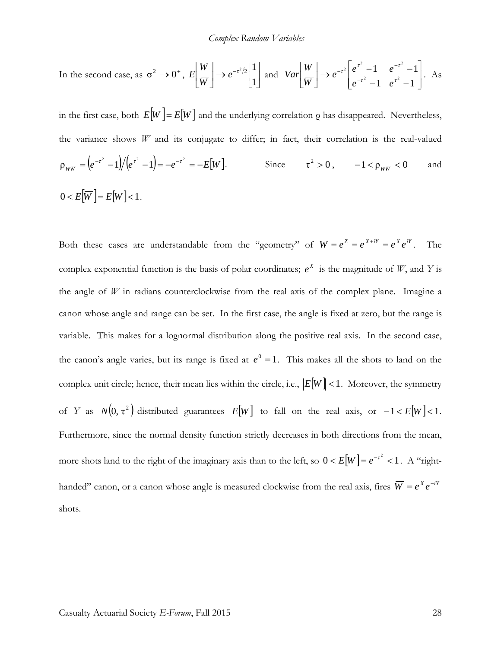In the second case, as 
$$
\sigma^2 \to 0^+
$$
,  $E\left[\frac{W}{W}\right] \to e^{-\tau^2/2} \left[\begin{matrix}1\\1\end{matrix}\right]$  and  $Var\left[\frac{W}{W}\right] \to e^{-\tau^2} \left[e^{\tau^2} - 1 \quad e^{-\tau^2} - 1\right]$ . As

in the first case, both  $E[\overline{W}] = E[W]$  and the underlying correlation *Q* has disappeared. Nevertheless, the variance shows *W* and its conjugate to differ; in fact, their correlation is the real-valued  $\rho_{w\overline{w}} = (e^{-\tau^2} - 1)/(e^{\tau^2} - 1) = -e^{-\tau^2} = -E[W].$  Since  $\tau^2 > 0$ ,  $-1 < \rho_{w\overline{w}} < 0$  and  $0 < E[\overline{W}] = E[W] < 1.$ 

Both these cases are understandable from the "geometry" of  $W = e^Z = e^{X + iY} = e^X e^{iY}$ . The complex exponential function is the basis of polar coordinates;  $e^X$  is the magnitude of *W*, and *Y* is the angle of *W* in radians counterclockwise from the real axis of the complex plane. Imagine a canon whose angle and range can be set. In the first case, the angle is fixed at zero, but the range is variable. This makes for a lognormal distribution along the positive real axis. In the second case, the canon's angle varies, but its range is fixed at  $e^0 = 1$ . This makes all the shots to land on the complex unit circle; hence, their mean lies within the circle, i.e.,  $|E[W] < 1$ . Moreover, the symmetry of *Y* as  $N(0, \tau^2)$ -distributed guarantees  $E[W]$  to fall on the real axis, or  $-1 < E[W] < 1$ . Furthermore, since the normal density function strictly decreases in both directions from the mean, more shots land to the right of the imaginary axis than to the left, so  $0 < E[W] = e^{-\tau^2} < 1$ . A "righthanded" canon, or a canon whose angle is measured clockwise from the real axis, fires  $\overline{W} = e^X e^{-iY}$ shots.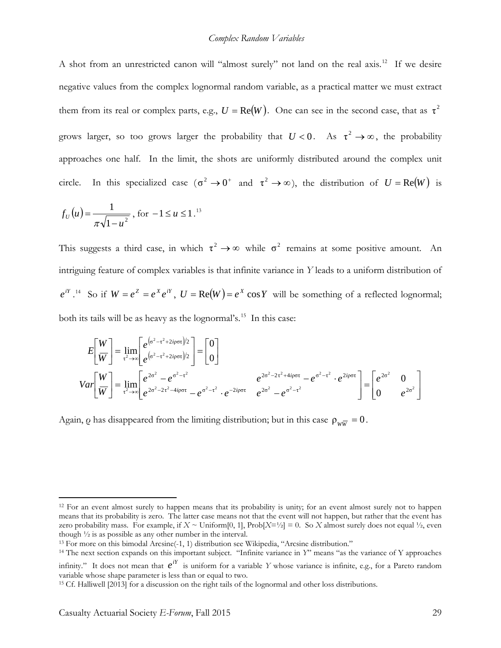A shot from an unrestricted canon will "almost surely" not land on the real axis.<sup>[12](#page-28-0)</sup> If we desire negative values from the complex lognormal random variable, as a practical matter we must extract them from its real or complex parts, e.g.,  $U = \text{Re}(W)$ . One can see in the second case, that as  $\tau^2$ grows larger, so too grows larger the probability that  $U < 0$ . As  $\tau^2 \to \infty$ , the probability approaches one half. In the limit, the shots are uniformly distributed around the complex unit circle. In this specialized case  $(\sigma^2 \to 0^+$  and  $\tau^2 \to \infty)$ , the distribution of  $U = \text{Re}(W)$  is

$$
f_U(u) = \frac{1}{\pi \sqrt{1 - u^2}}
$$
, for  $-1 \le u \le 1$ .<sup>13</sup>

This suggests a third case, in which  $\tau^2 \to \infty$  while  $\sigma^2$  remains at some positive amount. An intriguing feature of complex variables is that infinite variance in *Y* leads to a uniform distribution of  $e^{iY}$ .<sup>14</sup> So if  $W = e^Z = e^X e^{iY}$ ,  $U = \text{Re}(W) = e^X \cos Y$  will be something of a reflected lognormal; both its tails will be as heavy as the lognormal's.<sup>15</sup> In this case:

$$
E\left[\frac{W}{W}\right] = \lim_{\tau^2 \to \infty} \left[ e^{\left(\sigma^2 - \tau^2 + 2i\rho\sigma\tau\right)/2} \right] = \left[0\right]
$$
  
\n
$$
Var\left[\frac{W}{W}\right] = \lim_{\tau^2 \to \infty} \left[ e^{2\sigma^2 - e^{\sigma^2 - \tau^2}} - e^{-2\sigma^2 - \tau^2} \cdot e^{-2i\rho\sigma\tau} - e^{-2\sigma^2 - \tau^2} \cdot e^{2i\rho\sigma\tau} - e^{-2\sigma^2 - \tau^2} \cdot e^{2i\rho\sigma\tau} \right] = \left[ e^{2\sigma^2} \right] = \left[0 - e^{2\sigma^2} \right]
$$

Again, *ρ* has disappeared from the limiting distribution; but in this case  $\rho_{ww} = 0$ .

<span id="page-28-0"></span><sup>&</sup>lt;sup>12</sup> For an event almost surely to happen means that its probability is unity; for an event almost surely not to happen means that its probability is zero. The latter case means not that the event will not happen, but rather that the event has zero probability mass. For example, if  $X \sim$  Uniform[0, 1], Prob[ $X = \frac{1}{2}$ ] = 0. So *X* almost surely does not equal  $\frac{1}{2}$ , even though ½ is as possible as any other number in the interval.

<span id="page-28-1"></span><sup>13</sup> For more on this bimodal Arcsine(-1, 1) distribution see Wikipedia, "Arcsine distribution."

<span id="page-28-2"></span><sup>14</sup> The next section expands on this important subject. "Infinite variance in *Y*" means "as the variance of Y approaches infinity." It does not mean that  $e^{iY}$  is uniform for a variable *Y* whose variance is infinite, e.g., for a Pareto random variable whose shape parameter is less than or equal to two.

<span id="page-28-3"></span><sup>15</sup> Cf. Halliwell [2013] for a discussion on the right tails of the lognormal and other loss distributions.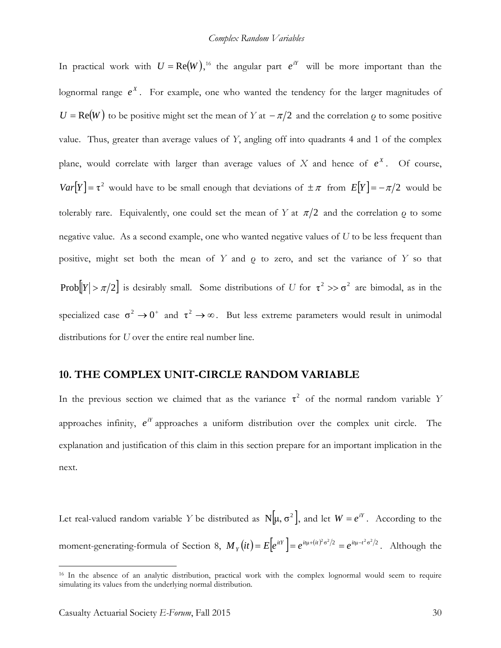In practical work with  $U = \text{Re}(W)$ ,<sup>[16](#page-29-0)</sup> the angular part  $e^{iY}$  will be more important than the lognormal range  $e^X$ . For example, one who wanted the tendency for the larger magnitudes of  $U = \text{Re}(W)$  to be positive might set the mean of *Y* at  $-\pi/2$  and the correlation  $\rho$  to some positive value. Thus, greater than average values of *Y*, angling off into quadrants 4 and 1 of the complex plane, would correlate with larger than average values of  $X$  and hence of  $e^X$ . Of course,  $Var[Y] = \tau^2$  would have to be small enough that deviations of  $\pm \pi$  from  $E[Y] = -\pi/2$  would be tolerably rare. Equivalently, one could set the mean of *Y* at  $\pi/2$  and the correlation  $\rho$  to some negative value. As a second example, one who wanted negative values of *U* to be less frequent than positive, might set both the mean of *Y* and ρ to zero, and set the variance of *Y* so that Prob $[Y] > \pi/2$  is desirably small. Some distributions of *U* for  $\tau^2 >> \sigma^2$  are bimodal, as in the specialized case  $\sigma^2 \to 0^+$  and  $\tau^2 \to \infty$ . But less extreme parameters would result in unimodal distributions for *U* over the entire real number line.

## **10. THE COMPLEX UNIT-CIRCLE RANDOM VARIABLE**

In the previous section we claimed that as the variance  $\tau^2$  of the normal random variable *Y* approaches infinity,  $e^{iY}$  approaches a uniform distribution over the complex unit circle. The explanation and justification of this claim in this section prepare for an important implication in the next.

Let real-valued random variable *Y* be distributed as  $N[\mu, \sigma^2]$ , and let  $W = e^{iY}$ . According to the moment-generating-formula of Section 8,  $M_Y(it) = E[e^{itY}] = e^{it\mu + (it)^2 \sigma^2/2} = e^{it\mu - t^2 \sigma^2/2}$ . Although the

<span id="page-29-0"></span><sup>16</sup> In the absence of an analytic distribution, practical work with the complex lognormal would seem to require simulating its values from the underlying normal distribution.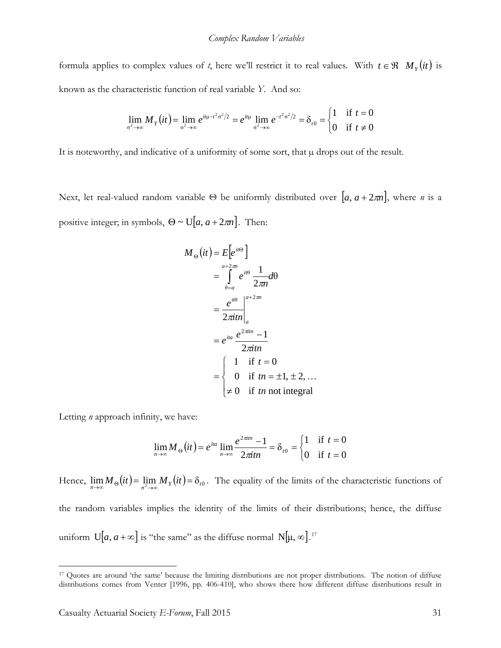formula applies to complex values of *t*, here we'll restrict it to real values. With  $t \in \mathcal{R}$   $M_Y(it)$  is known as the characteristic function of real variable *Y*. And so:

$$
\lim_{\sigma^2 \to \infty} M_Y(it) = \lim_{\sigma^2 \to \infty} e^{it\mu - t^2 \sigma^2/2} = e^{it\mu} \lim_{\sigma^2 \to \infty} e^{-t^2 \sigma^2/2} = \delta_{t0} = \begin{cases} 1 & \text{if } t = 0 \\ 0 & \text{if } t \neq 0 \end{cases}
$$

It is noteworthy, and indicative of a uniformity of some sort, that  $\mu$  drops out of the result.

Next, let real-valued random variable  $\Theta$  be uniformly distributed over  $[a, a + 2\pi n]$ , where *n* is a positive integer; in symbols,  $\Theta \sim \mathrm{U}[a, a + 2\pi n]$ . Then:

$$
M_{\Theta}(it) = E[e^{it\Theta}]
$$
  
= 
$$
\int_{\Theta=a}^{a+2\pi i} e^{it\Theta} \frac{1}{2\pi n} d\Theta
$$
  
= 
$$
\frac{e^{it\Theta}}{2\pi i n} \Big|_a^{a+2\pi i}
$$
  
= 
$$
e^{ita} \frac{e^{2\pi i n} - 1}{2\pi i n}
$$
  
= 
$$
\begin{cases} 1 & \text{if } t = 0 \\ 0 & \text{if } t = \pm 1, \pm 2, ... \\ \neq 0 & \text{if } t \text{ in not integral} \end{cases}
$$

Letting *n* approach infinity, we have:

$$
\lim_{n \to \infty} M_{\Theta}(it) = e^{ita} \lim_{n \to \infty} \frac{e^{2\pi in} - 1}{2\pi itn} = \delta_{t0} = \begin{cases} 1 & \text{if } t = 0 \\ 0 & \text{if } t = 0 \end{cases}
$$

Hence,  $\lim_{n\to\infty} M_{\Theta}(it) = \lim_{\sigma^2\to\infty} M_Y(it) = \delta_{i0}$ . The equality of the limits of the characteristic functions of the random variables implies the identity of the limits of their distributions; hence, the diffuse uniform  $U[a, a+\infty]$  is "the same" as the diffuse normal  $N[\mu, \infty]$ .<sup>[17](#page-30-0)</sup>

<span id="page-30-0"></span><sup>&</sup>lt;sup>17</sup> Quotes are around 'the same' because the limiting distributions are not proper distributions. The notion of diffuse distributions comes from Venter [1996, pp. 406-410], who shows there how different diffuse distributions result in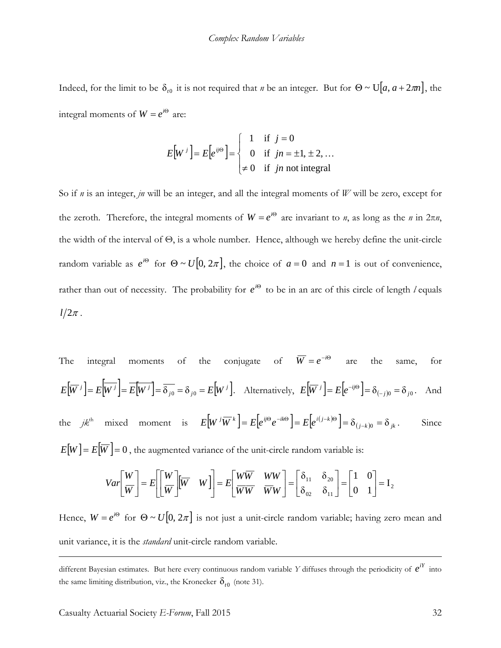Indeed, for the limit to be  $\delta_{r0}$  it is not required that *n* be an integer. But for  $\Theta \sim U[a, a + 2\pi n]$ , the integral moments of  $W = e^{i\Theta}$  are:

$$
E[W^j] = E[e^{ij\Theta}] = \begin{cases} 1 & \text{if } j = 0 \\ 0 & \text{if } jn = \pm 1, \pm 2, ... \\ \neq 0 & \text{if } jn \text{ not integral} \end{cases}
$$

So if *n* is an integer, *jn* will be an integer, and all the integral moments of *W* will be zero, except for the zeroth. Therefore, the integral moments of  $W = e^{i\Theta}$  are invariant to *n*, as long as the *n* in  $2\pi n$ , the width of the interval of Θ, is a whole number. Hence, although we hereby define the unit-circle random variable as  $e^{i\Theta}$  for  $\Theta \sim U[0, 2\pi]$ , the choice of  $a = 0$  and  $n = 1$  is out of convenience, rather than out of necessity. The probability for  $e^{i\Theta}$  to be in an arc of this circle of length *l* equals  $l/2\pi$ .

The integral moments of the conjugate of 
$$
\overline{W} = e^{-i\Theta}
$$
 are the same, for  $E[\overline{W}^j] = E[\overline{W}^j] = \overline{E[W^j]} = \overline{\delta_{j0}} = \delta_{j0} = E[W^j]$ . Alternatively,  $E[\overline{W}^j] = E[e^{-ij\Theta}] = \delta_{(-j)0} = \delta_{j0}$ . And  
the  $jk^{\text{th}}$  mixed moment is  $E[W^j\overline{W}^k] = E[e^{ij\Theta}e^{-ik\Theta}] = E[e^{i(j-k)\Theta}] = \delta_{(j-k)0} = \delta_{jk}$ . Since

 $E[W] = E[W] = 0$ , the augmented variance of the unit-circle random variable is:

$$
Var\left[\frac{W}{W}\right] = E\left[\left[\frac{W}{W}\right]\left[\overline{W} \quad W\right]\right] = E\left[\frac{W\overline{W}}{\overline{W}\overline{W}} \quad \frac{WW}{WW}\right] = \left[\begin{matrix} \delta_{11} & \delta_{20} \\ \delta_{02} & \delta_{11} \end{matrix}\right] = \left[\begin{matrix} 1 & 0 \\ 0 & 1 \end{matrix}\right] = I_2
$$

Hence,  $W = e^{i\Theta}$  for  $\Theta \sim U[0, 2\pi]$  is not just a unit-circle random variable; having zero mean and unit variance, it is the *standard* unit-circle random variable.

different Bayesian estimates. But here every continuous random variable *Y* diffuses through the periodicity of  $e^{iY}$  into the same limiting distribution, viz., the Kronecker  $\delta_{t0}$  (note 31).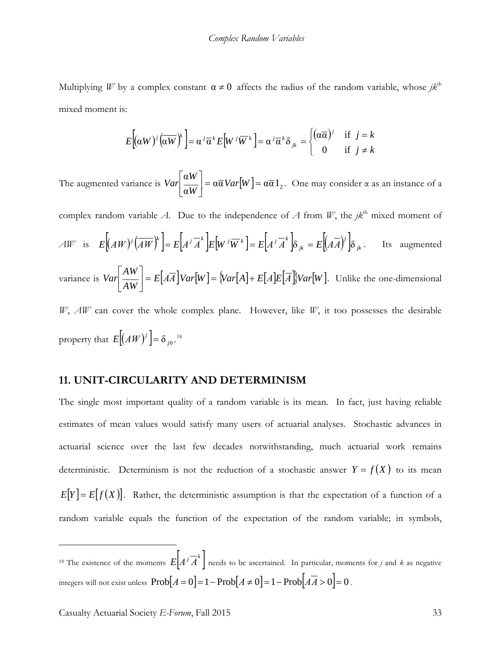Multiplying *W* by a complex constant  $\alpha \neq 0$  affects the radius of the random variable, whose  $jk<sup>th</sup>$ mixed moment is:

$$
E[(\alpha W)^{j}(\overline{\alpha W})^{k}] = \alpha^{j} \overline{\alpha}^{k} E[W^{j} \overline{W}^{k}] = \alpha^{j} \overline{\alpha}^{k} \delta_{jk} = \begin{cases} (\alpha \overline{\alpha})^{j} & \text{if } j = k \\ 0 & \text{if } j \neq k \end{cases}
$$

The augmented variance is  $Var \left| \frac{\alpha W}{\alpha W} \right| = \alpha \overline{\alpha} Var[W] = \alpha \overline{\alpha} I_2$ 」  $\left|\frac{\alpha W}{\alpha W}\right|$ L  $\left|\frac{\alpha W}{W}\right| = \alpha \overline{\alpha} \text{Var}[W]$ *W W*  $Var\left[\frac{dV}{dx}\right] = \alpha \overline{\alpha} Var[W] = \alpha \overline{\alpha} I_2$ . One may consider  $\alpha$  as an instance of a

complex random variable *A*. Due to the independence of *A* from *W*, the *jk*<sup>th</sup> mixed moment of  $A W$  is  $E[(AW)^{j}(\overline{AW})^{k}] = E[A^{j} \overline{A}^{k}] E[W^{j} \overline{W}^{k}] = E[A^{j} \overline{A}^{k}] \delta_{jk} = E[(A \overline{A})^{j}] \delta_{jk}$  $E[(AW)^{j}(\overline{AW})^{k}] = E[A^{j}\overline{A}^{k}]E[W^{j}\overline{W}^{k}] = E[A^{j}\overline{A}^{k}] \delta_{jk} = E[(A\overline{A})^{j}] \delta_{jk}$ . Its augmented variance is  $Var\left[\frac{2W}{AW}\right] = E[AA]Var[W] = \frac{\text{Var}[A] + E[A]E[A]}{\text{Var}[W]}$ *AW*  $Var\left[\frac{1}{A W}\right] = E[AA] Var[W] = \sqrt{Var[A]} +$ J  $\left|\frac{AW}{AW}\right|$ L  $\left|\frac{AW}{W}\right| = E\left[A\overline{A}\right]Var[W] = \left\{Var[A] + E\left[A\right]E\left[\overline{A}\right]\right\}Var[W]$ . Unlike the one-dimensional *W*, *ΑW* can cover the whole complex plane. However, like *W*, it too possesses the desirable

property that  $E[(AW)^j] = \delta_{j0}$ .<sup>[18](#page-32-0)</sup>

### **11. UNIT-CIRCULARITY AND DETERMINISM**

The single most important quality of a random variable is its mean. In fact, just having reliable estimates of mean values would satisfy many users of actuarial analyses. Stochastic advances in actuarial science over the last few decades notwithstanding, much actuarial work remains deterministic. Determinism is not the reduction of a stochastic answer  $Y = f(X)$  to its mean  $E[Y] = E[f(X)]$ . Rather, the deterministic assumption is that the expectation of a function of a random variable equals the function of the expectation of the random variable; in symbols,

<span id="page-32-0"></span><sup>18</sup> The existence of the moments  $E[A^j \overline{A}^k]$  needs to be ascertained. In particular, moments for *j* and *k* as negative integers will not exist unless  $\text{Prob}[A = 0] = 1 - \text{Prob}[A \neq 0] = 1 - \text{Prob}[A\overline{A} > 0] = 0$ .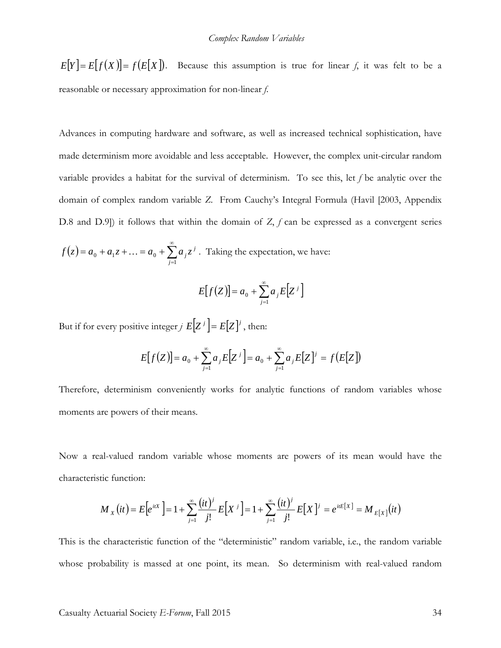$E[Y] = E[f(X)] = f(E[X])$ . Because this assumption is true for linear *f*, it was felt to be a reasonable or necessary approximation for non-linear *f*.

Advances in computing hardware and software, as well as increased technical sophistication, have made determinism more avoidable and less acceptable. However, the complex unit-circular random variable provides a habitat for the survival of determinism. To see this, let *f* be analytic over the domain of complex random variable *Z*. From Cauchy's Integral Formula (Havil [2003, Appendix D.8 and D.9]) it follows that within the domain of *Z*, *f* can be expressed as a convergent series

$$
f(z) = a_0 + a_1 z + ... = a_0 + \sum_{j=1}^{\infty} a_j z^j
$$
. Taking the expectation, we have:

$$
E[f(Z)] = a_0 + \sum_{j=1}^{\infty} a_j E[Z^j]
$$

But if for every positive integer *j*  $E[Z^j] = E[Z]^j$ , then:

$$
E[f(Z)] = a_0 + \sum_{j=1}^{\infty} a_j E[Z^j] = a_0 + \sum_{j=1}^{\infty} a_j E[Z^j] = f(E[Z])
$$

Therefore, determinism conveniently works for analytic functions of random variables whose moments are powers of their means.

Now a real-valued random variable whose moments are powers of its mean would have the characteristic function:

$$
M_{X}(it) = E\Big[e^{itX}\Big] = 1 + \sum_{j=1}^{\infty} \frac{(it)^j}{j!} E\Big[X^j\Big] = 1 + \sum_{j=1}^{\infty} \frac{(it)^j}{j!} E\Big[X^j\Big] = e^{itE\big[X\big]} = M_{E\big[X\big]}(it)
$$

This is the characteristic function of the "deterministic" random variable, i.e., the random variable whose probability is massed at one point, its mean. So determinism with real-valued random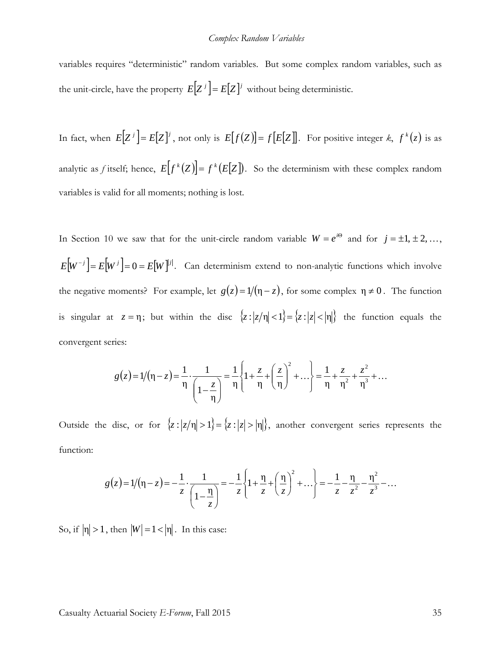#### *Complex Random Variables*

variables requires "deterministic" random variables. But some complex random variables, such as the unit-circle, have the property  $E[Z^j] = E[Z]^j$  without being deterministic.

In fact, when  $E[Z^j] = E[Z]^j$ , not only is  $E[f(Z)] = f[E[Z]]$ . For positive integer *k*,  $f^k(z)$  is as analytic as *f* itself; hence,  $E[f^k(Z)] = f^k(E[Z])$ . So the determinism with these complex random variables is valid for all moments; nothing is lost.

In Section 10 we saw that for the unit-circle random variable  $W = e^{i\Theta}$  and for  $j = \pm 1, \pm 2, \ldots$  $E[W^{-j}] = E[W^{j}] = 0 = E[W]^{j}$ . Can determinism extend to non-analytic functions which involve the negative moments? For example, let  $g(z) = 1/(\eta - z)$ , for some complex  $\eta \neq 0$ . The function is singular at  $z = \eta$ ; but within the disc  $\{z : |z/\eta| < 1\} = \{z : |z| < |\eta|\}$  the function equals the convergent series:

$$
g(z) = 1/(\eta - z) = \frac{1}{\eta} \cdot \frac{1}{\left(1 - \frac{z}{\eta}\right)} = \frac{1}{\eta} \left\{ 1 + \frac{z}{\eta} + \left(\frac{z}{\eta}\right)^2 + \dots \right\} = \frac{1}{\eta} + \frac{z}{\eta^2} + \frac{z^2}{\eta^3} + \dots
$$

Outside the disc, or for  $\{z : |z/\eta| > 1\} = \{z : |z| > |\eta|\}$ , another convergent series represents the function:

$$
g(z) = 1/(\eta - z) = -\frac{1}{z} \cdot \frac{1}{\left(1 - \frac{\eta}{z}\right)} = -\frac{1}{z} \left\{1 + \frac{\eta}{z} + \left(\frac{\eta}{z}\right)^2 + \dots\right\} = -\frac{1}{z} - \frac{\eta}{z^2} - \frac{\eta^2}{z^3} - \dots
$$

So, if  $|\eta| > 1$ , then  $|W| = 1 < |\eta|$ . In this case: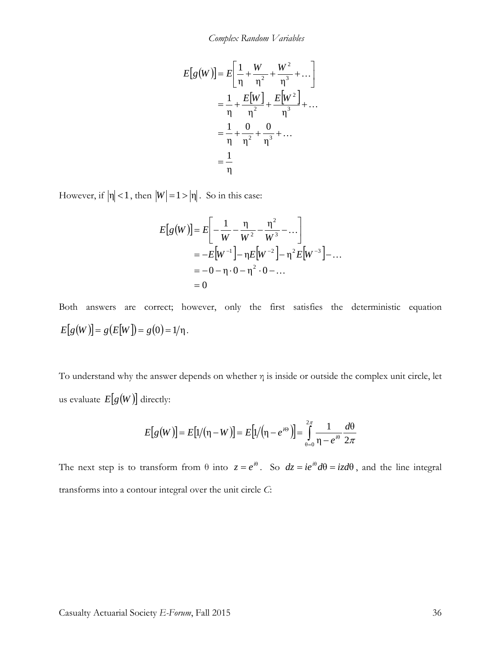$$
E[g(W)] = E\left[\frac{1}{\eta} + \frac{W}{\eta^2} + \frac{W^2}{\eta^3} + \dots\right]
$$
  
=  $\frac{1}{\eta} + \frac{E[W]}{\eta^2} + \frac{E[W^2]}{\eta^3} + \dots$   
=  $\frac{1}{\eta} + \frac{0}{\eta^2} + \frac{0}{\eta^3} + \dots$   
=  $\frac{1}{\eta}$ 

However, if  $|\eta| < 1$ , then  $|W| = 1 > |\eta|$ . So in this case:

$$
E[g(W)] = E\left[-\frac{1}{W} - \frac{\eta}{W^2} - \frac{\eta^2}{W^3} - \dots\right]
$$
  
=  $-E[W^{-1}] - \eta E[W^{-2}] - \eta^2 E[W^{-3}] - \dots$   
=  $-0 - \eta \cdot 0 - \eta^2 \cdot 0 - \dots$   
= 0

Both answers are correct; however, only the first satisfies the deterministic equation  $E[g(W)] = g(E[W]) = g(0) = 1/\eta$ .

To understand why the answer depends on whether  $\eta$  is inside or outside the complex unit circle, let us evaluate  $E[g(W)]$  directly:

$$
E[g(W)] = E[1/(\eta - W)] = E[1/(\eta - e^{i\Theta})] = \int_{\theta=0}^{2\pi} \frac{1}{\eta - e^{i\Theta}} \frac{d\Theta}{2\pi}
$$

The next step is to transform from  $\theta$  into  $z = e^{i\theta}$ . So  $dz = ie^{i\theta}d\theta = izd\theta$ , and the line integral transforms into a contour integral over the unit circle *C*: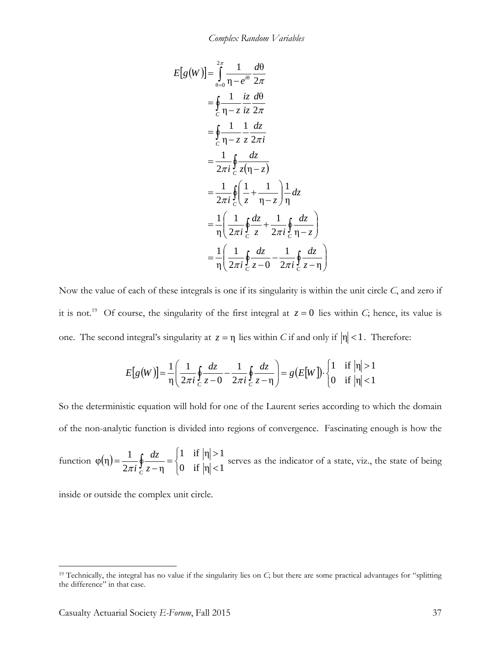$$
E[g(W)] = \int_{\theta=0}^{2\pi} \frac{1}{\eta - e^{i\theta}} \frac{d\theta}{2\pi}
$$
  
\n
$$
= \oint_{C} \frac{1}{\eta - z} \frac{iz}{iz} \frac{d\theta}{2\pi}
$$
  
\n
$$
= \oint_{C} \frac{1}{\eta - z} \frac{1}{z} \frac{dz}{2\pi i}
$$
  
\n
$$
= \frac{1}{2\pi i} \oint_{C} \frac{dz}{z(\eta - z)}
$$
  
\n
$$
= \frac{1}{2\pi i} \oint_{C} \left(\frac{1}{z} + \frac{1}{\eta - z}\right) \frac{1}{\eta} dz
$$
  
\n
$$
= \frac{1}{\eta} \left(\frac{1}{2\pi i} \oint_{C} \frac{dz}{z} + \frac{1}{2\pi i} \oint_{C} \frac{dz}{\eta - z}\right)
$$
  
\n
$$
= \frac{1}{\eta} \left(\frac{1}{2\pi i} \oint_{C} \frac{dz}{z - \theta} - \frac{1}{2\pi i} \oint_{C} \frac{dz}{z - \eta}\right)
$$

Now the value of each of these integrals is one if its singularity is within the unit circle *C*, and zero if it is not.<sup>19</sup> Of course, the singularity of the first integral at  $z = 0$  lies within *C*; hence, its value is one. The second integral's singularity at  $z = \eta$  lies within *C* if and only if  $|\eta| < 1$ . Therefore:

$$
E[g(W)] = \frac{1}{\eta} \left( \frac{1}{2\pi i} \oint_C \frac{dz}{z - 0} - \frac{1}{2\pi i} \oint_C \frac{dz}{z - \eta} \right) = g(E[W]) \cdot \begin{cases} 1 & \text{if } |\eta| > 1 \\ 0 & \text{if } |\eta| < 1 \end{cases}
$$

So the deterministic equation will hold for one of the Laurent series according to which the domain of the non-analytic function is divided into regions of convergence. Fascinating enough is how the

function  $\varphi(\eta)$  $\overline{\mathcal{L}}$ ⇃  $\left($  $=\frac{1}{2\pi i}\oint_{C}\frac{dz}{z-\eta}=\begin{cases} 1 & \text{if } |\eta|>1 \\ 0 & \text{if } |\eta|<1 \end{cases}$  $2\pi i \frac{J}{C} z - \eta$  $\varphi(\eta) = \frac{1}{2}$ *C z dz* π *i* serves as the indicator of a state, viz., the state of being

inside or outside the complex unit circle.

<span id="page-36-0"></span><sup>19</sup> Technically, the integral has no value if the singularity lies on *C*; but there are some practical advantages for "splitting the difference" in that case.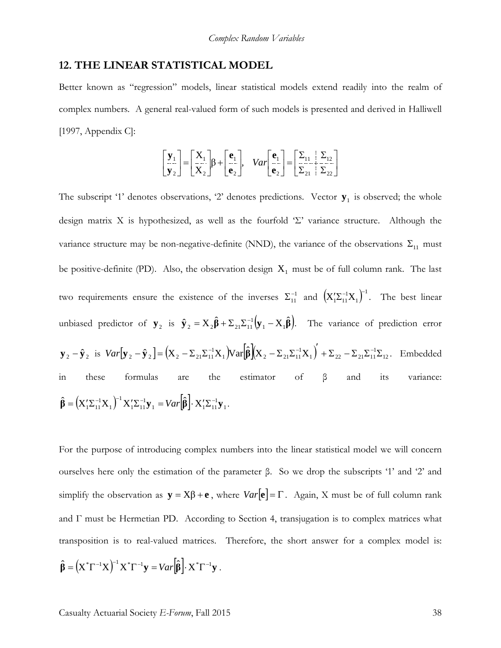#### **12. THE LINEAR STATISTICAL MODEL**

Better known as "regression" models, linear statistical models extend readily into the realm of complex numbers. A general real-valued form of such models is presented and derived in Halliwell [1997, Appendix C]:

$$
\begin{bmatrix} \mathbf{y}_1 \\ \mathbf{y}_2 \end{bmatrix} = \begin{bmatrix} \mathbf{X}_1 \\ \mathbf{X}_2 \end{bmatrix} \beta + \begin{bmatrix} \mathbf{e}_1 \\ \mathbf{e}_2 \end{bmatrix}, \quad Var \begin{bmatrix} \mathbf{e}_1 \\ \mathbf{e}_2 \end{bmatrix} = \begin{bmatrix} \Sigma_{11} & \Sigma_{12} \\ \Sigma_{21} & \Sigma_{22} \end{bmatrix}
$$

The subscript '1' denotes observations, '2' denotes predictions. Vector  $y_1$  is observed; the whole design matrix X is hypothesized, as well as the fourfold 'Σ' variance structure. Although the variance structure may be non-negative-definite (NND), the variance of the observations  $\Sigma_{11}$  must be positive-definite (PD). Also, the observation design  $X_1$  must be of full column rank. The last two requirements ensure the existence of the inverses  $\Sigma_{11}^{-1}$  and  $(X_1' \Sigma_{11}^{-1} X_1)^{-1}$ . The best linear unbiased predictor of  $y_2$  is  $\hat{y}_2 = X_2 \hat{\beta} + \Sigma_{21} \Sigma_{11}^{-1} (y_1 - X_1 \hat{\beta})$ . The variance of prediction error  $\mathbf{y}_2 - \mathbf{\hat{y}}_2$  is  $Var[\mathbf{y}_2 - \mathbf{\hat{y}}_2] = (X_2 - \Sigma_{21}\Sigma_{11}^{-1}X_1)Var[\hat{\beta}](X_2 - \Sigma_{21}\Sigma_{11}^{-1}X_1) + \Sigma_{22} - \Sigma_{21}\Sigma_{11}^{-1}\Sigma_{12}$  $1 / 22 \quad 21 - 11$ 1 1  $J$ <sup>v</sup> <sup>al</sup>  $\mathbf{P}$ <sub>1</sub> $\mathbf{A}$ <sup>2</sup> 21<sup>2</sup>11  $Var[\mathbf{y}_{2} - \hat{\mathbf{y}}_{2}] = (X_{2} - \Sigma_{21} \Sigma_{11}^{-1} X_{1}) Var[\hat{\beta}](X_{2} - \Sigma_{21} \Sigma_{11}^{-1} X_{1}) + \Sigma_{22} - \Sigma_{21} \Sigma_{11}^{-1} \Sigma_{12}$ . Embedded in these formulas are the estimator of  $\beta$  and its variance:  $(X_1' \Sigma_{11}^{-1} X_1)^{-1} X_1' \Sigma_{11}^{-1} \mathbf{y}_1 = Var[\hat{\beta}] \cdot X_1' \Sigma_{11}^{-1} \mathbf{y}_1$  $_1 - v$  *u*  $\left[\mathbf{P}\right]$   $\mathbf{A}_1\mathbf{L}_{11}$ 1  $1 - 11$ 1  $\hat{\beta} = (\mathbf{X}_1' \mathbf{\Sigma}_{11}^{-1} \mathbf{X}_1)^{-1} \mathbf{X}_1' \mathbf{\Sigma}_{11}^{-1} \mathbf{y}_1 = Var \left[ \hat{\beta} \right] \cdot \mathbf{X}_1' \mathbf{\Sigma}_{11}^{-1} \mathbf{y}_1.$ 

For the purpose of introducing complex numbers into the linear statistical model we will concern ourselves here only the estimation of the parameter β. So we drop the subscripts '1' and '2' and simplify the observation as  $\mathbf{y} = \mathbf{X}\boldsymbol{\beta} + \mathbf{e}$ , where  $Var[\mathbf{e}] = \boldsymbol{\Gamma}$ . Again, X must be of full column rank and  $\Gamma$  must be Hermetian PD. According to Section 4, transjugation is to complex matrices what transposition is to real-valued matrices. Therefore, the short answer for a complex model is:  $\hat{\beta} = (\mathbf{X}^*\Gamma^{-1}\mathbf{X})^{-1}\mathbf{X}^*\Gamma^{-1}\mathbf{y} = Var[\hat{\beta}] \cdot \mathbf{X}^*\Gamma^{-1}\mathbf{y}$ .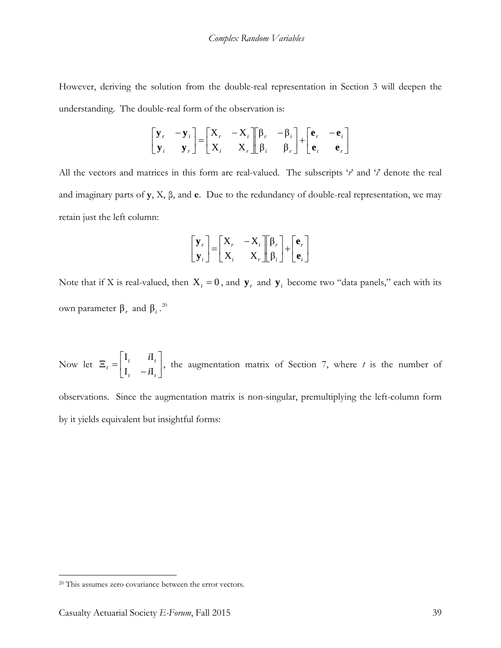However, deriving the solution from the double-real representation in Section 3 will deepen the understanding. The double-real form of the observation is:

$$
\begin{bmatrix} \mathbf{y}_r & -\mathbf{y}_i \\ \mathbf{y}_i & \mathbf{y}_r \end{bmatrix} = \begin{bmatrix} X_r & -X_i \\ X_i & X_r \end{bmatrix} \begin{bmatrix} \beta_r & -\beta_i \\ \beta_i & \beta_r \end{bmatrix} + \begin{bmatrix} \mathbf{e}_r & -\mathbf{e}_i \\ \mathbf{e}_i & \mathbf{e}_r \end{bmatrix}
$$

All the vectors and matrices in this form are real-valued. The subscripts '*r*' and '*i*' denote the real and imaginary parts of **y**, X, β, and **e**. Due to the redundancy of double-real representation, we may retain just the left column:

$$
\begin{bmatrix} \mathbf{y}_r \\ \mathbf{y}_i \end{bmatrix} = \begin{bmatrix} \mathbf{X}_r & -\mathbf{X}_i \\ \mathbf{X}_i & \mathbf{X}_r \end{bmatrix} \begin{bmatrix} \beta_r \\ \beta_i \end{bmatrix} + \begin{bmatrix} \mathbf{e}_r \\ \mathbf{e}_i \end{bmatrix}
$$

Note that if X is real-valued, then  $X_i = 0$ , and  $y_r$  and  $y_i$  become two "data panels," each with its own parameter  $β<sub>r</sub>$  and  $β<sub>i</sub>$ .<sup>[20](#page-38-0)</sup>

Now let  $\Xi_t = \begin{vmatrix} -t & -t \\ 1 & -t \end{vmatrix}$ J  $\begin{vmatrix} \mathbf{I}_t & i\mathbf{I}_t \\ \mathbf{I} & i\mathbf{I} \end{vmatrix}$ L L  $E_t = \begin{bmatrix} t_t & t_t \\ I_t & -iI_t \end{bmatrix}$  $t$   $\mathbf{u}_t$  $\begin{array}{c|c} t & -i \end{array}$ *i*  $I_t - iI$  $I_t$  *i*I , the augmentation matrix of Section 7, where *t* is the number of

observations. Since the augmentation matrix is non-singular, premultiplying the left-column form by it yields equivalent but insightful forms:

<span id="page-38-0"></span><sup>20</sup> This assumes zero covariance between the error vectors.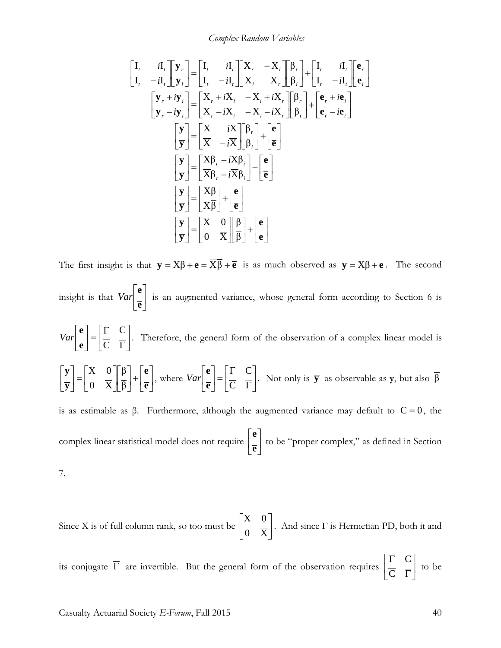*Complex Random Variables*

$$
\begin{bmatrix}\nI_{t} & iI_{t} \\
I_{t} & -iI_{t}\n\end{bmatrix}\n\begin{bmatrix}\n\mathbf{y}_{r} \\
\mathbf{y}_{i}\n\end{bmatrix} =\n\begin{bmatrix}\nI_{t} & iI_{t} \\
I_{t} & -iI_{t}\n\end{bmatrix}\n\begin{bmatrix}\nX_{r} & -X_{i} \\
X_{i} & X_{r}\n\end{bmatrix}\n\begin{bmatrix}\n\beta_{r} \\
I_{t} & -iI_{t}\n\end{bmatrix}\n\begin{bmatrix}\n\mathbf{e}_{r} \\
\mathbf{e}_{i}\n\end{bmatrix}
$$
\n
$$
\begin{bmatrix}\n\mathbf{y}_{r} + i\mathbf{y}_{i} \\
\mathbf{y}_{r} - i\mathbf{y}_{i}\n\end{bmatrix} =\n\begin{bmatrix}\nX_{r} + iX_{i} & -X_{i} + iX_{r} \\
X_{r} - iX_{i} & -X_{i} - iX_{r}\n\end{bmatrix}\n\begin{bmatrix}\n\beta_{r} \\
\beta_{i}\n\end{bmatrix} +\n\begin{bmatrix}\n\mathbf{e}_{r} + i\mathbf{e}_{i} \\
\mathbf{e}_{r} - i\mathbf{e}_{i}\n\end{bmatrix}
$$
\n
$$
\begin{bmatrix}\n\mathbf{y} \\
\overline{\mathbf{y}}\n\end{bmatrix} =\n\begin{bmatrix}\nX & iX \\
\overline{X} & -i\overline{X}\n\end{bmatrix}\n\begin{bmatrix}\n\beta_{r} \\
\beta_{i}\n\end{bmatrix} +\n\begin{bmatrix}\n\mathbf{e} \\
\overline{\mathbf{e}}\n\end{bmatrix}
$$
\n
$$
\begin{bmatrix}\n\mathbf{y} \\
\overline{\mathbf{y}}\n\end{bmatrix} =\n\begin{bmatrix}\nX\beta_{r} + iX\beta_{i} \\
\overline{X}\beta_{r} - i\overline{X}\beta_{i}\n\end{bmatrix} +\n\begin{bmatrix}\n\mathbf{e} \\
\overline{\mathbf{e}}\n\end{bmatrix}
$$
\n
$$
\begin{bmatrix}\n\mathbf{y} \\
\overline{\mathbf{y}}\n\end{bmatrix} =\n\begin{bmatrix}\nX\beta \\
\overline{X}\beta\n\end{bmatrix} +\n\begin{bmatrix}\n\mathbf{e} \\
\overline{e}\
$$

The first insight is that  $\overline{y} = \overline{X\beta + e} = \overline{X\beta} + \overline{e}$  is as much observed as  $y = X\beta + e$ . The second insight is that  $Var\left[\frac{1}{2}\right]$  $\rfloor$  $\overline{\phantom{a}}$  $\mathbf{r}$ L L **e e**  $Var\left[\begin{array}{c} x \end{array}\right]$  is an augmented variance, whose general form according to Section 6 is  $\overline{\phantom{a}}$ J  $\left| \begin{matrix} \Gamma & C \\ \overline{C} & \overline{\Gamma} \end{matrix} \right|$ L  $\mathbf{r}$  $\begin{bmatrix} = \begin{bmatrix} \Gamma & C \\ \overline{C} & \overline{\Gamma} \end{bmatrix} \end{bmatrix}$  $\rfloor$  $\overline{\phantom{a}}$  $\mathbf{r}$ L L  $\mathsf{C}$  $\mathcal{C}_{0}^{(n)}$ **e e**  $Var\left[\frac{\cdot}{\alpha}\right] = \frac{\cdot}{\alpha}$ . Therefore, the general form of the observation of a complex linear model is  $\overline{\phantom{a}}$  $\rfloor$  $\overline{\phantom{a}}$  $\mathbf{r}$ L  $|+|$  $\rfloor$  $\left|\frac{\beta}{\alpha}\right|$ L  $\mathbf{r}$  $\overline{\phantom{a}}$  $\rfloor$  $\begin{vmatrix} X & 0 \\ 0 & \overline{V} \end{vmatrix}$ L  $\vert$  $\rfloor$  $\left|\frac{\mathbf{y}}{\mathbf{y}}\right|$ L  $\mathbf{r}$ **e e y y** β β 0 X  $X \quad 0$ , where  $Var\left[\frac{1}{2}\right] = \frac{1}{C} = \frac{1}{T}$  $\rfloor$  $\left| \begin{array}{cc} \Gamma & C \\ \overline{C} & \overline{\Gamma} \end{array} \right|$ L  $\overline{ }$  $\begin{bmatrix} = \begin{bmatrix} \Gamma & C \\ \overline{C} & \overline{\Gamma} \end{bmatrix} \end{bmatrix}$  $\rfloor$  $\overline{\phantom{a}}$  $\mathsf{L}$ L  $\mathsf{L}$  $\mathsf{C}$  $\mathsf{C}$ **e e**  $Var\left[\frac{\cdot}{\sigma}\right] = \frac{\cdot}{\sigma}$ . Not only is **y** as observable as **y**, but also  $\beta$ is as estimable as β. Furthermore, although the augmented variance may default to  $C = 0$ , the complex linear statistical model does not require  $\frac{1}{\alpha}$ 」  $\overline{\phantom{a}}$  $\mathsf{L}$ L  $\mathsf{L}$ **e e** to be "proper complex," as defined in Section 7.

Since X is of full column rank, so too must be  $\begin{bmatrix} 1 & 1 \\ 0 & \overline{x} \end{bmatrix}$ J  $\begin{vmatrix} X & 0 \\ 0 & \overline{Y} \end{vmatrix}$ L  $\mathbf{r}$ 0 X  $\begin{bmatrix} X & 0 \\ 0 & \overline{X} \end{bmatrix}$ . And since  $\Gamma$  is Hermetian PD, both it and

its conjugate  $\overline{\Gamma}$  are invertible. But the general form of the observation requires  $\left| \frac{\overline{\Gamma}}{\overline{\Gamma}} \right|$ 」  $\left| \begin{matrix} \Gamma & C \\ \overline{C} & \overline{\Gamma} \end{matrix} \right|$ L  $\mathsf{L}$ Γ Γ  $\mathcal{C}_{0}^{(n)}$  $\mathcal{C}_{0}^{(n)}$ to be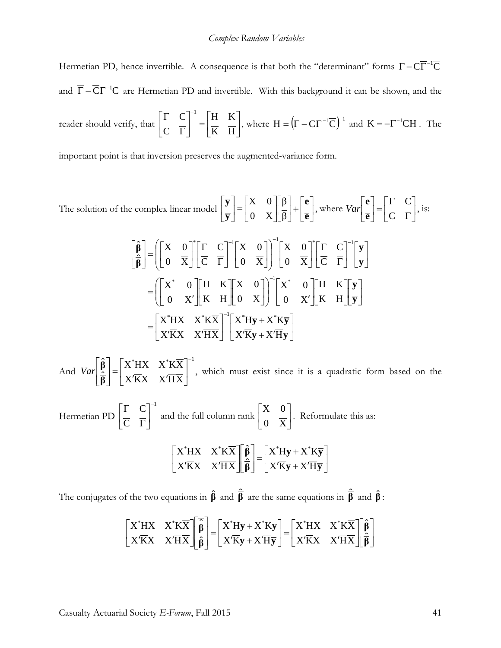Hermetian PD, hence invertible. A consequence is that both the "determinant" forms  $\Gamma - C\overline{\Gamma}^{-1}\overline{C}$ and  $\overline{\Gamma} - \overline{\mathbf{C}} \Gamma^{-1} \mathbf{C}$  are Hermetian PD and invertible. With this background it can be shown, and the reader should verify, that  $\left| \frac{\overline{C}}{\overline{C}} \right| = \left| \frac{\overline{C}}{\overline{K}} \right|$  $\rfloor$  $\begin{vmatrix} H & K \\ \overline{K} & \overline{H} \end{vmatrix}$ L  $\mathbf{r}$  $\begin{bmatrix} -1 \\ -1 \\ \hline K \end{bmatrix} = \begin{bmatrix} H & K \\ \hline K & \overline{H} \end{bmatrix}$  $\rfloor$  $\left| \begin{array}{cc} \Gamma & C \\ \overline{C} & \overline{\overline{\Gamma}} \end{array} \right|$ L L Γ  $\Gamma$   $C$ <sup>-</sup> K K  $\mathcal{C}_{0}^{(n)}$  $\left[\frac{C}{E}\right]^{-1} = \left[\frac{H}{E} \frac{K}{E}\right]$ , where  $H = \left(\Gamma - C\overline{\Gamma}^{-1}\overline{C}\right)^{-1}$  and  $K = -\Gamma^{-1}C\overline{H}$ . The

important point is that inversion preserves the augmented-variance form.

The solution of the complex linear model 
$$
\begin{bmatrix} \mathbf{y} \\ \mathbf{y} \end{bmatrix} = \begin{bmatrix} X & 0 \\ 0 & \overline{X} \end{bmatrix} \begin{bmatrix} \beta \\ \overline{\beta} \end{bmatrix} + \begin{bmatrix} \mathbf{e} \\ \overline{\mathbf{e}} \end{bmatrix}
$$
, where  $Var \begin{bmatrix} \mathbf{e} \\ \overline{\mathbf{e}} \end{bmatrix} = \begin{bmatrix} \overline{\mathbf{C}} & \overline{\mathbf{C}} \\ \overline{\mathbf{C}} & \overline{\mathbf{C}} \end{bmatrix}$ , is:  
\n
$$
\begin{bmatrix} \hat{\beta} \\ \hat{\beta} \end{bmatrix} = \begin{bmatrix} \begin{bmatrix} X & 0 \\ 0 & \overline{X} \end{bmatrix}^* \begin{bmatrix} \overline{\mathbf{C}} & \overline{\mathbf{C}} \\ \overline{\mathbf{C}} & \overline{\mathbf{C}} \end{bmatrix}^{-1} \begin{bmatrix} X & 0 \\ 0 & \overline{X} \end{bmatrix}^{-1} \begin{bmatrix} X & 0 \\ 0 & \overline{X} \end{bmatrix}^{-1} \begin{bmatrix} \overline{\mathbf{C}} & \overline{\mathbf{C}} \\ \overline{\mathbf{C}} & \overline{\mathbf{C}} \end{bmatrix}^{-1} \begin{bmatrix} \mathbf{y} \\ \overline{\mathbf{y}} \end{bmatrix}
$$
\n
$$
= \begin{bmatrix} \begin{bmatrix} X^* & 0 \\ 0 & X' \end{bmatrix} \begin{bmatrix} H & K \\ \overline{K} & H \end{bmatrix} \begin{bmatrix} X & 0 \\ 0 & \overline{X} \end{bmatrix} \end{bmatrix}^{-1} \begin{bmatrix} X^* & 0 \\ 0 & X' \end{bmatrix} \begin{bmatrix} H & K \\ \overline{K} & H \end{bmatrix} \begin{bmatrix} \mathbf{y} \\ \overline{\mathbf{y}} \end{bmatrix}
$$
\n
$$
= \begin{bmatrix} X^* H X & X^* K \overline{X} \\ X^T K X & X^T H X \end{bmatrix}^{-1} \begin{bmatrix} X^* H \mathbf{y} + X^* K \overline{\mathbf{y}} \\ X^T K \mathbf{y} + X^T H \overline{\mathbf{y}} \end{bmatrix}
$$

And  $^*$ uv v $^*$ v $\overline{\text{v}}$   $^{-1}$ X'KX X'HX  $X^*HX$   $X^*KX$  $\hat{\overline{\mathsf{n}}}$  $\hat{\mathbf{B}}$   $\begin{bmatrix} \mathbf{X}^* \mathbf{H} \mathbf{X} & \mathbf{X}^* \mathbf{K} \overline{\mathbf{X}} \end{bmatrix}$  $\overline{\phantom{a}}$  $\rfloor$  $\begin{array}{ccc} X^*HX & X^*K\overline{X} \\ W'\overline{K}W & W'\overline{I} \overline{M} \end{array}$ L L  $'\overline{\text{K}}\text{X}$   $\overline{\text{X}}'\overline{\text{H}}$  $=\left|\frac{\text{X}^* \text{H}}{\text{H}}\right|$  $\overline{\phantom{a}}$  $\overline{\phantom{a}}$ J  $\overline{\phantom{a}}$  $\mathsf{L}$  $\mathsf{L}$ L  $\mathbf{r}$ **β**  $Var\left[\frac{\beta}{2}\right] = \begin{bmatrix} X^*H X & X^*K X \\ \frac{1}{2}H X & \frac{1}{2}H X & \frac{1}{2}H X \end{bmatrix}$ , which must exist since it is a quadratic form based on the Hermetian PD 1  $\mathsf{C}$  $C^{-}$  $\overline{\phantom{a}}$  $\rfloor$  $\left| \begin{matrix} \Gamma & C \\ \overline{C} & \overline{\Gamma} \end{matrix} \right|$ L  $\mathbf{r}$ Γ Γ and the full column rank  $\begin{bmatrix} 1 & 1 \\ 0 & \overline{X} \end{bmatrix}$  $\rfloor$  $\begin{vmatrix} X & 0 \\ 0 & \overline{Y} \end{vmatrix}$ L 0 X  $\begin{bmatrix} X & 0 \\ \hline \overline{x} \end{bmatrix}$ . Reformulate this as:  $\overline{\phantom{a}}$ J  $\left| \frac{X^* Hy + X^* K \overline{y}}{X' \overline{K}_{\overline{B}} + X' \overline{K}_{\overline{B}}}\right|$ L L  $'\overline{\mathrm{K}}\mathrm{y} + \mathrm{X}'\overline{\mathrm{H}}$  $=\left|\frac{X^*Hy}{\cdot}\right|$  $\overline{\phantom{a}}$  $\overline{\phantom{a}}$ J  $\overline{\phantom{a}}$ L  $\mathbf{r}$ L  $\mathbf{r}$  $\overline{\phantom{a}}$ J  $\begin{array}{ccc} X^*H X & X^*K \overline{X} \\ X^{\prime\overline{K}X} & Y^{\prime\overline{K}\overline{K}} \end{array}$ L  $\overline{ }$  $'\overline{K}X$   $X'\overline{H}$ Η  $\mathbf{y} + \mathbf{X}' \mathbf{H} \overline{\mathbf{y}}$  $\mathbf{y} + \mathbf{X}^* \mathbf{K} \overline{\mathbf{y}}$ **β β**  $X'Ky+X$  $X^*Hy+X^*K$  $\hat{\mathbf{R}}$ ˆ X'KX X'HX  $X^*HX \quad X^*K\overline{X} \parallel \hat{\beta} \parallel X^*Hy+X^*$ 

The conjugates of the two equations in  $\hat{\beta}$  and  $\hat{\overline{\beta}}$  are the same equations in  $\hat{\overline{\beta}}$  and  $\hat{\beta}$ :

$$
\begin{bmatrix} X^* H X & X^* K \overline{X} \\ X' \overline{K} X & X' \overline{H} \overline{X} \end{bmatrix} \begin{bmatrix} \frac{\overline{\hat{\beta}}}{\hat{\beta}} \\ \frac{\overline{\hat{\beta}}}{\hat{\beta}} \end{bmatrix} = \begin{bmatrix} X^* H y + X^* K \overline{y} \\ X' \overline{K} y + X' \overline{H} \overline{y} \end{bmatrix} = \begin{bmatrix} X^* H X & X^* K \overline{X} \\ X' \overline{K} X & X' \overline{H} \overline{X} \end{bmatrix} \begin{bmatrix} \hat{\beta} \\ \hat{\beta} \end{bmatrix}
$$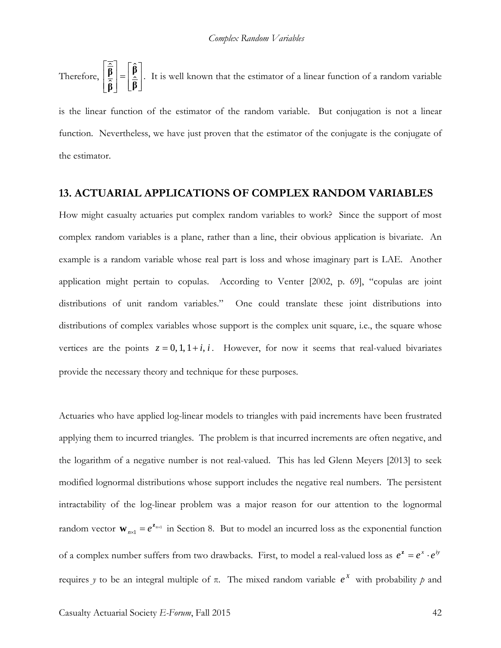Therefore,  $\left|\frac{\mathbf{p}}{\hat{\mathbf{\beta}}}\right| = \left|\frac{\mathbf{p}}{\hat{\mathbf{\beta}}}\right|$  $\rfloor$  $\overline{\phantom{a}}$  $\mathsf{I}$  $\mathbf{r}$ L  $=$  $\overline{\phantom{a}}$  $\overline{\phantom{a}}$ J  $\overline{\phantom{a}}$ L  $\mathbf{r}$ L  $\mathsf{L}$ **β β**  $\left|\frac{\widehat{\mathbf{\beta}}}{\widehat{\mathbf{\beta}}}\right| = \left[\begin{matrix} \widehat{\mathbf{\beta}} \\ \widehat{\mathbf{\beta}} \end{matrix}\right]$ ˆ  $\hat{\vec{B}} = \begin{bmatrix} \hat{\vec{B}} \\ \hat{\vec{B}} \end{bmatrix}$ . It is well known that the estimator of a linear function of a random variable

is the linear function of the estimator of the random variable. But conjugation is not a linear function. Nevertheless, we have just proven that the estimator of the conjugate is the conjugate of the estimator.

#### **13. ACTUARIAL APPLICATIONS OF COMPLEX RANDOM VARIABLES**

How might casualty actuaries put complex random variables to work? Since the support of most complex random variables is a plane, rather than a line, their obvious application is bivariate. An example is a random variable whose real part is loss and whose imaginary part is LAE. Another application might pertain to copulas. According to Venter [2002, p. 69], "copulas are joint distributions of unit random variables." One could translate these joint distributions into distributions of complex variables whose support is the complex unit square, i.e., the square whose vertices are the points  $z = 0, 1, 1+i, i$ . However, for now it seems that real-valued bivariates provide the necessary theory and technique for these purposes.

Actuaries who have applied log-linear models to triangles with paid increments have been frustrated applying them to incurred triangles. The problem is that incurred increments are often negative, and the logarithm of a negative number is not real-valued. This has led Glenn Meyers [2013] to seek modified lognormal distributions whose support includes the negative real numbers. The persistent intractability of the log-linear problem was a major reason for our attention to the lognormal random vector  $\mathbf{w}_{n\times 1} = e^{\mathbf{z}_{n\times 1}}$  in Section 8. But to model an incurred loss as the exponential function of a complex number suffers from two drawbacks. First, to model a real-valued loss as  $e^z = e^x \cdot e^{iy}$ requires *y* to be an integral multiple of π. The mixed random variable  $e^X$  with probability *p* and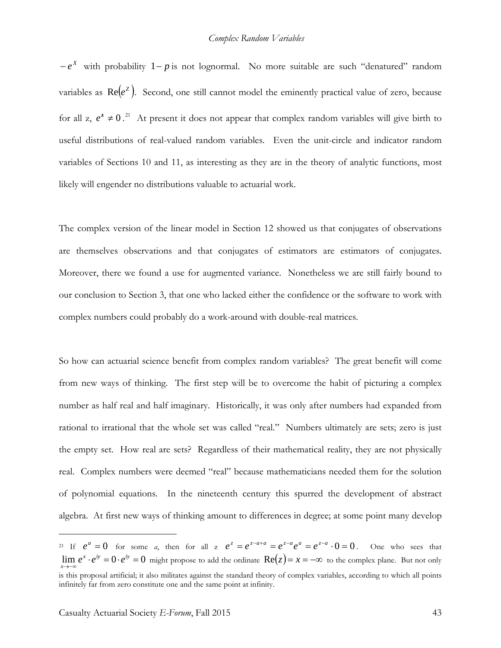$-e^X$  with probability 1– *p* is not lognormal. No more suitable are such "denatured" random variables as  $Re(e^z)$ . Second, one still cannot model the eminently practical value of zero, because for all z,  $e^z \neq 0$ .<sup>[21](#page-42-0)</sup> At present it does not appear that complex random variables will give birth to useful distributions of real-valued random variables. Even the unit-circle and indicator random variables of Sections 10 and 11, as interesting as they are in the theory of analytic functions, most likely will engender no distributions valuable to actuarial work.

The complex version of the linear model in Section 12 showed us that conjugates of observations are themselves observations and that conjugates of estimators are estimators of conjugates. Moreover, there we found a use for augmented variance. Nonetheless we are still fairly bound to our conclusion to Section 3, that one who lacked either the confidence or the software to work with complex numbers could probably do a work-around with double-real matrices.

So how can actuarial science benefit from complex random variables? The great benefit will come from new ways of thinking. The first step will be to overcome the habit of picturing a complex number as half real and half imaginary. Historically, it was only after numbers had expanded from rational to irrational that the whole set was called "real." Numbers ultimately are sets; zero is just the empty set. How real are sets? Regardless of their mathematical reality, they are not physically real. Complex numbers were deemed "real" because mathematicians needed them for the solution of polynomial equations. In the nineteenth century this spurred the development of abstract algebra. At first new ways of thinking amount to differences in degree; at some point many develop

<span id="page-42-0"></span><sup>&</sup>lt;sup>21</sup> If  $e^{a} = 0$  for some *a*, then for all z  $e^{z} = e^{z-a+a} = e^{z-a}e^{a} = e^{z-a} \cdot 0 = 0$ . One who sees that lim  $e^x \cdot e^{iy} = 0 \cdot e^{iy} = 0$  might propose to add the ordinate  $\text{Re}(z) = x = -\infty$  to the complex plane. But not only *x* is this proposal artificial; it also militates against the standard theory of complex variables, according to which all points infinitely far from zero constitute one and the same point at infinity.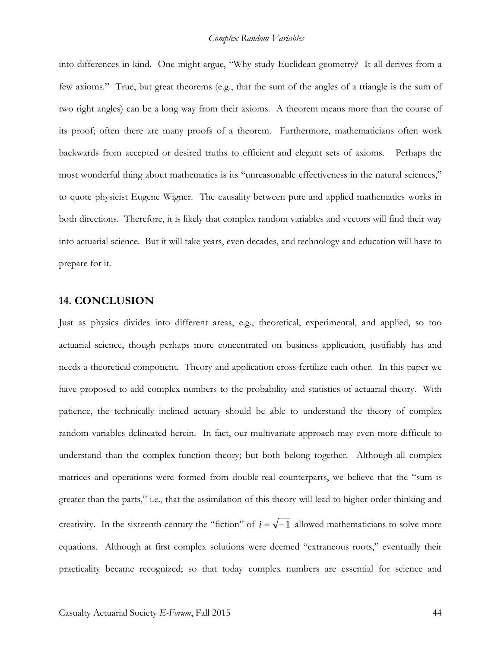into differences in kind. One might argue, "Why study Euclidean geometry? It all derives from a few axioms." True, but great theorems (e.g., that the sum of the angles of a triangle is the sum of two right angles) can be a long way from their axioms. A theorem means more than the course of its proof; often there are many proofs of a theorem. Furthermore, mathematicians often work backwards from accepted or desired truths to efficient and elegant sets of axioms. Perhaps the most wonderful thing about mathematics is its "unreasonable effectiveness in the natural sciences," to quote physicist Eugene Wigner. The causality between pure and applied mathematics works in both directions. Therefore, it is likely that complex random variables and vectors will find their way into actuarial science. But it will take years, even decades, and technology and education will have to prepare for it.

#### **14. CONCLUSION**

Just as physics divides into different areas, e.g., theoretical, experimental, and applied, so too actuarial science, though perhaps more concentrated on business application, justifiably has and needs a theoretical component. Theory and application cross-fertilize each other. In this paper we have proposed to add complex numbers to the probability and statistics of actuarial theory. With patience, the technically inclined actuary should be able to understand the theory of complex random variables delineated herein. In fact, our multivariate approach may even more difficult to understand than the complex-function theory; but both belong together. Although all complex matrices and operations were formed from double-real counterparts, we believe that the "sum is greater than the parts," i.e., that the assimilation of this theory will lead to higher-order thinking and creativity. In the sixteenth century the "fiction" of  $i = \sqrt{-1}$  allowed mathematicians to solve more equations. Although at first complex solutions were deemed "extraneous roots," eventually their practicality became recognized; so that today complex numbers are essential for science and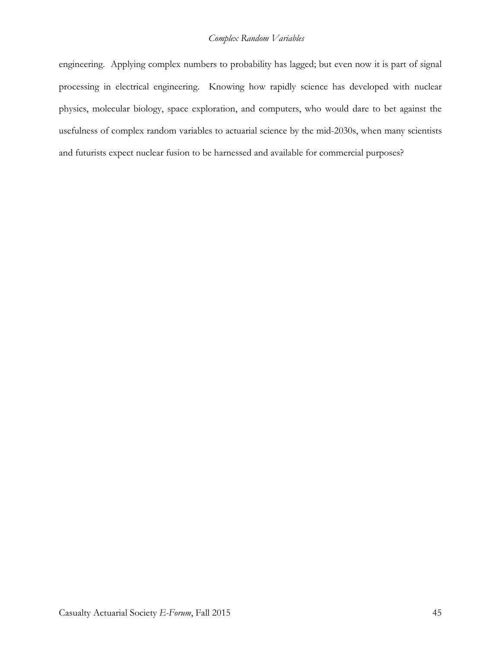### *Complex Random Variables*

engineering. Applying complex numbers to probability has lagged; but even now it is part of signal processing in electrical engineering. Knowing how rapidly science has developed with nuclear physics, molecular biology, space exploration, and computers, who would dare to bet against the usefulness of complex random variables to actuarial science by the mid-2030s, when many scientists and futurists expect nuclear fusion to be harnessed and available for commercial purposes?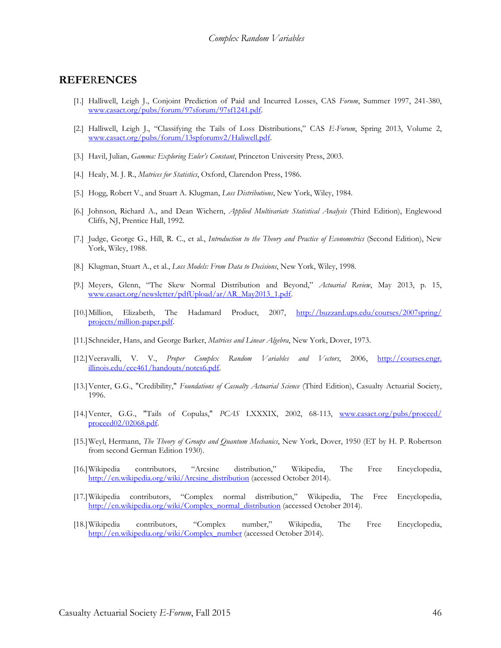#### **REFE**R**ENCES**

- [1.] Halliwell, Leigh J., Conjoint Prediction of Paid and Incurred Losses, CAS *Forum*, Summer 1997, 241-380, [www.casact.org/pubs/forum/97sforum/97sf1241.pdf.](http://www.casact.org/pubs/forum/97sforum/97sf1241.pdf)
- [2.] Halliwell, Leigh J., "Classifying the Tails of Loss Distributions," CAS *E-Forum*, Spring 2013, Volume 2, [www.casact.org/pubs/forum/13spforumv2/Haliwell.pdf.](http://www.casact.org/pubs/forum/13spforumv2/Haliwell.pdf)
- [3.] Havil, Julian, *Gamma: Exploring Euler's Constant*, Princeton University Press, 2003.
- [4.] Healy, M. J. R., *Matrices for Statistics*, Oxford, Clarendon Press, 1986.
- [5.] Hogg, Robert V., and Stuart A. Klugman, *Loss Distributions*, New York, Wiley, 1984.
- [6.] Johnson, Richard A., and Dean Wichern, *Applied Multivariate Statistical Analysis* (Third Edition), Englewood Cliffs, NJ, Prentice Hall, 1992.
- [7.] Judge, George G., Hill, R. C., et al., *Introduction to the Theory and Practice of Econometrics* (Second Edition), New York, Wiley, 1988.
- [8.] Klugman, Stuart A., et al., *Loss Models: From Data to Decisions*, New York, Wiley, 1998.
- [9.] Meyers, Glenn, "The Skew Normal Distribution and Beyond," *Actuarial Review*, May 2013, p. 15, [www.casact.org/newsletter/pdfUpload/ar/AR\\_May2013\\_1.pdf.](http://www.casact.org/newsletter/pdfUpload/ar/AR_May2013_1.pdf)
- [10.]Million, Elizabeth, The Hadamard Product, 2007, [http://buzzard.ups.edu/courses/2007spring/](http://buzzard.ups.edu/courses/2007spring/%20projects/million-paper.pdf)  [projects/million-paper.pdf.](http://buzzard.ups.edu/courses/2007spring/%20projects/million-paper.pdf)
- [11.]Schneider, Hans, and George Barker, *Matrices and Linear Algebra*, New York, Dover, 1973.
- [12.]Veeravalli, V. V., *Proper Complex Random Variables and Vectors*, 2006, http://courses.engr. illinois.edu/ece461/handouts/notes6.pdf.
- [13.]Venter, G.G., "Credibility," *Foundations of Casualty Actuarial Science* (Third Edition), Casualty Actuarial Society, 1996.
- [14.]Venter, G.G., "Tails of Copulas," *PCAS* LXXXIX, 2002, 68-113, [www.casact.org/pubs/proceed/](http://www.casact.org/pubs/proceed/%20proceed02/02068.pdf)  [proceed02/02068.pdf.](http://www.casact.org/pubs/proceed/%20proceed02/02068.pdf)
- [15.]Weyl, Hermann, *The Theory of Groups and Quantum Mechanics*, New York, Dover, 1950 (ET by H. P. Robertson from second German Edition 1930).
- [16.]Wikipedia contributors, "Arcsine distribution," Wikipedia, The Free Encyclopedia, [http://en.wikipedia.org/wiki/Arcsine\\_distribution](http://en.wikipedia.org/wiki/Arcsine_distribution) (accessed October 2014).
- [17.]Wikipedia contributors, "Complex normal distribution," Wikipedia, The Free Encyclopedia, [http://en.wikipedia.org/wiki/Complex\\_normal\\_distribution](http://en.wikipedia.org/wiki/Complex_normal_distribution) (accessed October 2014).
- [18.]Wikipedia contributors, "Complex number," Wikipedia, The Free Encyclopedia, [http://en.wikipedia.org/wiki/Complex\\_number](http://en.wikipedia.org/wiki/Complex_number) (accessed October 2014).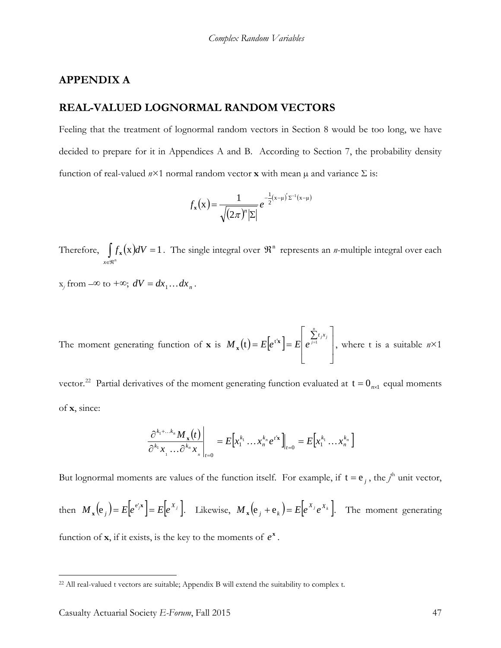#### **APPENDIX A**

## **REAL-VALUED LOGNORMAL RANDOM VECTORS**

Feeling that the treatment of lognormal random vectors in Section 8 would be too long, we have decided to prepare for it in Appendices A and B. According to Section 7, the probability density function of real-valued  $n \times 1$  normal random vector **x** with mean  $\mu$  and variance  $\Sigma$  is:

$$
f_{\mathbf{x}}(\mathbf{x}) = \frac{1}{\sqrt{(2\pi)^n |\Sigma|}} e^{-\frac{1}{2}(\mathbf{x} - \mu)^{\prime} \Sigma^{-1}(\mathbf{x} - \mu)}
$$

Therefore,  $\int_{x \in \Re^n} f_x(x) dV = 1$  $f_{\bf x}({\bf x})dV = 1$ . The single integral over  $\mathfrak{R}^n$  represents an *n*-multiple integral over each

 $x_i$  from  $-\infty$  to  $+\infty$ ;  $dV = dx_1 \dots dx_n$ .

The moment generating function of **x** is  $M_x(t) = E[e^{t^2}] = E[e^{\int_{t^1}^{t^2} dt}]$ 」  $\overline{\phantom{a}}$ L L L  $E[e^{t'x}] = E\left[e^{\sum_{j=1}^n} \right]$  $M_x(t) = E[e^{t/x}] = E\left[e^{\sum_{j=1}^{t} t_j x_j}\right]$ , where t is a suitable  $n \times 1$ 

vector.<sup>22</sup> Partial derivatives of the moment generating function evaluated at  $t = 0_{n \times 1}$  equal moments of **x**, since:

$$
\left.\frac{\partial^{k_1+\dots k_n}M_{\mathbf{x}}(t)}{\partial^{k_1}x_{\mathbf{1}}\dots\partial^{k_n}x_{\mathbf{n}}}\right|_{t=0}=E\Big[x_1^{k_1}\dots x_n^{k_n}e^{t\mathbf{x}}\Big]_{t=0}=E\Big[x_1^{k_1}\dots x_n^{k_n}\Big]
$$

But lognormal moments are values of the function itself. For example, if  $t = e_j$ , the *j*<sup>th</sup> unit vector, then  $M_x(e_j) = E[e^{e_j x}] = E[e^{X_j}]$ . Likewise,  $M_x(e_j + e_k) = E[e^{X_j}e^{X_k}]$ . The moment generating function of **x**, if it exists, is the key to the moments of  $e^x$ .

<span id="page-46-0"></span><sup>22</sup> All real-valued t vectors are suitable; Appendix B will extend the suitability to complex t.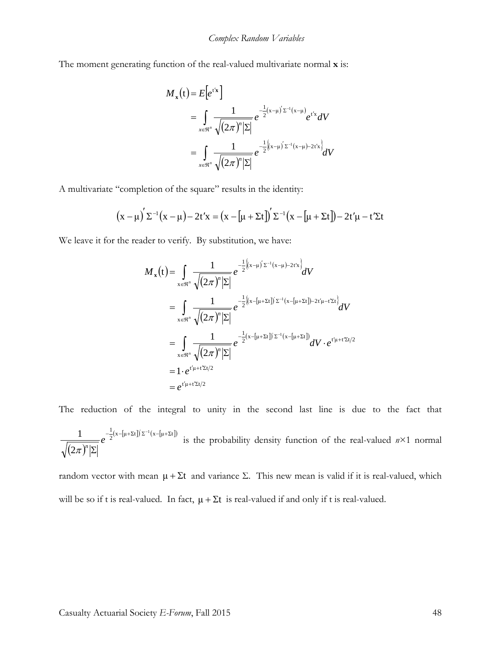The moment generating function of the real-valued multivariate normal **x** is:

$$
M_{x}(t) = E[e^{t^{x}}]
$$
  
=  $\int_{x \in \mathbb{N}^{n}} \frac{1}{\sqrt{(2\pi)^{n}|\Sigma|}} e^{-\frac{1}{2}(x-\mu)^{x-1}(x-\mu)} e^{t^{x}} dV$   
=  $\int_{x \in \mathbb{N}^{n}} \frac{1}{\sqrt{(2\pi)^{n}|\Sigma|}} e^{-\frac{1}{2}(x-\mu)^{x-1}(x-\mu)-2t^{x}} dV$ 

A multivariate "completion of the square" results in the identity:

$$
(x-\mu)^{'}\Sigma^{-1}(x-\mu)-2t^{\prime}x=\left(x-\left[\mu+\Sigma t\right]\right)^{\prime}\Sigma^{-1}\left(x-\left[\mu+\Sigma t\right]\right)-2t^{\prime}\mu-t^{\prime}\Sigma t
$$

We leave it for the reader to verify. By substitution, we have:

$$
M_{x}(t) = \int_{x \in \mathbb{R}^{n}} \frac{1}{\sqrt{(2\pi)^{n} |\Sigma|}} e^{-\frac{1}{2}[(x-\mu)^{2}(\Sigma^{-1}(x-\mu)-2t^{2}x)]} dV
$$
  
\n
$$
= \int_{x \in \mathbb{R}^{n}} \frac{1}{\sqrt{(2\pi)^{n} |\Sigma|}} e^{-\frac{1}{2}[(x - [\mu + \Sigma t])^{2}(\Sigma^{-1}(x - [\mu + \Sigma t]) - 2t^{2} \mu - t^{2} \Sigma t]} dV
$$
  
\n
$$
= \int_{x \in \mathbb{R}^{n}} \frac{1}{\sqrt{(2\pi)^{n} |\Sigma|}} e^{-\frac{1}{2}(x - [\mu + \Sigma t])^{2}(\Sigma^{-1}(x - [\mu + \Sigma t])} dV \cdot e^{t^{2}(\mu + t^{2} \Sigma t/2)}
$$
  
\n
$$
= 1 \cdot e^{t^{2}(\mu + t^{2} \Sigma t/2)}
$$
  
\n
$$
= e^{t^{2}(\mu + t^{2} \Sigma t/2)}
$$

The reduction of the integral to unity in the second last line is due to the fact that  $(2\pi)$  $\frac{1}{2}$ (x-[μ+Σt])' Σ<sup>-1</sup>(x-[μ+Σt]) 2 1  $-\frac{1}{2}(x - [\mu + \Sigma t])^{\prime} \Sigma^{-1}(x - [\mu +$  $\frac{1}{|\pi|^n}$  *e* <sup>2<sup>(*n*</sup> [*n* -*n*<sub>*n*</sub> *n* is the probability density function of the real-valued *n*×1 normal  $\pi$ </sup>

random vector with mean  $μ + Σt$  and variance Σ. This new mean is valid if it is real-valued, which will be so if t is real-valued. In fact,  $\mu + \Sigma t$  is real-valued if and only if t is real-valued.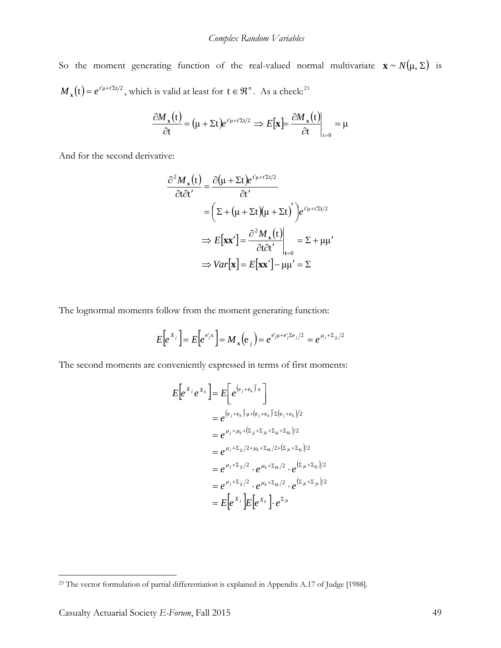So the moment generating function of the real-valued normal multivariate  $\mathbf{x} \sim N(\mu, \Sigma)$  is  $M_x(t) = e^{t'\mu + t'\Sigma t/2}$ , which is valid at least for  $t \in \mathbb{R}^n$ . As a check:<sup>[23](#page-48-0)</sup>

$$
\frac{\partial M_{\mathbf{x}}(t)}{\partial t} = (\mu + \Sigma t) e^{t'\mu + t'\Sigma t/2} \Rightarrow E[\mathbf{x}] = \frac{\partial M_{\mathbf{x}}(t)}{\partial t}\bigg|_{t=0} = \mu
$$

And for the second derivative:

$$
\frac{\partial^2 M_x(t)}{\partial t \partial t'} = \frac{\partial (\mu + \Sigma t)e^{t'\mu + t'\Sigma t/2}}{\partial t'}
$$

$$
= \left(\Sigma + (\mu + \Sigma t)(\mu + \Sigma t)\right)e^{t'\mu + t'\Sigma t/2}
$$

$$
\Rightarrow E[\mathbf{x}\mathbf{x}'] = \frac{\partial^2 M_x(t)}{\partial t \partial t'}\Big|_{t=0} = \Sigma + \mu\mu'
$$

$$
\Rightarrow Var[\mathbf{x}] = E[\mathbf{x}\mathbf{x}'] - \mu\mu' = \Sigma
$$

The lognormal moments follow from the moment generating function:

$$
E\Big[e^{X_j}\Big] = E\Big[e^{e'_j x}\Big] = M_x(e_j) = e^{e'_j \mu + e'_j \Sigma e_j/2} = e^{\mu_j + \Sigma_{jj}/2}
$$

The second moments are conveniently expressed in terms of first moments:

$$
E\left[e^{X_j}e^{X_k}\right] = E\left[e^{(e_j+e_k)^{\prime}x}\right]
$$
  
\n
$$
= e^{(e_j+e_k)^{\prime}\mu+(e_j+e_k)^{\prime}\Sigma(e_j+e_k)/2}
$$
  
\n
$$
= e^{\mu_j+\mu_k+\left(\Sigma_{jj}+\Sigma_{jk}+\Sigma_{kj}+\Sigma_{kk}\right)/2}
$$
  
\n
$$
= e^{\mu_j+\Sigma_{jj}/2+\mu_k+\Sigma_{kk}/2+\left(\Sigma_{jk}+\Sigma_{kj}\right)/2}
$$
  
\n
$$
= e^{\mu_j+\Sigma_{jj}/2} \cdot e^{\mu_k+\Sigma_{kk}/2} \cdot e^{\left(\Sigma_{jk}+\Sigma_{kj}\right)/2}
$$
  
\n
$$
= e^{\mu_j+\Sigma_{jj}/2} \cdot e^{\mu_k+\Sigma_{kk}/2} \cdot e^{\left(\Sigma_{jk}+\Sigma_{jk}\right)/2}
$$
  
\n
$$
= E\left[e^{X_j}\right]E\left[e^{X_k}\right] \cdot e^{\Sigma_{jk}}
$$

<span id="page-48-0"></span><sup>&</sup>lt;sup>23</sup> The vector formulation of partial differentiation is explained in Appendix A.17 of Judge [1988].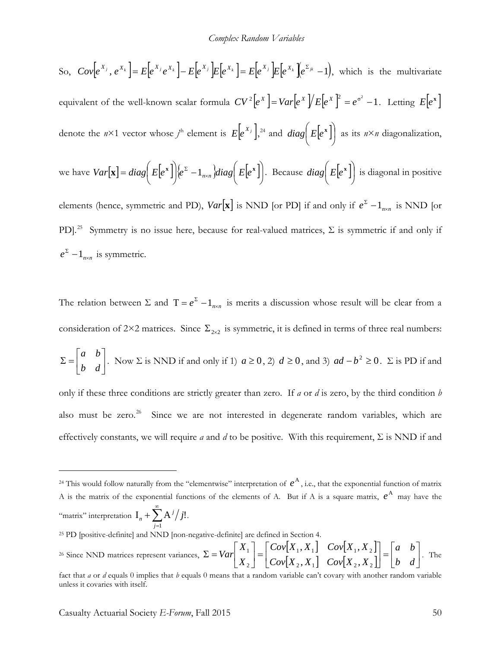So, 
$$
Cov[e^{x_j}, e^{x_k}] = E[e^{x_j}e^{x_k}] - E[e^{x_j}]E[e^{x_k}] = E[e^{x_j}]E[e^{x_k}]E[e^{x_k}] - 1
$$
, which is the multivariate equivalent of the well-known scalar formula  $CV^2[e^x] = Var[e^x]/E[e^x]^2 = e^{\sigma^2} - 1$ . Letting  $E[e^x]$ 

denote the  $n \times 1$  vector whose  $j^{\text{th}}$  element is  $E\left[e^{X_j}\right]$ ,  $z^4$  and  $diag\left|E\left[e^{\mathbf{x}}\right]\right|$ J  $E[e^x]$  $\setminus$  $\chi$  *diag*  $E[e^x]$  as its  $n \times n$  diagonalization,

we have 
$$
Var[\mathbf{x}] = diag(E[e^{\mathbf{x}}])\langle e^{\Sigma} - 1_{n \times n} diag(E[e^{\mathbf{x}})].
$$
 Because  $diag(E[e^{\mathbf{x}}])$  is diagonal in positive

elements (hence, symmetric and PD), *Var*[**x**] is NND [or PD] if and only if  $e^{\Sigma} - 1_{n \times n}$  is NND [or PD].<sup>25</sup> Symmetry is no issue here, because for real-valued matrices,  $\Sigma$  is symmetric if and only if  $e^{z} - 1_{n \times n}$  is symmetric.

The relation between  $\Sigma$  and  $T = e^{\Sigma} - 1_{n \times n}$  is merits a discussion whose result will be clear from a consideration of 2×2 matrices. Since  $\Sigma_{2\times 2}$  is symmetric, it is defined in terms of three real numbers:

$$
\Sigma = \begin{bmatrix} a & b \\ b & d \end{bmatrix}
$$
. Now  $\Sigma$  is NND if and only if 1)  $a \ge 0$ , 2)  $d \ge 0$ , and 3)  $ad - b^2 \ge 0$ .  $\Sigma$  is PD if and

only if these three conditions are strictly greater than zero. If *a* or *d* is zero, by the third condition *b* also must be zero.<sup>26</sup> Since we are not interested in degenerate random variables, which are effectively constants, we will require *a* and *d* to be positive. With this requirement, Σ is NND if and

<span id="page-49-0"></span><sup>&</sup>lt;sup>24</sup> This would follow naturally from the "elementwise" interpretation of  $e^{A}$ , i.e., that the exponential function of matrix A is the matrix of the exponential functions of the elements of A. But if A is a square matrix,  $e^{A}$  may have the "matrix" interpretation  $I_n + \sum_{n=1}^{\infty}$ = + 1  $I_n + \sum A^j / j!$ *j*  $j_n + \sum A^j / j!$ .

<span id="page-49-1"></span><sup>&</sup>lt;sup>25</sup> PD [positive-definite] and NND [non-negative-definite] are defined in Section

<span id="page-49-2"></span><sup>&</sup>lt;sup>26</sup> Since NND matrices represent variances,  $\Sigma = Var\begin{bmatrix} X_1 \\ Y_2 \end{bmatrix} = \begin{bmatrix} Cov[X_1, X_1] & Cov[X_1, X_2] \\ Cov[X_1, X_1] & Cov[X_1, X_2] \end{bmatrix}$  $\begin{bmatrix} X_1, X_1 \end{bmatrix}$   $Cov[X_1, X_2]$  $=$  $\begin{bmatrix} b & d \end{bmatrix}$  $\begin{vmatrix} a & b \\ b & d \end{vmatrix}$ L  $\vert$  =  $\vert$ U  $\begin{bmatrix} Cov[X_1, X_1] & Cov[X_1, X_2] \\ Cov[X_1, X_2] & Cov[X_1, X_2] \end{bmatrix}$ L  $=$  $\overline{\phantom{a}}$  $\begin{array}{|c|c|} \hline X_1 \ \hline \textbf{v} \end{array}$  $\Sigma = Var\begin{bmatrix} X_1 \\ X_2 \end{bmatrix} = \begin{bmatrix} Cov[X_1, X_1] & Cov[X_1, X_2] \\ Cov[X_2, X_1] & Cov[X_2, X_2] \end{bmatrix} = \begin{bmatrix} a & b \\ b & d \end{bmatrix}$  $Cov[X_2, X_1]$   $Cov[X_2, X_2]$  $Cov[X_1, X_1]$   $Cov[X_1, X]$ *X X Var* 2,  $\mathbf{a}_{1}$   $\mathbf{c}$   $\mathbf{v}_{1}$   $\mathbf{a}_{2}$ ,  $\mathbf{a}_{2}$  $[1, \mathbf{A}_1]$   $\mathbf{Cov}[\mathbf{A}_1, \mathbf{A}_2]$ 2 1  $,X_1$   $Cov[X_2,$  $\begin{bmatrix} X_1 \end{bmatrix}$   $Cov[X_1, X_2] \begin{bmatrix} a & b \\ c & d \end{bmatrix}$ . The fact that *a* or *d* equals 0 implies that *b* equals 0 means that a random variable can't covary with another random variable unless it covaries with itself.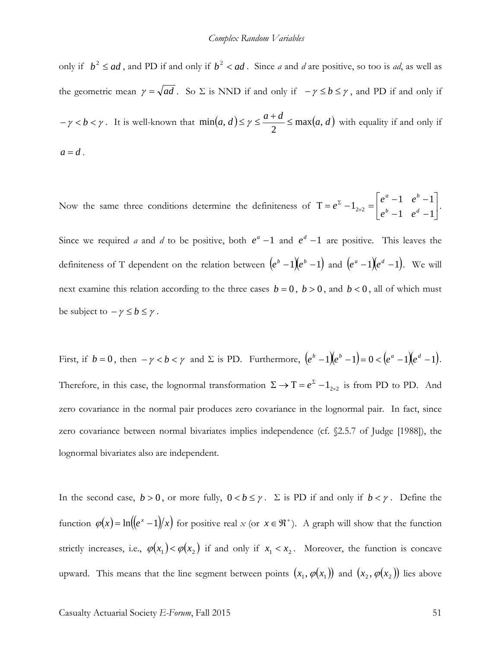only if  $b^2 \le ad$ , and PD if and only if  $b^2 < ad$ . Since *a* and *d* are positive, so too is *ad*, as well as the geometric mean  $\gamma = \sqrt{ad}$ . So  $\Sigma$  is NND if and only if  $-\gamma \le b \le \gamma$ , and PD if and only if  $-\gamma < b < \gamma$ . It is well-known that  $\min(a, d) \le \gamma \le \frac{a+d}{2} \le \max(a, d)$  with equality if and only if  $a = d$ .

Now the same three conditions determine the definiteness of  $T = e^2 - 1_{2\times2} = \begin{bmatrix} 1 & 1 & 0 \\ 0 & 1 & d \\ 0 & 1 & d \end{bmatrix}$  $\rfloor$  $\begin{vmatrix} e^a-1 & e^b-1 \\ b & 1 & d \end{vmatrix}$ L  $\overline{ }$  $T = e^{z} - 1_{2 \times 2} = \begin{vmatrix} e^{a} - 1 & e^{b} - e^{b} - 1 & e^{d} - 1 & e^{d} - 1 \end{vmatrix}$  $1_{2\times2} = \begin{vmatrix} e^a - 1 & e^b - 1 \\ e^b - 1 & e^d - 1 \end{vmatrix}$  $e^{b}-1$  *e*  $e^a-1$  *e*  $e^{2} - 1_{2 \times 2} = \begin{vmatrix} 0 & 1 & 0 & 1 \\ 0 & 0 & 1 & 0 \\ 0 & 0 & 0 & 1 \end{vmatrix}$ 

Since we required *a* and *d* to be positive, both  $e^a - 1$  and  $e^d - 1$  are positive. This leaves the definiteness of T dependent on the relation between  $(e^{b}-1)(e^{b}-1)$  and  $(e^{a}-1)(e^{d}-1)$ . We will next examine this relation according to the three cases  $b = 0$ ,  $b > 0$ , and  $b < 0$ , all of which must be subject to  $-\gamma \leq b \leq \gamma$ .

First, if  $b = 0$ , then  $-\gamma < b < \gamma$  and  $\Sigma$  is PD. Furthermore,  $(e^b - 1)(e^b - 1) = 0 < (e^a - 1)(e^d - 1)$ . Therefore, in this case, the lognormal transformation  $\Sigma \to T = e^{\Sigma} - 1_{2 \times 2}$  is from PD to PD. And zero covariance in the normal pair produces zero covariance in the lognormal pair. In fact, since zero covariance between normal bivariates implies independence (cf. §2.5.7 of Judge [1988]), the lognormal bivariates also are independent.

In the second case,  $b > 0$ , or more fully,  $0 < b \leq \gamma$ .  $\Sigma$  is PD if and only if  $b < \gamma$ . Define the function  $\varphi(x) = \ln((e^x - 1)/x)$  for positive real *x* (or  $x \in \Re^+$ ). A graph will show that the function strictly increases, i.e.,  $\varphi(x_1) < \varphi(x_2)$  if and only if  $x_1 < x_2$ . Moreover, the function is concave upward. This means that the line segment between points  $(x_1, \varphi(x_1))$  and  $(x_2, \varphi(x_2))$  lies above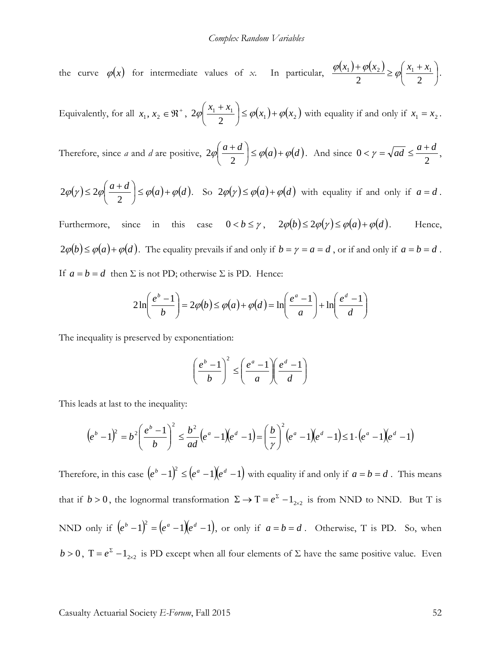the curve  $\varphi(x)$  for intermediate values of *x*. In particular,  $\frac{\varphi(x_1) + \varphi(x_2)}{2} \ge \varphi\left(\frac{x_1 + x_1}{2}\right)$ J  $\left(\frac{x_1+x_1}{2}\right)$  $\setminus$  $+\varphi(x_2) \geq \varphi \left( \frac{x_1 + x_2}{x_2 + x_1} \right)$ 2 (2)  $\frac{\varphi(x_1) + \varphi(x_2)}{2} \ge \varphi\left(\frac{x_1 + x_1}{2}\right).$ 

Equivalently, for all  $x_1, x_2 \in \mathbb{R}^+$ ,  $2\varphi \left| \frac{x_1 + x_1}{2} \right| \leq \varphi(x_1) + \varphi(x_2)$ 2  $2\varphi\left(\frac{x_1 + x_1}{2}\right) \leq \varphi(x_1) + \varphi(x_2)$  $\setminus$  $\left(\frac{x_1 + x_1}{2}\right) \le \varphi(x_1) + \varphi(x_2)$  with equality if and only if  $x_1 = x_2$ .

Therefore, since *a* and *d* are positive,  $2\varphi\left(\frac{a+d}{2}\right) \leq \varphi(a) + \varphi(d)$  $\setminus$  $\int a +$ 2  $\left|2\varphi\right| \frac{a+a}{2} \leq \varphi(a)+\varphi(d)$ . And since 2  $0 < \gamma = \sqrt{ad} \leq \frac{a+d}{2},$ 

$$
2\varphi(\gamma) \le 2\varphi\left(\frac{a+d}{2}\right) \le \varphi(a) + \varphi(d). \quad \text{So } 2\varphi(\gamma) \le \varphi(a) + \varphi(d) \text{ with equality if and only if } a = d.
$$

Furthermore, since in this case  $0 < b \leq \gamma$ ,  $2\varphi(b) \leq 2\varphi(\gamma) \leq \varphi(a) + \varphi(d)$ . Hence,  $2\varphi(b) \leq \varphi(a) + \varphi(d)$ . The equality prevails if and only if  $b = \gamma = a = d$ , or if and only if  $a = b = d$ . If  $a = b = d$  then  $\Sigma$  is not PD; otherwise  $\Sigma$  is PD. Hence:

$$
2\ln\left(\frac{e^b-1}{b}\right) = 2\varphi(b) \le \varphi(a) + \varphi(d) = \ln\left(\frac{e^a-1}{a}\right) + \ln\left(\frac{e^d-1}{d}\right)
$$

The inequality is preserved by exponentiation:

$$
\left(\frac{e^b - 1}{b}\right)^2 \le \left(\frac{e^a - 1}{a}\right)\left(\frac{e^d - 1}{d}\right)
$$

This leads at last to the inequality:

$$
(e^{b}-1)^{2} = b^{2} \left(\frac{e^{b}-1}{b}\right)^{2} \leq \frac{b^{2}}{ad}(e^{a}-1)(e^{d}-1) = \left(\frac{b}{\gamma}\right)^{2} (e^{a}-1)(e^{d}-1) \leq 1 \cdot (e^{a}-1)(e^{d}-1)
$$

Therefore, in this case  $(e^{b}-1)^{2} \leq (e^{a}-1)(e^{d}-1)$  with equality if and only if  $a=b=d$ . This means that if  $b > 0$ , the lognormal transformation  $\Sigma \to T = e^{\Sigma} - 1_{2 \times 2}$  is from NND to NND. But T is NND only if  $(e^b - 1)^2 = (e^a - 1)(e^d - 1)$ , or only if  $a = b = d$ . Otherwise, T is PD. So, when  $b > 0$ ,  $T = e^{\Sigma} - 1_{2 \times 2}$  is PD except when all four elements of  $\Sigma$  have the same positive value. Even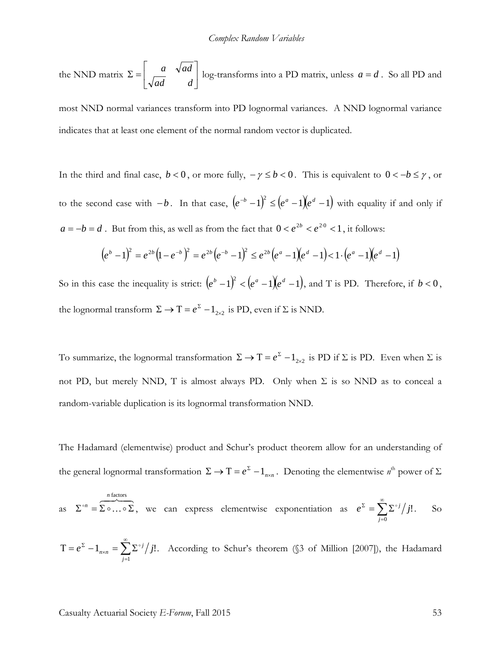the NND matrix  $\Sigma = \begin{vmatrix} a & \sqrt{a}a \\ \sqrt{a} & \sqrt{a}a \end{vmatrix}$ 」  $\begin{vmatrix} a & \sqrt{ad} \\ \overline{a} & \sqrt{ad} \end{vmatrix}$ L  $\Sigma = \begin{vmatrix} a & \sqrt{ad} \\ \sqrt{ad} & d \end{vmatrix}$  log-transforms into a PD matrix, unless  $a = d$ . So all PD and

most NND normal variances transform into PD lognormal variances. A NND lognormal variance indicates that at least one element of the normal random vector is duplicated.

In the third and final case,  $b < 0$ , or more fully,  $-\gamma \leq b < 0$ . This is equivalent to  $0 < -b \leq \gamma$ , or to the second case with  $-b$ . In that case,  $(e^{-b}-1)^2 \leq (e^a-1)(e^d-1)$  with equality if and only if  $a = -b = d$ . But from this, as well as from the fact that  $0 < e^{2b} < e^{20} < 1$ , it follows:

$$
(eb - 1)2 = e2b(1 - e-b)2 = e2b(e-b - 1)2 \le e2b(ea - 1)(ed - 1) < 1 \cdot (ea - 1)(ed - 1)
$$

So in this case the inequality is strict:  $(e^b - 1)^2 < (e^a - 1)(e^d - 1)$ , and T is PD. Therefore, if  $b < 0$ , the lognormal transform  $\Sigma \to T = e^{\Sigma} - 1_{2 \times 2}$  is PD, even if  $\Sigma$  is NND.

To summarize, the lognormal transformation  $\Sigma \to T = e^{\Sigma} - 1_{2 \times 2}$  is PD if  $\Sigma$  is PD. Even when  $\Sigma$  is not PD, but merely NND, T is almost always PD. Only when  $\Sigma$  is so NND as to conceal a random-variable duplication is its lognormal transformation NND.

The Hadamard (elementwise) product and Schur's product theorem allow for an understanding of the general lognormal transformation  $\Sigma \to T = e^{\Sigma} - 1_{n \times n}$ . Denoting the elementwise  $n^{\text{th}}$  power of  $\Sigma$ 

as 
$$
\Sigma^{\circ n} = \overbrace{\Sigma^{\circ} \dots \circ \Sigma}^{\text{n factors}},
$$
 we can express elementwise exponentiation as  $e^{\Sigma} = \sum_{j=0}^{\infty} \Sigma^{\circ j} / j!$ . So

 $\sum^{\infty}$ =  $T = e^{2T} - 1_{n \times n} = \sum \sum$ 1  $1_{n\times n} = \sum \sum_{i}^{i} j!$ *j*  $e^{\sum_{n=m}} - 1_{n \times n} = \sum_{n=m} \sum_{n=1}^{\infty} j^{n}$ . According to Schur's theorem (§3 of Million [2007]), the Hadamard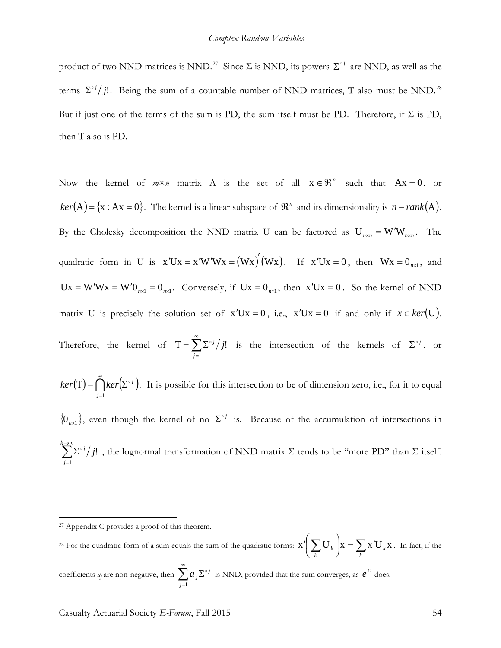product of two NND matrices is NND.<sup>[27](#page-53-0)</sup> Since  $\Sigma$  is NND, its powers  $\Sigma^{\circ j}$  are NND, as well as the terms  $\sum$ <sup>oj</sup>/j!. Being the sum of a countable number of NND matrices, T also must be NND.<sup>[28](#page-53-1)</sup> But if just one of the terms of the sum is PD, the sum itself must be PD. Therefore, if  $\Sigma$  is PD, then Τ also is PD.

Now the kernel of  $m \times n$  matrix A is the set of all  $x \in \mathbb{R}^n$  such that  $Ax = 0$ , or  $ker(A) = {x : Ax = 0}$ . The kernel is a linear subspace of  $\mathbb{R}^n$  and its dimensionality is  $n - rank(A)$ . By the Cholesky decomposition the NND matrix U can be factored as  $U_{n \times n} = W'W_{n \times n}$ . The quadratic form in U is  $x'Ux = x'W'Wx = (Wx)'(Wx)$ . If  $x'Ux = 0$ , then  $Wx = 0_{n \times 1}$ , and  $Ux = W'Wx = W'0_{n \times 1} = 0_{n \times 1}$ . Conversely, if  $Ux = 0_{n \times 1}$ , then  $x'Ux = 0$ . So the kernel of NND matrix U is precisely the solution set of  $x'Ux = 0$ , i.e.,  $x'Ux = 0$  if and only if  $x \in ker(U)$ . Therefore, the kernel of  $T = \sum_{n=1}^{\infty}$ =  $T = \sum \sum$ 1 ! *j*  $\frac{g}{j}$  is the intersection of the kernels of  $\sum_{i}^{j}$ , or

 $(T) = \bigcap_{i=1}^{\infty} ker(\Sigma^{\circ i})$ =  $T$  =  $\bigcap$  ker $\Sigma$ *j*=1  $ker(T) = \bigcap ker(\Sigma^{\circ i})$ . It is possible for this intersection to be of dimension zero, i.e., for it to equal

 ${0}_{n\times1}$ , even though the kernel of no  $\Sigma$ <sup>oj</sup> is. Because of the accumulation of intersections in ∑ →∞ =  $\sum_{i=1}^{k}\sum_{i=1}^{k}$ *j*  $^{j}/j$ 1  $\mathcal{L}^{\{j\}}$ , the lognormal transformation of NND matrix Σ tends to be "more PD" than Σ itself.

 $\overline{a}$ 

=

*j*=1

<span id="page-53-0"></span><sup>&</sup>lt;sup>27</sup> Appendix C provides a proof of this theorem.

<span id="page-53-1"></span><sup>&</sup>lt;sup>28</sup> For the quadratic form of a sum equals the sum of the quadratic forms:  $x' \left( \sum_{k} U_{k} \right) x = \sum_{k} x' U_{k} x$  $\left(\sum_{k}$ U<sub>k</sub> $\right)$  $\setminus$ ∫ *k k k*  $\mathbf{x} = \sum \mathbf{x}^T \mathbf{U}_k \mathbf{x}$ . In fact, if the coefficients *a<sub>j</sub>* are non-negative, then  $\sum^{\infty}$ Σ  $a_j \Sigma^{\circ j}$  is NND, provided that the sum converges, as  $e^\Sigma$  does.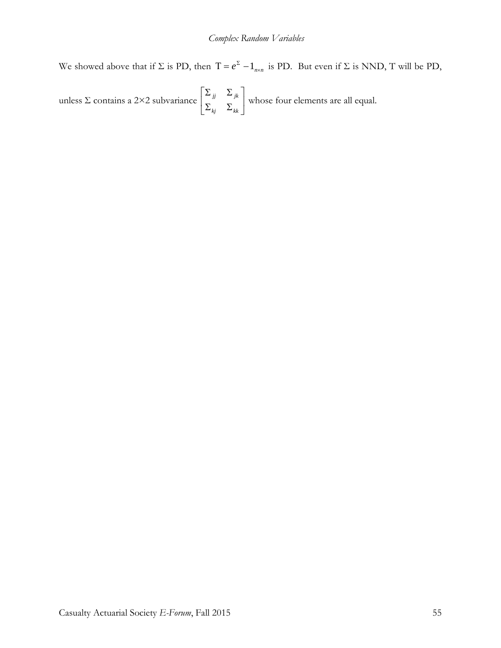We showed above that if  $\Sigma$  is PD, then  $T = e^{\Sigma} - 1_{n \times n}$  is PD. But even if  $\Sigma$  is NND, T will be PD,

unless  $\Sigma$  contains a 2×2 subvariance  $\begin{bmatrix} J^{\mu} & N^{\mu} \end{bmatrix}$  $\rfloor$  $\left| \begin{array}{cc} \Sigma_{jj} & \Sigma_{jk} \\ \nabla & \nabla \end{array} \right|$ L  $\overline{a}$  $\sum_{ki}$   $\sum$  $\sum_{ii}$   $\sum$ *kj kk*  $\frac{d}{dx}$   $\frac{d}{dx}$  whose four elements are all equal.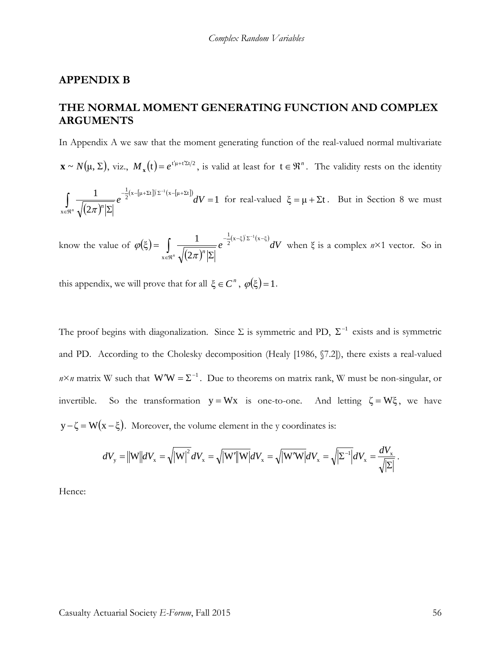#### **APPENDIX B**

## **THE NORMAL MOMENT GENERATING FUNCTION AND COMPLEX ARGUMENTS**

In Appendix A we saw that the moment generating function of the real-valued normal multivariate

 $\mathbf{x} \sim N(\mu, \Sigma)$ , viz.,  $M_{\mathbf{x}}(t) = e^{t'(\mu + t' \Sigma t/2)}$ , is valid at least for  $t \in \mathbb{R}^n$ . The validity rests on the identity

 $(2\pi)$  $\frac{(\mathbf{x} - [\mathbf{\mu} + \Sigma \mathbf{t}]) \Sigma^{-1} (\mathbf{x} - [\mathbf{\mu} + \Sigma \mathbf{t}])}{dV}$ 2 1 x  $\frac{1}{2}$ (x-[μ+Σt]) Σ<sup>-1</sup>(x-[μ+Σt]  $1_{(\mathbf{v} \cdot [\mathbf{u} \cdot \nabla \cdot \mathbf{h}]\nabla^{-1}}$  $\int_{\in\Re^n}\frac{1}{\sqrt{(2\pi)^n|\Sigma|}}e^{-2^{(\lambda-\lfloor\mu+2\lambda\rfloor)/2-(\lambda-\lfloor\mu+2\lambda\rfloor) }}dV=$  $e^{-\frac{1}{2}(x - [\mu + \Sigma t])'\Sigma^{-1}(x - [\mu + \Sigma t])}dV$  $\frac{1}{2}$   $(2\pi)^n$ for real-valued  $\xi = \mu + \Sigma t$ . But in Section 8 we must

know the value of  $\varphi(\xi)$  $(2\pi)$  $e^{-\frac{1}{2}(x-\xi)\Sigma^{-1}(x-\xi)}dV$  $\int_{\infty}$   $\frac{1}{\sqrt{(2\pi)^n |\Sigma|}} e^{-\frac{1}{2}(x-\xi) \Sigma^{-1}(x-\xi)}$ Σ = x  $\frac{1}{2}$ (x-ξ)<sup>'</sup> Σ<sup>-1</sup>(x-ξ 2  $(\xi) = \int \frac{1}{\sqrt{1 - (\xi)^2}}$ π  $\varphi(\xi) = \frac{1}{\sqrt{1-\xi}} e^{-2^{x-\xi/2} + \frac{y}{\sqrt{1-\xi}}t} dV$  when  $\xi$  is a complex  $n \times 1$  vector. So in

this appendix, we will prove that for all  $\xi \in C^n$ ,  $\varphi(\xi) = 1$ .

The proof begins with diagonalization. Since  $\Sigma$  is symmetric and PD,  $\Sigma^{-1}$  exists and is symmetric and PD. According to the Cholesky decomposition (Healy [1986, §7.2]), there exists a real-valued  $n \times n$  matrix W such that W'W =  $\Sigma^{-1}$ . Due to theorems on matrix rank, W must be non-singular, or invertible. So the transformation  $y = Wx$  is one-to-one. And letting  $\zeta = W\xi$ , we have  $y - \zeta = W(x - \xi)$ . Moreover, the volume element in the y coordinates is:

$$
dV_{\mathbf{y}} = \left\| \mathbf{W} \right\| dV_{\mathbf{x}} = \sqrt{\left| \mathbf{W} \right|^2} dV_{\mathbf{x}} = \sqrt{\left| \mathbf{W}' \right\|} \mathbf{W} \left| dV_{\mathbf{x}} = \sqrt{\left| \mathbf{W}' \mathbf{W} \right|} dV_{\mathbf{x}} = \sqrt{\left| \Sigma^{-1} \right|} dV_{\mathbf{x}} = \frac{dV_{\mathbf{x}}}{\sqrt{\left| \Sigma \right|}}.
$$

Hence: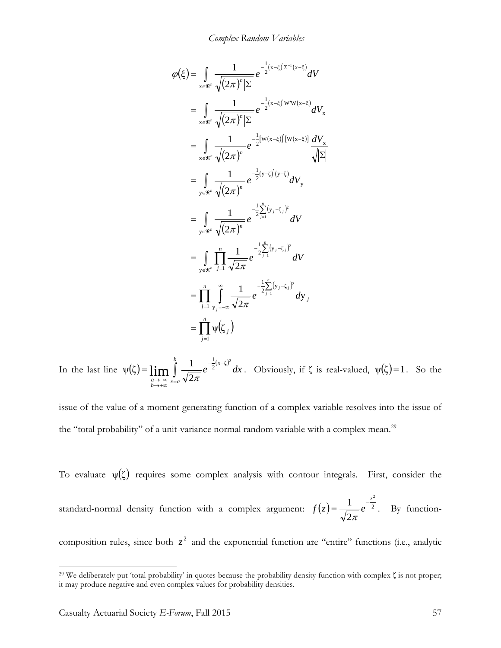*Complex Random Variables*

$$
\varphi(\xi) = \int_{x \in \mathbb{R}^n} \frac{1}{\sqrt{(2\pi)^n |\Sigma|}} e^{-\frac{1}{2}(x-\xi)^2 \Sigma^{-1}(x-\xi)} dV
$$
  
\n
$$
= \int_{x \in \mathbb{R}^n} \frac{1}{\sqrt{(2\pi)^n |\Sigma|}} e^{-\frac{1}{2}(x-\xi)^2 \mathbf{W} \mathbf{W}(x-\xi)} dV_x
$$
  
\n
$$
= \int_{x \in \mathbb{R}^n} \frac{1}{\sqrt{(2\pi)^n}} e^{-\frac{1}{2}[\mathbf{W}(x-\xi)] [\mathbf{W}(x-\xi)]} \frac{dV_x}{\sqrt{|\Sigma|}}
$$
  
\n
$$
= \int_{y \in \mathbb{R}^n} \frac{1}{\sqrt{(2\pi)^n}} e^{-\frac{1}{2}(y-\xi)^2 \mathbf{W} \mathbf{W}} dV_y
$$
  
\n
$$
= \int_{y \in \mathbb{R}^n} \frac{1}{\sqrt{(2\pi)^n}} e^{-\frac{1}{2}\sum_{j=1}^n (y_j-\xi_j)^2} dV
$$
  
\n
$$
= \int_{y \in \mathbb{R}^n} \prod_{j=1}^n \frac{1}{\sqrt{2\pi}} e^{-\frac{1}{2}\sum_{j=1}^n (y_j-\xi_j)^2} dV
$$
  
\n
$$
= \prod_{j=1}^n \int_{y_j=-\infty}^{\infty} \frac{1}{\sqrt{2\pi}} e^{-\frac{1}{2}\sum_{j=1}^n (y_j-\xi_j)^2} dy_j
$$
  
\n
$$
= \prod_{j=1}^n \psi(\zeta_j)
$$

In the last line  $\psi(\zeta) = \lim_{a \to -\infty} \int_{x=a}^{b} \frac{1}{\sqrt{2\pi}} e^{-\frac{1}{2}(x-\zeta)}$  $-\frac{1}{x}$  $(x-$ →+∞ →−∞ = *b x a x b a*  $e^{-\frac{1}{2}(x-\zeta)^2}dx$ 2  $\Psi(\zeta) = \lim_{a \to \infty} \int_{-\infty}^{b} \frac{1}{\sqrt{2\pi}} e^{-\frac{1}{2}(x-\zeta)^2} dx$ . Obviously, if  $\zeta$  is real-valued,  $\Psi(\zeta) = 1$ . So the

issue of the value of a moment generating function of a complex variable resolves into the issue of the "total probability" of a unit-variance normal random variable with a complex mean.<sup>[29](#page-56-0)</sup>

To evaluate  $\psi(\zeta)$  requires some complex analysis with contour integrals. First, consider the standard-normal density function with a complex argument:  $f(z) = \frac{1}{\sqrt{z}} e^{-z}$ 2 2  $f(z) = \frac{1}{\sqrt{z}} e^{-z}$  $= e^{-2}$ . By function-

composition rules, since both  $z^2$  and the exponential function are "entire" functions (i.e., analytic

<span id="page-56-0"></span><sup>&</sup>lt;sup>29</sup> We deliberately put 'total probability' in quotes because the probability density function with complex  $\zeta$  is not proper; it may produce negative and even complex values for probability densities.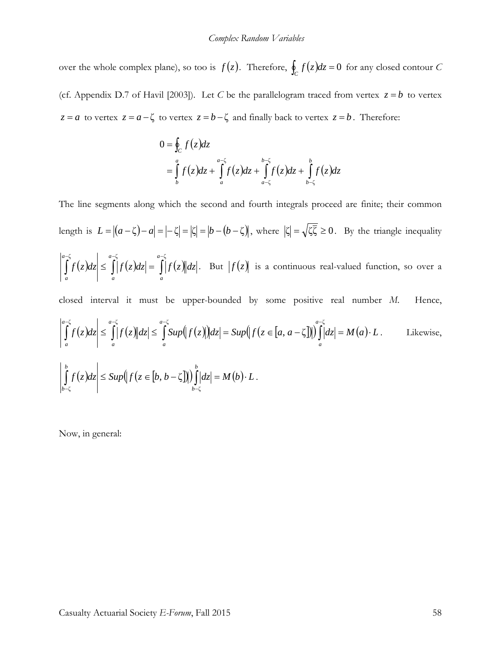over the whole complex plane), so too is  $f(z)$ . Therefore,  $\oint_C f(z)dz = 0$  for any closed contour *C* (cf. Appendix D.7 of Havil [2003]). Let *C* be the parallelogram traced from vertex  $z = b$  to vertex *z* = *a* to vertex *z* =  $a - \zeta$  to vertex *z* =  $b - \zeta$  and finally back to vertex *z* =  $b$ . Therefore:

$$
0 = \oint_C f(z)dz
$$
  
=  $\int_b^a f(z)dz + \int_a^{a-\zeta} f(z)dz + \int_{a-\zeta}^{b-\zeta} f(z)dz + \int_{b-\zeta}^b f(z)dz$ 

The line segments along which the second and fourth integrals proceed are finite; their common length is  $L = |(a - \zeta) - a| = |- \zeta| = |\zeta| = |b - (b - \zeta)|$ , where  $|\zeta| = \sqrt{\zeta \overline{\zeta}} \ge 0$ . By the triangle inequality  $f(z)dz \leq |f(z)dz| = |f(z)||dz$ *a a a a a*  $\left| \int_a f(z) dz \right| \leq \int_a |f(z) dz| = \int_a$  $-\zeta$  a− $\zeta$  a−  $\leq$   $||f(z)dz|$  = ζ  $a-\zeta$   $a-\zeta$ . But  $f(z)$  is a continuous real-valued function, so over a closed interval it must be upper-bounded by some positive real number *M*. Hence,  $f(z)dz \leq |f(z)||dz \leq |Sup(|f(z)||dz| = Sup(|f(z \in [a, a-\zeta]))|dz| = M(a) \cdot L$ *a a a a a a a*  $\int_a^b f(z)dz \leq \int_a^b |f(z)||dz| \leq \int_a Sup(|f(z)|)dz = Sup(|f(z \in [a, a-\zeta])|)\int_a^b |dz| = M(a)$ −ζ *a*−ζ *a−ζ a−ζ a−ζ a−ζ a−α*  $(a - \zeta \|) \| |dz| = M(a) \cdot L$ . Likewise,  $f(z)dz \leq Sup(|f(z \in [b, b-\zeta)]) \mid |dz| = M(b) \cdot L$ *b b b*  $\left|\int_{b-\zeta} f(z)dz\right| \leq \sup\left(\left|f(z\in[b,b-\zeta])\right|\right)\int_{b-\zeta} |dz| = M(b)\cdot L.$ 

Now, in general: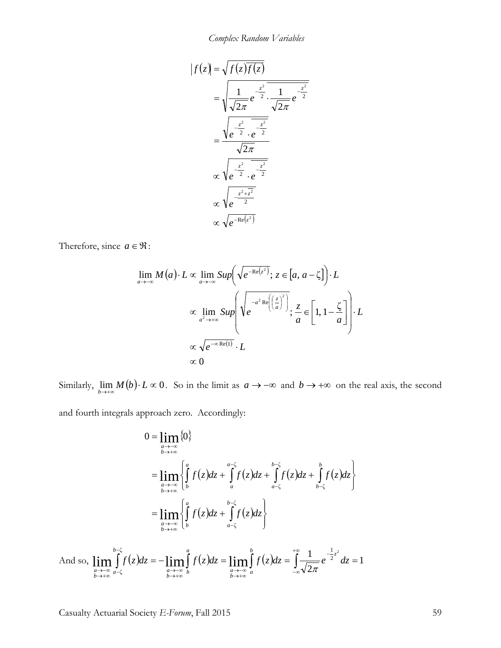*Complex Random Variables*

$$
f(z) = \sqrt{f(z)\overline{f(z)}}
$$
  
= 
$$
\sqrt{\frac{1}{\sqrt{2\pi}}e^{-\frac{z^2}{2}}\cdot\frac{1}{\sqrt{2\pi}}e^{-\frac{z^2}{2}}}
$$
  
= 
$$
\frac{\sqrt{e^{-\frac{z^2}{2}}\cdot e^{-\frac{z^2}{2}}}}{\sqrt{2\pi}}
$$
  

$$
\propto \sqrt{e^{-\frac{z^2}{2}}\cdot e^{-\frac{z^2}{2}}}}
$$
  

$$
\propto \sqrt{e^{-Re(z^2)}}
$$
  

$$
\propto \sqrt{e^{-Re(z^2)}}
$$

Therefore, since  $a \in \mathfrak{R}$ :

$$
\lim_{a \to -\infty} M(a) \cdot L \propto \lim_{a \to -\infty} Sup \left( \sqrt{e^{-Re(z^2)}}; z \in [a, a - \zeta] \right) \cdot L
$$

$$
\propto \lim_{a^2 \to +\infty} Sup \left( \sqrt{e^{-a^2 Re\left( \frac{z}{a} \right)^2}}; \frac{z}{a} \in \left[ 1, 1 - \frac{\zeta}{a} \right] \right) \cdot L
$$

$$
\propto \sqrt{e^{-\infty Re(1)}} \cdot L
$$

$$
\propto 0
$$

Similarly,  $\lim_{b \to +\infty} M(b) \cdot L \propto 0$ . So in the limit as  $a \to -\infty$  and  $b \to +\infty$  on the real axis, the second

and fourth integrals approach zero. Accordingly:

$$
0 = \lim_{\substack{a \to -\infty \\ b \to +\infty}} \{0\}
$$
  
\n
$$
= \lim_{\substack{a \to -\infty \\ b \to +\infty}} \left\{ \int_{b}^{a} f(z)dz + \int_{a}^{a-\zeta} f(z)dz + \int_{a-\zeta}^{b-\zeta} f(z)dz + \int_{b-\zeta}^{b} f(z)dz \right\}
$$
  
\n
$$
= \lim_{\substack{a \to -\infty \\ b \to +\infty}} \left\{ \int_{b}^{a} f(z)dz + \int_{a-\zeta}^{b-\zeta} f(z)dz \right\}
$$

And so, 
$$
\lim_{\substack{a \to -\infty \\ b \to +\infty}} \int_{a-\zeta}^{b-\zeta} f(z) dz = - \lim_{\substack{a \to -\infty \\ b \to +\infty}} \int_{b}^{a} f(z) dz = \lim_{\substack{a \to -\infty \\ b \to +\infty}} \int_{a}^{b} f(z) dz = \int_{-\infty}^{+\infty} \frac{1}{\sqrt{2\pi}} e^{-\frac{1}{2}z^2} dz = 1
$$

Casualty Actuarial Society *E-Forum*, Fall 2015 59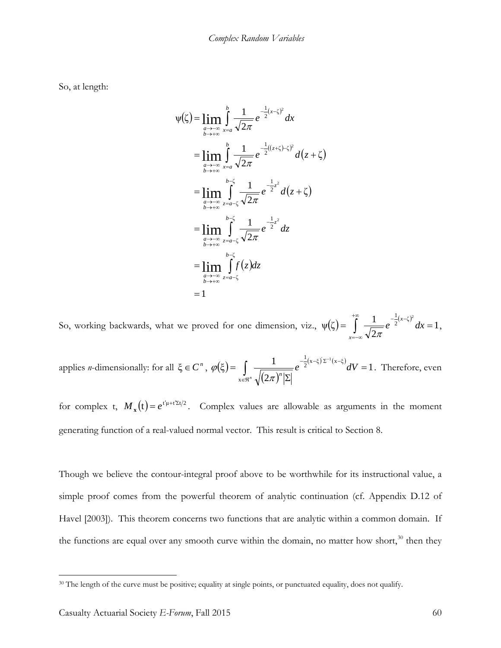So, at length:

$$
\psi(\zeta) = \lim_{\substack{a \to -\infty \\ b \to +\infty}} \int_{x=a}^{b} \frac{1}{\sqrt{2\pi}} e^{-\frac{1}{2}(x-\zeta)^2} dx
$$
  
\n
$$
= \lim_{\substack{a \to -\infty \\ b \to +\infty}} \int_{x=a}^{b} \frac{1}{\sqrt{2\pi}} e^{-\frac{1}{2}((z+\zeta)-\zeta)^2} d(z+\zeta)
$$
  
\n
$$
= \lim_{\substack{a \to -\infty \\ b \to +\infty}} \int_{z=a-\zeta}^{b-\zeta} \frac{1}{\sqrt{2\pi}} e^{-\frac{1}{2}z^2} d(z+\zeta)
$$
  
\n
$$
= \lim_{\substack{a \to -\infty \\ b \to +\infty}} \int_{z=a-\zeta}^{b-\zeta} \frac{1}{\sqrt{2\pi}} e^{-\frac{1}{2}z^2} dz
$$
  
\n
$$
= \lim_{\substack{a \to -\infty \\ b \to +\infty}} \int_{z=a-\zeta}^{b-\zeta} f(z) dz
$$
  
\n
$$
= 1
$$

So, working backwards, what we proved for one dimension, viz.,  $\psi(\zeta) = \int_{\zeta}^{\zeta} \frac{1}{\zeta} e^{-\frac{1}{2}(x-\zeta)^2} dx = 1$ 2  $\psi(\zeta) = \int_{0}^{+\infty} \frac{1}{\sqrt{1-\zeta}} e^{-\frac{1}{2}(x-\zeta)^2}$  $=\int \frac{1}{\sqrt{2\pi}}e^{-2^{(x-5)}} dx =$ +∞ =−∞  $-\frac{1}{x}$  $(x$ *x*  $\int_{\pi}^{\frac{1}{2}(x-\zeta)^2} dx = 1,$ 

applies *n*-dimensionally: for all  $\xi \in C^n$ ,  $\varphi(\xi)$  $(2\pi)$  $(x-\xi) \Sigma^{-1} (x-\xi) dV = 1$ 2  $(\xi) = \int \frac{1}{\sqrt{1 - (\xi)}}$ x  $\frac{1}{2}$ (x-ξ)' Σ<sup>-1</sup>(x-ξ =  $=\int\limits_{x\in\mathfrak{R}^n}\frac{1}{\sqrt{(2\pi)^n|\Sigma}}$  $e^{-\frac{1}{2}(x-\xi)^{'}\Sigma^{-1}(x-\xi)}dV$  $\int (2\pi)^n$  $\varphi(\xi) = \frac{1}{\sqrt{2\pi}} e^{-2\cos(\theta - \xi)} dV = 1$ . Therefore, even

for complex t,  $M_x(t) = e^{t'\mu + t'\Sigma t/2}$ . Complex values are allowable as arguments in the moment generating function of a real-valued normal vector. This result is critical to Section 8.

Though we believe the contour-integral proof above to be worthwhile for its instructional value, a simple proof comes from the powerful theorem of analytic continuation (cf. Appendix D.12 of Havel [2003]). This theorem concerns two functions that are analytic within a common domain. If the functions are equal over any smooth curve within the domain, no matter how short,<sup>[30](#page-59-0)</sup> then they

<span id="page-59-0"></span><sup>&</sup>lt;sup>30</sup> The length of the curve must be positive; equality at single points, or punctuated equality, does not qualify.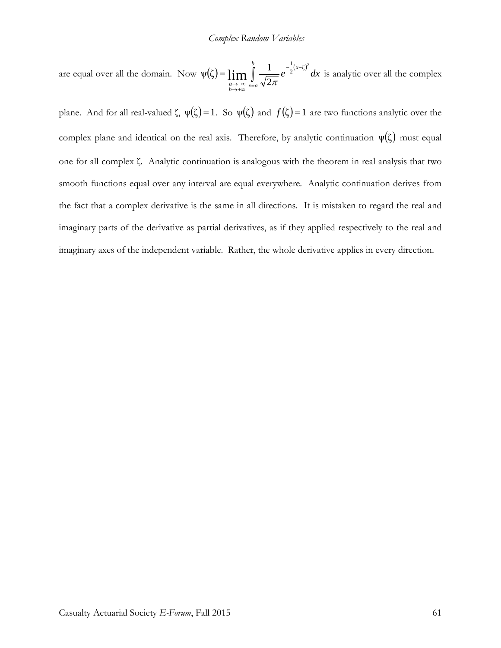#### *Complex Random Variables*

are equal over all the domain. Now  $\psi(\zeta) = \lim_{\alpha \to -\infty} \int_{x=a}^{a} \frac{1}{\sqrt{2\pi}} e^{-\frac{1}{2}(x-\zeta)}$  $-\frac{1}{x}$  + →+∞ →−∞ = *b x a x b a*  $e^{-\frac{1}{2}(x-\zeta)^2}dx$ 2  $\Psi(\zeta) = \lim_{a \to \infty} \int_{-\infty}^{b} \frac{1}{\sqrt{2\pi}} e^{-\frac{1}{2}(x-\zeta)^2} dx$  is analytic over all the complex

plane. And for all real-valued  $\zeta$ ,  $\psi(\zeta) = 1$ . So  $\psi(\zeta)$  and  $f(\zeta) = 1$  are two functions analytic over the complex plane and identical on the real axis. Therefore, by analytic continuation  $\psi(\zeta)$  must equal one for all complex ζ. Analytic continuation is analogous with the theorem in real analysis that two smooth functions equal over any interval are equal everywhere. Analytic continuation derives from the fact that a complex derivative is the same in all directions. It is mistaken to regard the real and imaginary parts of the derivative as partial derivatives, as if they applied respectively to the real and imaginary axes of the independent variable. Rather, the whole derivative applies in every direction.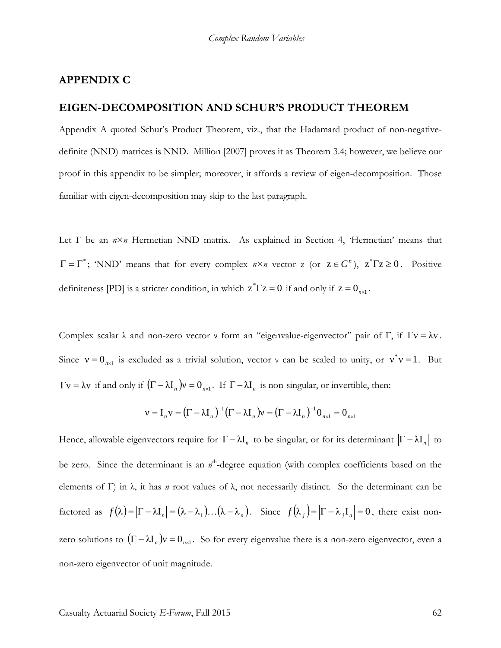#### **APPENDIX C**

### **EIGEN-DECOMPOSITION AND SCHUR'S PRODUCT THEOREM**

Appendix A quoted Schur's Product Theorem, viz., that the Hadamard product of non-negativedefinite (NND) matrices is NND. Million [2007] proves it as Theorem 3.4; however, we believe our proof in this appendix to be simpler; moreover, it affords a review of eigen-decomposition. Those familiar with eigen-decomposition may skip to the last paragraph.

Let Γ be an *n*×*n* Hermetian NND matrix. As explained in Section 4, 'Hermetian' means that  $\Gamma = \Gamma^*$ ; 'NND' means that for every complex  $n \times n$  vector z (or  $z \in C^n$ ),  $z^*Tz \ge 0$ . Positive definiteness [PD] is a stricter condition, in which  $z^* \Gamma z = 0$  if and only if  $z = 0_{n \times 1}$ .

Complex scalar  $\lambda$  and non-zero vector  $\nu$  form an "eigenvalue-eigenvector" pair of Γ, if  $\Gamma$ ν =  $\lambda$ ν. Since  $v = 0_{n \times 1}$  is excluded as a trivial solution, vector v can be scaled to unity, or  $v^*v = 1$ . But  $\Gamma v = \lambda v$  if and only if  $(\Gamma - \lambda I_n)v = 0_{n \times 1}$ . If  $\Gamma - \lambda I_n$  is non-singular, or invertible, then:

$$
\mathbf{v} = \mathbf{I}_n \mathbf{v} = (\Gamma - \lambda \mathbf{I}_n)^{-1} (\Gamma - \lambda \mathbf{I}_n) \mathbf{v} = (\Gamma - \lambda \mathbf{I}_n)^{-1} \mathbf{0}_{n \times 1} = \mathbf{0}_{n \times 1}
$$

Hence, allowable eigenvectors require for  $\Gamma - \lambda I_n$  to be singular, or for its determinant  $|\Gamma - \lambda I_n|$  to be zero. Since the determinant is an n<sup>th</sup>-degree equation (with complex coefficients based on the elements of Γ) in λ, it has *n* root values of λ, not necessarily distinct. So the determinant can be factored as  $f(\lambda) = |\Gamma - \lambda I_n| = (\lambda - \lambda_1) \dots (\lambda - \lambda_n)$ . Since  $f(\lambda_i) = |\Gamma - \lambda_i I_n| = 0$ , there exist nonzero solutions to  $(\Gamma - \lambda I_n)v = 0_{n \times 1}$ . So for every eigenvalue there is a non-zero eigenvector, even a non-zero eigenvector of unit magnitude.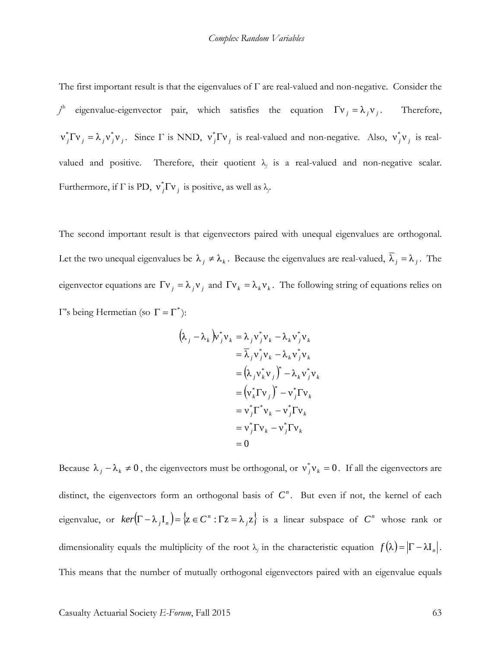The first important result is that the eigenvalues of  $\Gamma$  are real-valued and non-negative. Consider the *j* eigenvalue-eigenvector pair, which satisfies the equation  $\Gamma v_j = \lambda_j v_j$ . Therefore,  $v_j^* \Gamma v_j = \lambda_j v_j^* v_j$ . Since  $\Gamma$  is NND,  $v_j^* \Gamma v_j$  is real-valued and non-negative. Also,  $v_j^* v_j$  is realvalued and positive. Therefore, their quotient  $\lambda_i$  is a real-valued and non-negative scalar. Furthermore, if  $\Gamma$  is PD,  $v_j^* \Gamma v_j$  is positive, as well as  $\lambda_j$ .

The second important result is that eigenvectors paired with unequal eigenvalues are orthogonal. Let the two unequal eigenvalues be  $\lambda_j \neq \lambda_k$ . Because the eigenvalues are real-valued,  $\overline{\lambda}_j = \lambda_j$ . The eigenvector equations are  $\Gamma v_j = \lambda_j v_j$  and  $\Gamma v_k = \lambda_k v_k$ . The following string of equations relies on Γ's being Hermetian (so  $Γ = Γ^*$ ):

$$
(\lambda_j - \lambda_k) v_j^* v_k = \lambda_j v_j^* v_k - \lambda_k v_j^* v_k
$$
  
\n
$$
= \overline{\lambda}_j v_j^* v_k - \lambda_k v_j^* v_k
$$
  
\n
$$
= (\lambda_j v_k^* v_j)^* - \lambda_k v_j^* v_k
$$
  
\n
$$
= (v_k^* \Gamma v_j)^* - v_j^* \Gamma v_k
$$
  
\n
$$
= v_j^* \Gamma^* v_k - v_j^* \Gamma v_k
$$
  
\n
$$
= v_j^* \Gamma v_k - v_j^* \Gamma v_k
$$
  
\n
$$
= 0
$$

Because  $\lambda_j - \lambda_k \neq 0$ , the eigenvectors must be orthogonal, or  $v_j^* v_k = 0$ . If all the eigenvectors are distinct, the eigenvectors form an orthogonal basis of  $C<sup>n</sup>$ . But even if not, the kernel of each eigenvalue, or  $ker(\Gamma - \lambda_j I_n) = \{z \in C^n : \Gamma z = \lambda_j z\}$  is a linear subspace of  $C^n$  whose rank or dimensionality equals the multiplicity of the root  $\lambda_j$  in the characteristic equation  $f(\lambda) = |\Gamma - \lambda I_n|$ . This means that the number of mutually orthogonal eigenvectors paired with an eigenvalue equals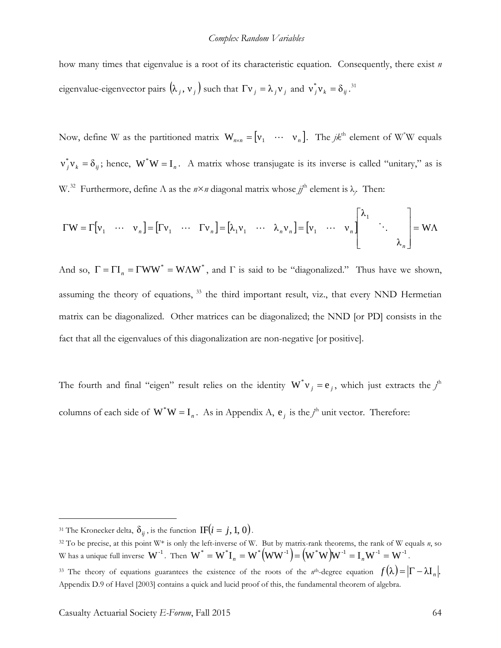#### *Complex Random Variables*

how many times that eigenvalue is a root of its characteristic equation. Consequently, there exist *n* eigenvalue-eigenvector pairs  $(\lambda_j, v_j)$  such that  $\Gamma v_j = \lambda_j v_j$  and  $v_j^* v_k = \delta_{ij}$ .<sup>[31](#page-63-0)</sup>

Now, define W as the partitioned matrix  $W_{n \times n} = \begin{bmatrix} v_1 & \cdots & v_n \end{bmatrix}$ . The  $jk^{\text{th}}$  element of W<sup>\*</sup>W equals  $v_j^* v_k = \delta_{ij}$ ; hence,  $W^* W = I_n$ . A matrix whose transjugate is its inverse is called "unitary," as is W.<sup>[32](#page-63-1)</sup> Furthermore, define Λ as the  $n \times n$  diagonal matrix whose  $j<sup>th</sup>$  element is λ<sub>*j*</sub>. Then:

$$
\Gamma W = \Gamma \begin{bmatrix} v_1 & \cdots & v_n \end{bmatrix} = \begin{bmatrix} \Gamma v_1 & \cdots & \Gamma v_n \end{bmatrix} = \begin{bmatrix} \lambda_1 v_1 & \cdots & \lambda_n v_n \end{bmatrix} = \begin{bmatrix} v_1 & \cdots & v_n \end{bmatrix} \begin{bmatrix} \lambda_1 & & \\ & \ddots & \\ & & \lambda_n \end{bmatrix} = W \Lambda
$$

And so,  $\Gamma = \Gamma I_n = \Gamma WW^* = W\Lambda W^*$ , and  $\Gamma$  is said to be "diagonalized." Thus have we shown, assuming the theory of equations, <sup>[33](#page-63-2)</sup> the third important result, viz., that every NND Hermetian matrix can be diagonalized. Other matrices can be diagonalized; the NND [or PD] consists in the fact that all the eigenvalues of this diagonalization are non-negative [or positive].

The fourth and final "eigen" result relies on the identity  $W^*v_j = e_j$ , which just extracts the  $j^h$ columns of each side of  $W^*W = I_n$ . As in Appendix A,  $e_j$  is the  $j^h$  unit vector. Therefore:

<span id="page-63-0"></span><sup>&</sup>lt;sup>31</sup> The Kronecker delta,  $\delta_{ii}$ , is the function IF( $i = j, 1, 0$ ).

<span id="page-63-2"></span><span id="page-63-1"></span><sup>32</sup> To be precise, at this point W\* is only the left-inverse of W. But by matrix-rank theorems, the rank of W equals *n*, so W has a unique full inverse  $\textbf{W}^{\text{-}1}$  . Then  $\textbf{W}^* = \textbf{W}^* \textbf{I}_n = \textbf{W}^* \big( \textbf{W} \textbf{W}^{\text{-}1} \big) \!=\! \big( \textbf{W}^* \textbf{W} \big) \!\textbf{W}^{\text{-}1} = \textbf{I}_n \textbf{W}^{\text{-}1} = \textbf{W}^{\text{-}1}$  . <sup>33</sup> The theory of equations guarantees the existence of the roots of the *n*<sup>th</sup>-degree equation  $f(\lambda) = |\Gamma - \lambda I_n|$ . Appendix D.9 of Havel [2003] contains a quick and lucid proof of this, the fundamental theorem of algebra.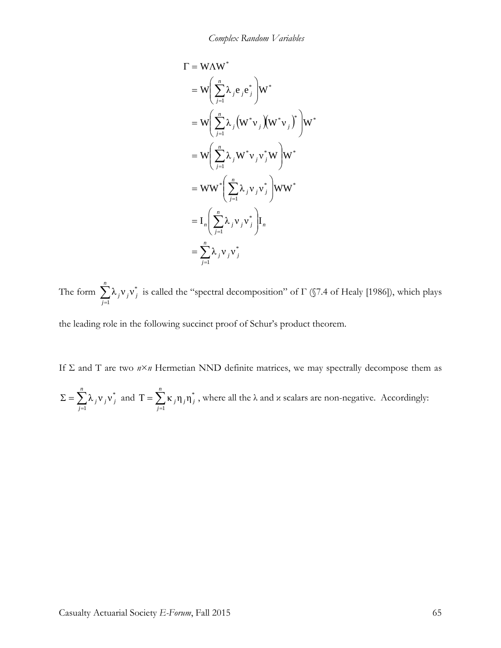$$
\Gamma = \mathbf{W}\Lambda \mathbf{W}^*
$$
\n
$$
= \mathbf{W} \left( \sum_{j=1}^n \lambda_j e_j e_j^* \right) \mathbf{W}^*
$$
\n
$$
= \mathbf{W} \left( \sum_{j=1}^n \lambda_j \left( \mathbf{W}^* \mathbf{v}_j \right) \left( \mathbf{W}^* \mathbf{v}_j \right)^* \right) \mathbf{W}^*
$$
\n
$$
= \mathbf{W} \left( \sum_{j=1}^n \lambda_j \mathbf{W}^* \mathbf{v}_j \mathbf{v}_j^* \mathbf{W} \right) \mathbf{W}^*
$$
\n
$$
= \mathbf{W} \mathbf{W}^* \left( \sum_{j=1}^n \lambda_j \mathbf{v}_j \mathbf{v}_j^* \right) \mathbf{W} \mathbf{W}^*
$$
\n
$$
= \mathbf{I}_n \left( \sum_{j=1}^n \lambda_j \mathbf{v}_j \mathbf{v}_j^* \right) \mathbf{I}_n
$$
\n
$$
= \sum_{j=1}^n \lambda_j \mathbf{v}_j \mathbf{v}_j^*
$$

The form  $\sum_{j=1}^{n}$ *j j j j* 1  $\lambda_i v_i v_i^*$  is called the "spectral decomposition" of  $\Gamma$  (§7.4 of Healy [1986]), which plays

the leading role in the following succinct proof of Schur's product theorem.

If Σ and T are two  $n \times n$  Hermetian NND definite matrices, we may spectrally decompose them as

$$
\Sigma = \sum_{j=1}^{n} \lambda_j v_j v_j^*
$$
 and  $T = \sum_{j=1}^{n} \kappa_j \eta_j \eta_j^*$ , where all the  $\lambda$  and  $\kappa$  scalars are non-negative. Accordingly: